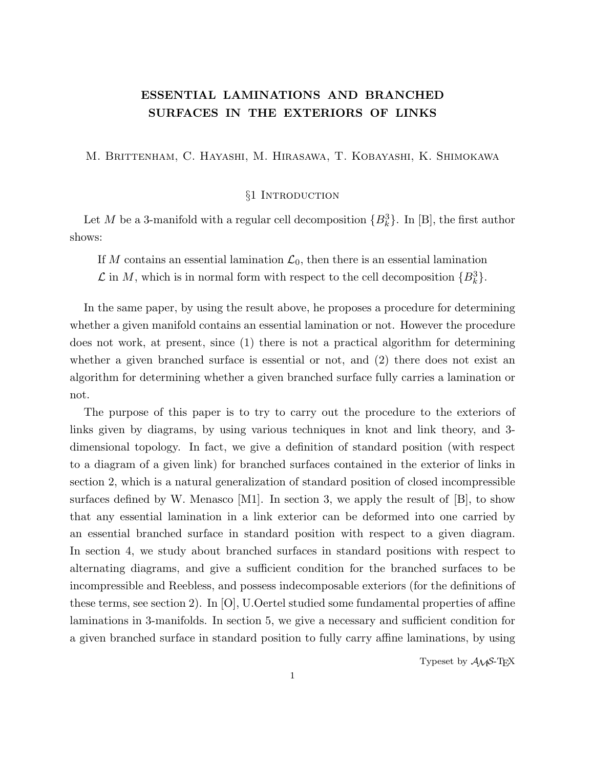### **ESSENTIAL LAMINATIONS AND BRANCHED SURFACES IN THE EXTERIORS OF LINKS**

M. Brittenham, C. Hayashi, M. Hirasawa, T. Kobayashi, K. Shimokawa

#### §1 Introduction

Let *M* be a 3-manifold with a regular cell decomposition  ${B_k^3}$ . In [B], the first author shows:

If *M* contains an essential lamination  $\mathcal{L}_0$ , then there is an essential lamination  $\mathcal{L}$  in *M*, which is in normal form with respect to the cell decomposition  ${B_k^3}$ .

In the same paper, by using the result above, he proposes a procedure for determining whether a given manifold contains an essential lamination or not. However the procedure does not work, at present, since (1) there is not a practical algorithm for determining whether a given branched surface is essential or not, and (2) there does not exist an algorithm for determining whether a given branched surface fully carries a lamination or not.

The purpose of this paper is to try to carry out the procedure to the exteriors of links given by diagrams, by using various techniques in knot and link theory, and 3 dimensional topology. In fact, we give a definition of standard position (with respect to a diagram of a given link) for branched surfaces contained in the exterior of links in section 2, which is a natural generalization of standard position of closed incompressible surfaces defined by W. Menasco  $[M1]$ . In section 3, we apply the result of  $[B]$ , to show that any essential lamination in a link exterior can be deformed into one carried by an essential branched surface in standard position with respect to a given diagram. In section 4, we study about branched surfaces in standard positions with respect to alternating diagrams, and give a sufficient condition for the branched surfaces to be incompressible and Reebless, and possess indecomposable exteriors (for the definitions of these terms, see section 2). In [O], U.Oertel studied some fundamental properties of affine laminations in 3-manifolds. In section 5, we give a necessary and sufficient condition for a given branched surface in standard position to fully carry affine laminations, by using

Typeset by  $A_{\mathcal{M}}S$ -T<sub>E</sub>X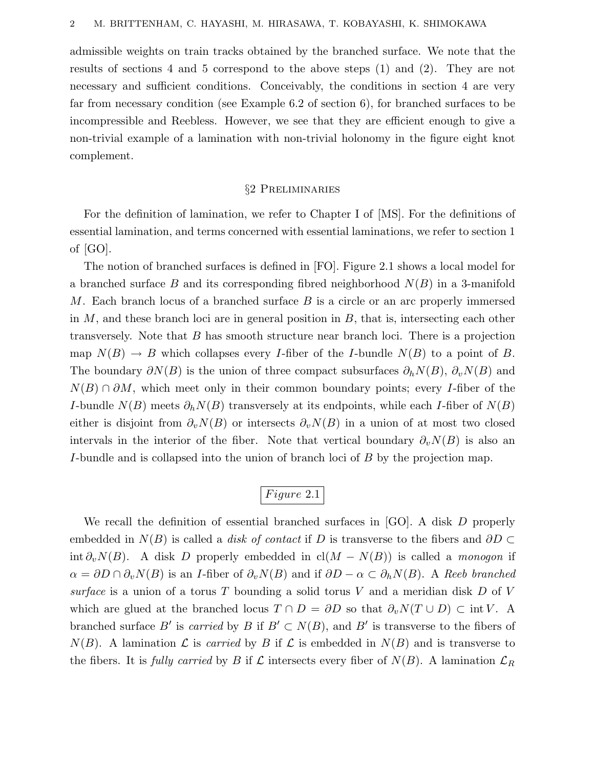admissible weights on train tracks obtained by the branched surface. We note that the results of sections 4 and 5 correspond to the above steps (1) and (2). They are not necessary and sufficient conditions. Conceivably, the conditions in section 4 are very far from necessary condition (see Example 6.2 of section 6), for branched surfaces to be incompressible and Reebless. However, we see that they are efficient enough to give a non-trivial example of a lamination with non-trivial holonomy in the figure eight knot complement.

#### §2 Preliminaries

For the definition of lamination, we refer to Chapter I of [MS]. For the definitions of essential lamination, and terms concerned with essential laminations, we refer to section 1 of [GO].

The notion of branched surfaces is defined in [FO]. Figure 2.1 shows a local model for a branched surface *B* and its corresponding fibred neighborhood *N*(*B*) in a 3-manifold *M*. Each branch locus of a branched surface *B* is a circle or an arc properly immersed in *M*, and these branch loci are in general position in *B*, that is, intersecting each other transversely. Note that *B* has smooth structure near branch loci. There is a projection map  $N(B) \to B$  which collapses every *I*-fiber of the *I*-bundle  $N(B)$  to a point of *B*. The boundary  $\partial N(B)$  is the union of three compact subsurfaces  $\partial_h N(B)$ ,  $\partial_v N(B)$  and *N*(*B*) ∩  $\partial M$ , which meet only in their common boundary points; every *I*-fiber of the *I*-bundle  $N(B)$  meets  $\partial_h N(B)$  transversely at its endpoints, while each *I*-fiber of  $N(B)$ either is disjoint from  $\partial_v N(B)$  or intersects  $\partial_v N(B)$  in a union of at most two closed intervals in the interior of the fiber. Note that vertical boundary  $\partial_{\nu}N(B)$  is also an *I*-bundle and is collapsed into the union of branch loci of *B* by the projection map.

# *F igure* 2*.*1

We recall the definition of essential branched surfaces in [GO]. A disk *D* properly embedded in  $N(B)$  is called a *disk of contact* if *D* is transverse to the fibers and  $\partial D \subset$ int  $\partial_v N(B)$ . A disk *D* properly embedded in cl(*M* − *N*(*B*)) is called a monogon if  $\alpha = \partial D \cap \partial_v N(B)$  is an *I*-fiber of  $\partial_v N(B)$  and if  $\partial D - \alpha \subset \partial_h N(B)$ . A Reeb branched surface is a union of a torus *T* bounding a solid torus *V* and a meridian disk *D* of *V* which are glued at the branched locus  $T \cap D = \partial D$  so that  $\partial_v N(T \cup D) \subset \text{int } V$ . A branched surface *B'* is *carried* by *B* if  $B' \subset N(B)$ , and *B'* is transverse to the fibers of  $N(B)$ . A lamination  $\mathcal L$  is *carried* by *B* if  $\mathcal L$  is embedded in  $N(B)$  and is transverse to the fibers. It is fully carried by *B* if  $\mathcal L$  intersects every fiber of  $N(B)$ . A lamination  $\mathcal L_R$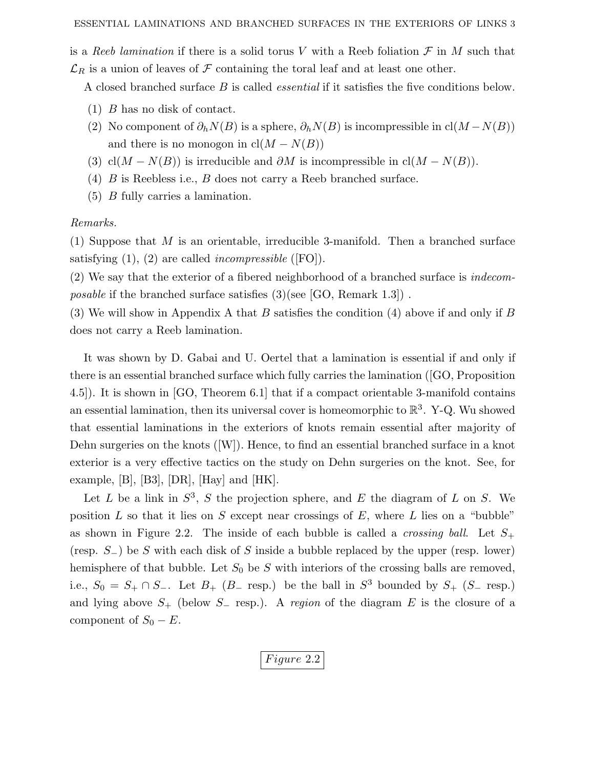is a Reeb lamination if there is a solid torus V with a Reeb foliation  $\mathcal F$  in  $M$  such that  $\mathcal{L}_R$  is a union of leaves of  $\mathcal F$  containing the toral leaf and at least one other.

A closed branched surface *B* is called essential if it satisfies the five conditions below.

- (1) *B* has no disk of contact.
- (2) No component of  $\partial_h N(B)$  is a sphere,  $\partial_h N(B)$  is incompressible in cl( $M N(B)$ ) and there is no monogon in  $cl(M - N(B))$
- (3) cl( $M N(B)$ ) is irreducible and  $\partial M$  is incompressible in cl( $M N(B)$ ).
- (4) *B* is Reebless i.e., *B* does not carry a Reeb branched surface.
- (5) *B* fully carries a lamination.

#### Remarks.

(1) Suppose that *M* is an orientable, irreducible 3-manifold. Then a branched surface satisfying  $(1)$ ,  $(2)$  are called *incompressible* ([FO]).

(2) We say that the exterior of a fibered neighborhood of a branched surface is indecom*posable* if the branched surface satisfies  $(3)(\text{see }[GO, \text{Remark } 1.3])$ .

(3) We will show in Appendix A that *B* satisfies the condition (4) above if and only if *B* does not carry a Reeb lamination.

It was shown by D. Gabai and U. Oertel that a lamination is essential if and only if there is an essential branched surface which fully carries the lamination ([GO, Proposition 4.5]). It is shown in [GO, Theorem 6.1] that if a compact orientable 3-manifold contains an essential lamination, then its universal cover is homeomorphic to  $\mathbb{R}^3$ . Y-Q. Wu showed that essential laminations in the exteriors of knots remain essential after majority of Dehn surgeries on the knots ([W]). Hence, to find an essential branched surface in a knot exterior is a very effective tactics on the study on Dehn surgeries on the knot. See, for example, [B], [B3], [DR], [Hay] and [HK].

Let *L* be a link in  $S^3$ , *S* the projection sphere, and *E* the diagram of *L* on *S*. We position *L* so that it lies on *S* except near crossings of *E*, where *L* lies on a "bubble" as shown in Figure 2.2. The inside of each bubble is called a *crossing ball*. Let  $S_+$ (resp. *S*−) be *S* with each disk of *S* inside a bubble replaced by the upper (resp. lower) hemisphere of that bubble. Let  $S_0$  be  $S$  with interiors of the crossing balls are removed, i.e.,  $S_0 = S_+ \cap S_-.$  Let  $B_+$  ( $B_-$  resp.) be the ball in  $S^3$  bounded by  $S_+$  ( $S_-$  resp.) and lying above *S*<sup>+</sup> (below *S*<sup>−</sup> resp.). A region of the diagram *E* is the closure of a component of  $S_0 - E$ .

*F igure* 2*.*2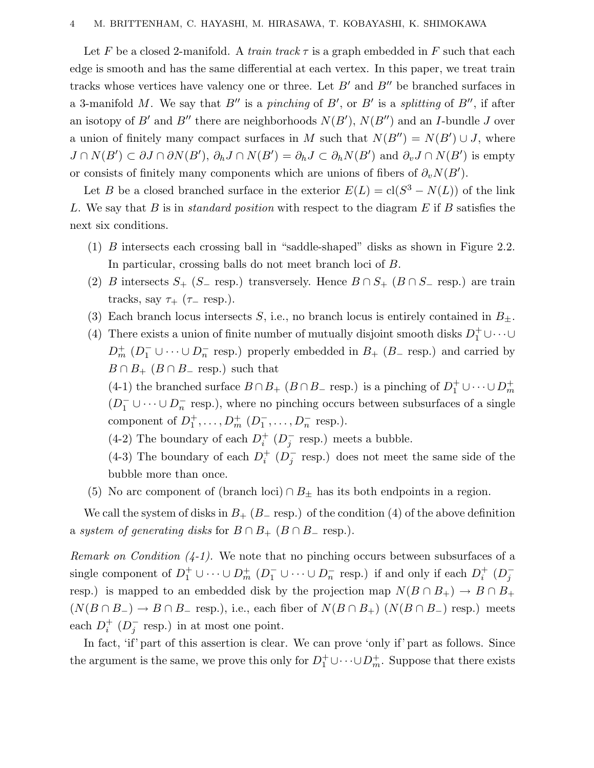#### 4 M. BRITTENHAM, C. HAYASHI, M. HIRASAWA, T. KOBAYASHI, K. SHIMOKAWA

Let F be a closed 2-manifold. A train track  $\tau$  is a graph embedded in F such that each edge is smooth and has the same differential at each vertex. In this paper, we treat train tracks whose vertices have valency one or three. Let  $B'$  and  $B''$  be branched surfaces in a 3-manifold M. We say that  $B''$  is a pinching of  $B'$ , or  $B'$  is a splitting of  $B''$ , if after an isotopy of *B*' and *B*'' there are neighborhoods  $N(B')$ ,  $N(B'')$  and an *I*-bundle *J* over a union of finitely many compact surfaces in *M* such that  $N(B'') = N(B') \cup J$ , where  $J \cap N(B') \subset \partial J \cap \partial N(B'), \partial_h J \cap N(B') = \partial_h J \subset \partial_h N(B')$  and  $\partial_v J \cap N(B')$  is empty or consists of finitely many components which are unions of fibers of  $\partial_v N(B')$ .

Let *B* be a closed branched surface in the exterior  $E(L) = cl(S^3 - N(L))$  of the link *L*. We say that *B* is in standard position with respect to the diagram *E* if *B* satisfies the next six conditions.

- (1) *B* intersects each crossing ball in "saddle-shaped" disks as shown in Figure 2.2. In particular, crossing balls do not meet branch loci of *B*.
- (2) *B* intersects  $S_+$  ( $S_-$  resp.) transversely. Hence  $B \cap S_+$  ( $B \cap S_-$  resp.) are train tracks, say  $\tau_+$  ( $\tau_-$  resp.).
- (3) Each branch locus intersects *S*, i.e., no branch locus is entirely contained in  $B_{\pm}$ .
- (4) There exists a union of finite number of mutually disjoint smooth disks  $D_1^+ \cup \cdots \cup$  $D_m^+$  ( $D_1^-$  ∪ ···∪ $D_n^-$  resp.) properly embedded in  $B_+$  ( $B_-\$  resp.) and carried by  $B \cap B_+$  ( $B \cap B_-$  resp.) such that

(4-1) the branched surface  $B \cap B_+$  ( $B \cap B_-$  resp.) is a pinching of  $D_1^+ \cup \cdots \cup D_m^+$  $(D_1^- \cup \cdots \cup D_n^-$  resp.), where no pinching occurs between subsurfaces of a single component of  $D_1^+, \ldots, D_m^+$   $(D_1^-, \ldots, D_n^-$  resp.).

(4-2) The boundary of each  $D_i^+$  ( $D_j^-$  resp.) meets a bubble.

(4-3) The boundary of each  $D_i^+$  ( $D_j^-$  resp.) does not meet the same side of the bubble more than once.

(5) No arc component of (branch loci)  $\cap$   $B_{\pm}$  has its both endpoints in a region.

We call the system of disks in  $B_+$  ( $B_-\text{resp.}$ ) of the condition (4) of the above definition a system of generating disks for  $B \cap B_+$  ( $B \cap B_-$  resp.).

Remark on Condition  $(4-1)$ . We note that no pinching occurs between subsurfaces of a single component of  $D_1^+ \cup \cdots \cup D_m^+$   $(D_1^- \cup \cdots \cup D_n^-$  resp.) if and only if each  $D_i^+$   $(D_j^$ resp.) is mapped to an embedded disk by the projection map  $N(B \cap B_+) \to B \cap B_+$  $(N(B \cap B_-) \to B \cap B_-$  resp.), i.e., each fiber of  $N(B \cap B_+)$   $(N(B \cap B_-)$  resp.) meets each  $D_i^+$  ( $D_j^-$  resp.) in at most one point.

In fact, 'if' part of this assertion is clear. We can prove 'only if' part as follows. Since the argument is the same, we prove this only for  $D_1^+ \cup \cdots \cup D_m^+$ . Suppose that there exists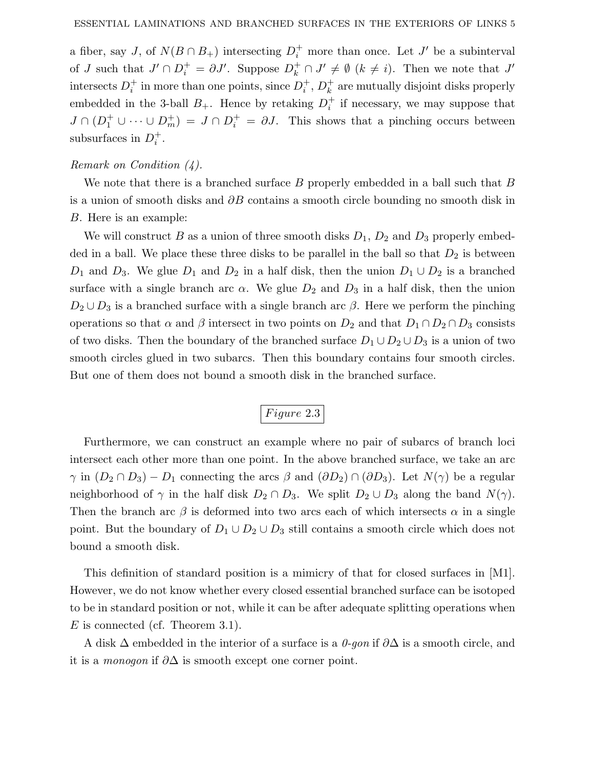a fiber, say *J*, of  $N(B \cap B_+)$  intersecting  $D_i^+$  more than once. Let *J'* be a subinterval of *J* such that  $J' \cap D_i^+ = \partial J'$ . Suppose  $D_k^+ \cap J' \neq \emptyset$   $(k \neq i)$ . Then we note that  $J'$  $i$  intersects  $D_i^+$  in more than one points, since  $D_i^+$ ,  $D_k^+$  are mutually disjoint disks properly embedded in the 3-ball  $B_+$ . Hence by retaking  $D_i^+$  if necessary, we may suppose that  $J \cap (D_1^+ \cup \cdots \cup D_m^+) = J \cap D_i^+ = \partial J$ . This shows that a pinching occurs between subsurfaces in  $D_i^+$ .

#### Remark on Condition (4).

We note that there is a branched surface *B* properly embedded in a ball such that *B* is a union of smooth disks and *∂B* contains a smooth circle bounding no smooth disk in *B*. Here is an example:

We will construct *B* as a union of three smooth disks  $D_1$ ,  $D_2$  and  $D_3$  properly embedded in a ball. We place these three disks to be parallel in the ball so that  $D_2$  is between *D*<sub>1</sub> and *D*<sub>3</sub>. We glue *D*<sub>1</sub> and *D*<sub>2</sub> in a half disk, then the union  $D_1 \cup D_2$  is a branched surface with a single branch arc  $\alpha$ . We glue  $D_2$  and  $D_3$  in a half disk, then the union  $D_2 \cup D_3$  is a branched surface with a single branch arc *β*. Here we perform the pinching operations so that  $\alpha$  and  $\beta$  intersect in two points on  $D_2$  and that  $D_1 \cap D_2 \cap D_3$  consists of two disks. Then the boundary of the branched surface  $D_1 \cup D_2 \cup D_3$  is a union of two smooth circles glued in two subarcs. Then this boundary contains four smooth circles. But one of them does not bound a smooth disk in the branched surface.

## *Figure* 2.3

Furthermore, we can construct an example where no pair of subarcs of branch loci intersect each other more than one point. In the above branched surface, we take an arc *γ* in  $(D_2 \cap D_3) - D_1$  connecting the arcs  $\beta$  and  $(\partial D_2) \cap (\partial D_3)$ . Let  $N(\gamma)$  be a regular neighborhood of  $\gamma$  in the half disk  $D_2 \cap D_3$ . We split  $D_2 \cup D_3$  along the band  $N(\gamma)$ . Then the branch arc  $\beta$  is deformed into two arcs each of which intersects  $\alpha$  in a single point. But the boundary of  $D_1 \cup D_2 \cup D_3$  still contains a smooth circle which does not bound a smooth disk.

This definition of standard position is a mimicry of that for closed surfaces in [M1]. However, we do not know whether every closed essential branched surface can be isotoped to be in standard position or not, while it can be after adequate splitting operations when *E* is connected (cf. Theorem 3.1).

A disk ∆ embedded in the interior of a surface is a 0-gon if *∂*∆ is a smooth circle, and it is a monogon if *∂*∆ is smooth except one corner point.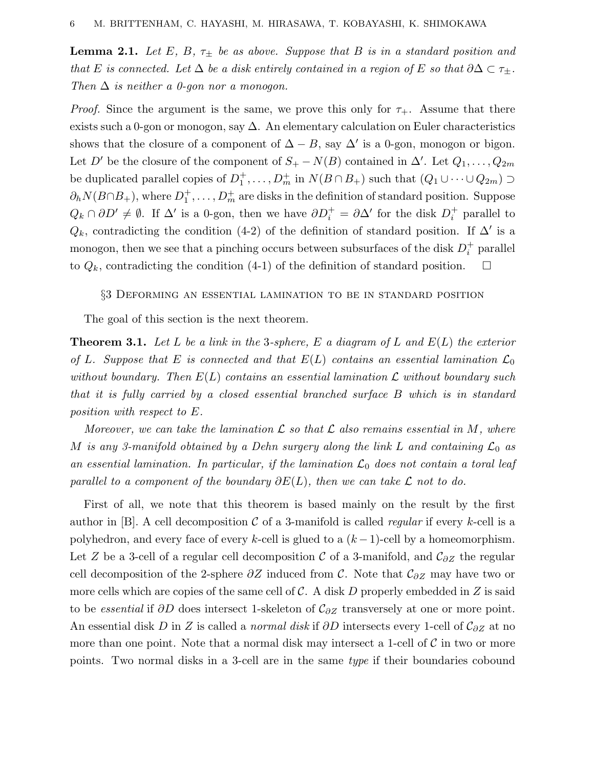**Lemma 2.1.** Let *E*, *B*,  $\tau_{\pm}$  be as above. Suppose that *B* is in a standard position and that *E* is connected. Let  $\Delta$  be a disk entirely contained in a region of *E* so that  $\partial \Delta \subset \tau_{\pm}$ . Then  $\Delta$  is neither a 0-gon nor a monogon.

*Proof.* Since the argument is the same, we prove this only for  $\tau_{+}$ . Assume that there exists such a 0-gon or monogon, say  $\Delta$ . An elementary calculation on Euler characteristics shows that the closure of a component of  $\Delta - B$ , say  $\Delta'$  is a 0-gon, monogon or bigon. Let *D'* be the closure of the component of  $S_+ - N(B)$  contained in  $\Delta'$ . Let  $Q_1, \ldots, Q_{2m}$ be duplicated parallel copies of  $D_1^+$ ,  $\ldots$ ,  $D_m^+$  in  $N(B \cap B_+)$  such that  $(Q_1 \cup \cdots \cup Q_{2m})$  $\partial_h N(B \cap B_+)$ , where  $D_1^+$ , ...,  $D_m^+$  are disks in the definition of standard position. Suppose  $Q_k \cap \partial D' \neq \emptyset$ . If  $\Delta'$  is a 0-gon, then we have  $\partial D_i^+ = \partial \Delta'$  for the disk  $D_i^+$  parallel to  $Q_k$ , contradicting the condition (4-2) of the definition of standard position. If  $\Delta'$  is a monogon, then we see that a pinching occurs between subsurfaces of the disk  $D_i^+$  parallel to  $Q_k$ , contradicting the condition  $(4-1)$  of the definition of standard position.  $\Box$ 

#### §3 Deforming an essential lamination to be in standard position

The goal of this section is the next theorem.

**Theorem 3.1.** Let *L* be a link in the 3-sphere, *E* a diagram of *L* and *E*(*L*) the exterior of *L*. Suppose that *E* is connected and that  $E(L)$  contains an essential lamination  $\mathcal{L}_0$ without boundary. Then  $E(L)$  contains an essential lamination  $\mathcal L$  without boundary such that it is fully carried by a closed essential branched surface *B* which is in standard position with respect to *E*.

Moreover, we can take the lamination  $\mathcal L$  so that  $\mathcal L$  also remains essential in M, where *M* is any 3-manifold obtained by a Dehn surgery along the link *L* and containing  $\mathcal{L}_0$  as an essential lamination. In particular, if the lamination  $\mathcal{L}_0$  does not contain a toral leaf parallel to a component of the boundary  $\partial E(L)$ , then we can take L not to do.

First of all, we note that this theorem is based mainly on the result by the first author in  $[B]$ . A cell decomposition C of a 3-manifold is called *regular* if every *k*-cell is a polyhedron, and every face of every *k*-cell is glued to a (*k* −1)-cell by a homeomorphism. Let *Z* be a 3-cell of a regular cell decomposition C of a 3-manifold, and C*∂Z* the regular cell decomposition of the 2-sphere *∂Z* induced from C. Note that C*∂Z* may have two or more cells which are copies of the same cell of C. A disk *D* properly embedded in *Z* is said to be essential if *∂D* does intersect 1-skeleton of C*∂Z* transversely at one or more point. An essential disk *D* in *Z* is called a normal disk if *∂D* intersects every 1-cell of C*∂Z* at no more than one point. Note that a normal disk may intersect a 1-cell of  $\mathcal C$  in two or more points. Two normal disks in a 3-cell are in the same type if their boundaries cobound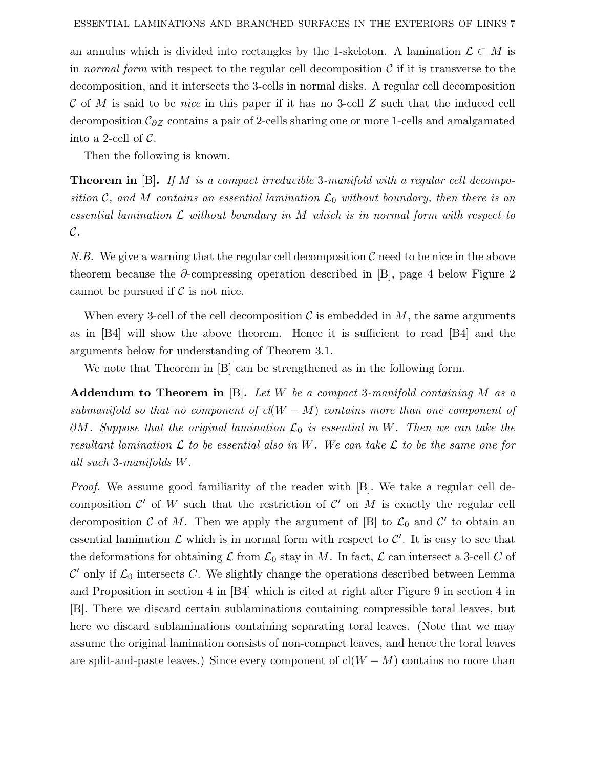an annulus which is divided into rectangles by the 1-skeleton. A lamination  $\mathcal{L} \subset M$  is in normal form with respect to the regular cell decomposition  $\mathcal C$  if it is transverse to the decomposition, and it intersects the 3-cells in normal disks. A regular cell decomposition C of *M* is said to be nice in this paper if it has no 3-cell *Z* such that the induced cell decomposition C*∂Z* contains a pair of 2-cells sharing one or more 1-cells and amalgamated into a 2-cell of  $\mathcal{C}$ .

Then the following is known.

**Theorem in** [B]**.** If *M* is a compact irreducible 3-manifold with a regular cell decomposition C, and M contains an essential lamination  $\mathcal{L}_0$  without boundary, then there is an essential lamination  $\mathcal L$  without boundary in  $M$  which is in normal form with respect to  $\mathcal{C}.$ 

N.B. We give a warning that the regular cell decomposition  $\mathcal C$  need to be nice in the above theorem because the *∂*-compressing operation described in [B], page 4 below Figure 2 cannot be pursued if  $\mathcal C$  is not nice.

When every 3-cell of the cell decomposition  $\mathcal C$  is embedded in  $M$ , the same arguments as in [B4] will show the above theorem. Hence it is sufficient to read [B4] and the arguments below for understanding of Theorem 3.1.

We note that Theorem in [B] can be strengthened as in the following form.

**Addendum to Theorem in** [B]**.** Let *W* be a compact 3-manifold containing *M* as a submanifold so that no component of  $cl(W - M)$  contains more than one component of *∂M*. Suppose that the original lamination  $\mathcal{L}_0$  is essential in *W*. Then we can take the resultant lamination  $\mathcal L$  to be essential also in W. We can take  $\mathcal L$  to be the same one for all such 3-manifolds *W*.

Proof. We assume good familiarity of the reader with [B]. We take a regular cell decomposition  $\mathcal{C}'$  of W such that the restriction of  $\mathcal{C}'$  on M is exactly the regular cell decomposition C of M. Then we apply the argument of [B] to  $\mathcal{L}_0$  and C' to obtain an essential lamination  $\mathcal L$  which is in normal form with respect to  $\mathcal C'$ . It is easy to see that the deformations for obtaining  $\mathcal L$  from  $\mathcal L_0$  stay in *M*. In fact,  $\mathcal L$  can intersect a 3-cell *C* of  $\mathcal{C}'$  only if  $\mathcal{L}_0$  intersects  $C$ . We slightly change the operations described between Lemma and Proposition in section 4 in [B4] which is cited at right after Figure 9 in section 4 in [B]. There we discard certain sublaminations containing compressible toral leaves, but here we discard sublaminations containing separating toral leaves. (Note that we may assume the original lamination consists of non-compact leaves, and hence the toral leaves are split-and-paste leaves.) Since every component of  $cl(W - M)$  contains no more than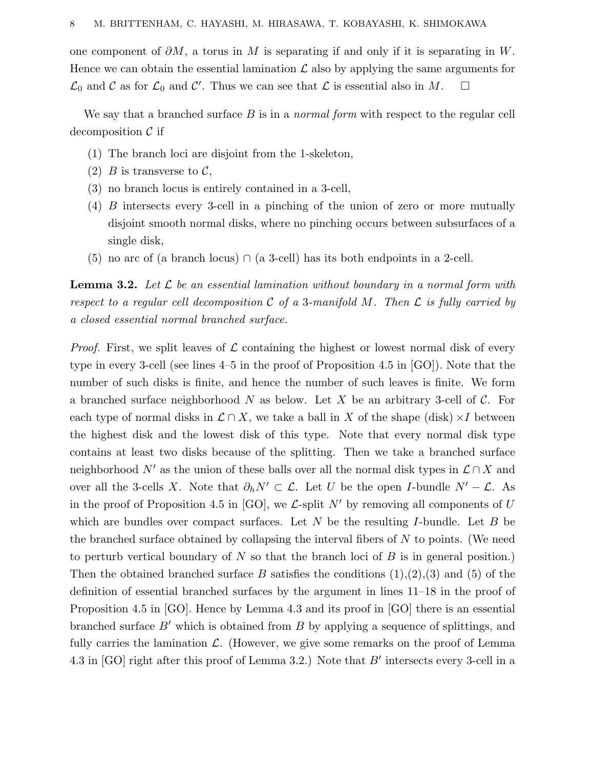one component of *∂M*, a torus in *M* is separating if and only if it is separating in *W*. Hence we can obtain the essential lamination  $\mathcal L$  also by applying the same arguments for  $\mathcal{L}_0$  and  $\mathcal{C}$  as for  $\mathcal{L}_0$  and  $\mathcal{C}'$ . Thus we can see that  $\mathcal{L}$  is essential also in  $M$ .  $\Box$ 

We say that a branched surface *B* is in a normal form with respect to the regular cell decomposition  $\mathcal C$  if

- (1) The branch loci are disjoint from the 1-skeleton,
- (2) *B* is transverse to  $\mathcal{C}$ ,
- (3) no branch locus is entirely contained in a 3-cell,
- (4) *B* intersects every 3-cell in a pinching of the union of zero or more mutually disjoint smooth normal disks, where no pinching occurs between subsurfaces of a single disk,
- (5) no arc of (a branch locus)  $\cap$  (a 3-cell) has its both endpoints in a 2-cell.

**Lemma 3.2.** Let  $\mathcal{L}$  be an essential lamination without boundary in a normal form with respect to a regular cell decomposition C of a 3-manifold M. Then  $\mathcal L$  is fully carried by a closed essential normal branched surface.

*Proof.* First, we split leaves of  $\mathcal L$  containing the highest or lowest normal disk of every type in every 3-cell (see lines 4–5 in the proof of Proposition 4.5 in [GO]). Note that the number of such disks is finite, and hence the number of such leaves is finite. We form a branched surface neighborhood *N* as below. Let *X* be an arbitrary 3-cell of C. For each type of normal disks in  $\mathcal{L} \cap X$ , we take a ball in X of the shape (disk) ×*I* between the highest disk and the lowest disk of this type. Note that every normal disk type contains at least two disks because of the splitting. Then we take a branched surface neighborhood *N'* as the union of these balls over all the normal disk types in  $\mathcal{L} \cap X$  and over all the 3-cells *X*. Note that  $\partial_h N' \subset \mathcal{L}$ . Let *U* be the open *I*-bundle  $N' - \mathcal{L}$ . As in the proof of Proposition 4.5 in [GO], we  $\mathcal{L}$ -split  $N'$  by removing all components of  $U$ which are bundles over compact surfaces. Let *N* be the resulting *I*-bundle. Let *B* be the branched surface obtained by collapsing the interval fibers of *N* to points. (We need to perturb vertical boundary of *N* so that the branch loci of *B* is in general position.) Then the obtained branched surface *B* satisfies the conditions  $(1),(2),(3)$  and  $(5)$  of the definition of essential branched surfaces by the argument in lines 11–18 in the proof of Proposition 4.5 in [GO]. Hence by Lemma 4.3 and its proof in [GO] there is an essential branched surface  $B'$  which is obtained from  $B$  by applying a sequence of splittings, and fully carries the lamination  $\mathcal{L}$ . (However, we give some remarks on the proof of Lemma 4.3 in [GO] right after this proof of Lemma 3.2.) Note that *B'* intersects every 3-cell in a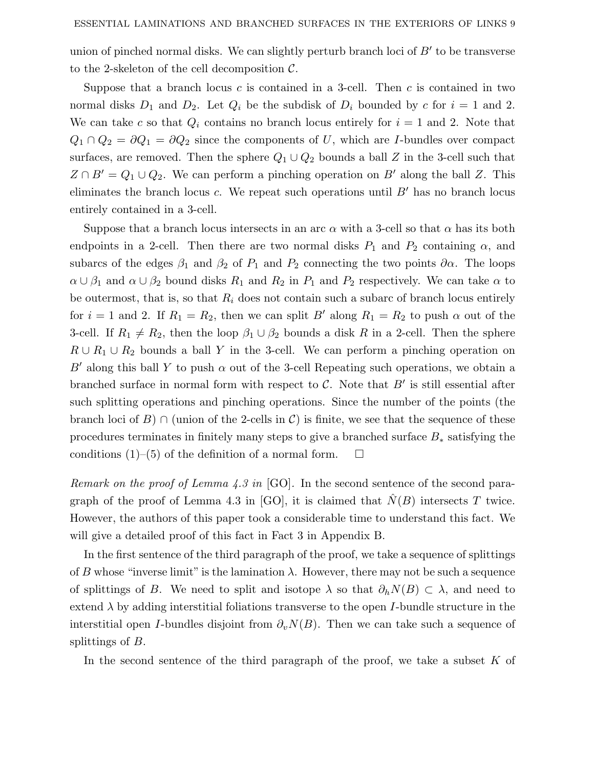union of pinched normal disks. We can slightly perturb branch loci of  $B'$  to be transverse to the 2-skeleton of the cell decomposition  $\mathcal{C}$ .

Suppose that a branch locus *c* is contained in a 3-cell. Then *c* is contained in two normal disks  $D_1$  and  $D_2$ . Let  $Q_i$  be the subdisk of  $D_i$  bounded by  $c$  for  $i = 1$  and 2. We can take *c* so that  $Q_i$  contains no branch locus entirely for  $i = 1$  and 2. Note that  $Q_1 \cap Q_2 = \partial Q_1 = \partial Q_2$  since the components of *U*, which are *I*-bundles over compact surfaces, are removed. Then the sphere  $Q_1 \cup Q_2$  bounds a ball *Z* in the 3-cell such that  $Z \cap B' = Q_1 \cup Q_2$ . We can perform a pinching operation on *B'* along the ball *Z*. This eliminates the branch locus  $c$ . We repeat such operations until  $B'$  has no branch locus entirely contained in a 3-cell.

Suppose that a branch locus intersects in an arc  $\alpha$  with a 3-cell so that  $\alpha$  has its both endpoints in a 2-cell. Then there are two normal disks  $P_1$  and  $P_2$  containing  $\alpha$ , and subarcs of the edges  $\beta_1$  and  $\beta_2$  of  $P_1$  and  $P_2$  connecting the two points  $\partial \alpha$ . The loops  $\alpha \cup \beta_1$  and  $\alpha \cup \beta_2$  bound disks  $R_1$  and  $R_2$  in  $P_1$  and  $P_2$  respectively. We can take  $\alpha$  to be outermost, that is, so that  $R_i$  does not contain such a subarc of branch locus entirely for  $i = 1$  and 2. If  $R_1 = R_2$ , then we can split *B'* along  $R_1 = R_2$  to push  $\alpha$  out of the 3-cell. If  $R_1 \neq R_2$ , then the loop  $\beta_1 \cup \beta_2$  bounds a disk *R* in a 2-cell. Then the sphere  $R \cup R_1 \cup R_2$  bounds a ball *Y* in the 3-cell. We can perform a pinching operation on *B'* along this ball *Y* to push  $\alpha$  out of the 3-cell Repeating such operations, we obtain a branched surface in normal form with respect to  $\mathcal C$ . Note that  $B'$  is still essential after such splitting operations and pinching operations. Since the number of the points (the branch loci of *B*) ∩ (union of the 2-cells in  $\mathcal{C}$ ) is finite, we see that the sequence of these procedures terminates in finitely many steps to give a branched surface *B*<sup>∗</sup> satisfying the conditions  $(1)$ – $(5)$  of the definition of a normal form.  $\Box$ 

Remark on the proof of Lemma 4.3 in [GO]. In the second sentence of the second paragraph of the proof of Lemma 4.3 in [GO], it is claimed that  $\hat{N}(B)$  intersects *T* twice. However, the authors of this paper took a considerable time to understand this fact. We will give a detailed proof of this fact in Fact 3 in Appendix B.

In the first sentence of the third paragraph of the proof, we take a sequence of splittings of *B* whose "inverse limit" is the lamination  $\lambda$ . However, there may not be such a sequence of splittings of *B*. We need to split and isotope  $\lambda$  so that  $\partial_h N(B) \subset \lambda$ , and need to extend *λ* by adding interstitial foliations transverse to the open *I*-bundle structure in the interstitial open *I*-bundles disjoint from  $\partial_v N(B)$ . Then we can take such a sequence of splittings of *B*.

In the second sentence of the third paragraph of the proof, we take a subset *K* of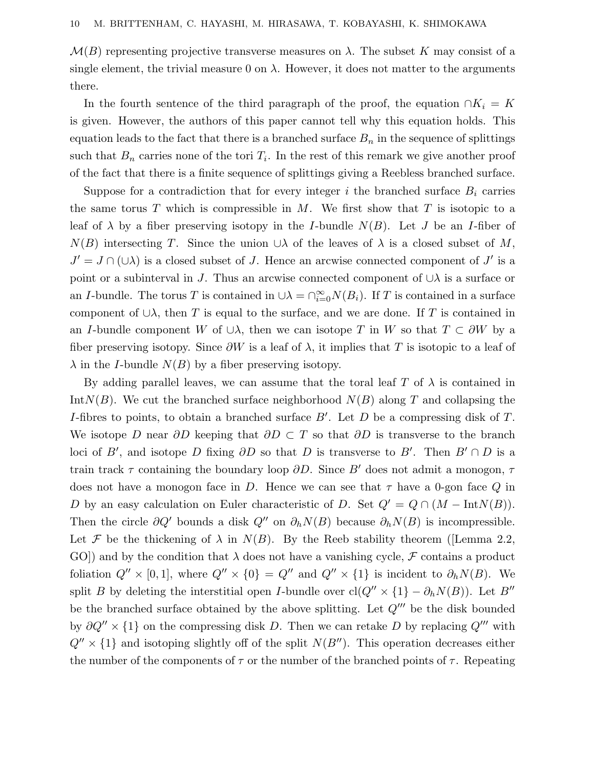$\mathcal{M}(B)$  representing projective transverse measures on  $\lambda$ . The subset K may consist of a single element, the trivial measure  $0$  on  $\lambda$ . However, it does not matter to the arguments there.

In the fourth sentence of the third paragraph of the proof, the equation  $\cap K_i = K$ is given. However, the authors of this paper cannot tell why this equation holds. This equation leads to the fact that there is a branched surface  $B_n$  in the sequence of splittings such that  $B_n$  carries none of the tori  $T_i$ . In the rest of this remark we give another proof of the fact that there is a finite sequence of splittings giving a Reebless branched surface.

Suppose for a contradiction that for every integer  $i$  the branched surface  $B_i$  carries the same torus *T* which is compressible in *M*. We first show that *T* is isotopic to a leaf of  $\lambda$  by a fiber preserving isotopy in the *I*-bundle  $N(B)$ . Let *J* be an *I*-fiber of  $N(B)$  intersecting *T*. Since the union ∪*λ* of the leaves of  $\lambda$  is a closed subset of *M*,  $J' = J \cap (\cup \lambda)$  is a closed subset of *J*. Hence an arcwise connected component of *J'* is a point or a subinterval in *J*. Thus an arcwise connected component of  $\cup \lambda$  is a surface or an *I*-bundle. The torus *T* is contained in  $\cup \lambda = \bigcap_{i=0}^{\infty} N(B_i)$ . If *T* is contained in a surface component of ∪*λ*, then *T* is equal to the surface, and we are done. If *T* is contained in an *I*-bundle component *W* of  $\cup \lambda$ , then we can isotope *T* in *W* so that  $T \subset \partial W$  by a fiber preserving isotopy. Since  $\partial W$  is a leaf of  $\lambda$ , it implies that T is isotopic to a leaf of  $\lambda$  in the *I*-bundle  $N(B)$  by a fiber preserving isotopy.

By adding parallel leaves, we can assume that the toral leaf  $T$  of  $\lambda$  is contained in Int $N(B)$ . We cut the branched surface neighborhood  $N(B)$  along *T* and collapsing the *I*-fibres to points, to obtain a branched surface *B* . Let *D* be a compressing disk of *T*. We isotope *D* near *∂D* keeping that *∂D* ⊂ *T* so that *∂D* is transverse to the branch loci of *B*<sup>'</sup>, and isotope *D* fixing  $\partial D$  so that *D* is transverse to *B*<sup>'</sup>. Then  $B' \cap D$  is a train track  $\tau$  containing the boundary loop  $\partial D$ . Since *B'* does not admit a monogon,  $\tau$ does not have a monogon face in *D*. Hence we can see that  $\tau$  have a 0-gon face *Q* in *D* by an easy calculation on Euler characteristic of *D*. Set  $Q' = Q \cap (M - \text{Int}N(B)).$ Then the circle  $\partial Q'$  bounds a disk  $Q''$  on  $\partial_h N(B)$  because  $\partial_h N(B)$  is incompressible. Let F be the thickening of  $\lambda$  in  $N(B)$ . By the Reeb stability theorem ([Lemma 2.2, GO]) and by the condition that  $\lambda$  does not have a vanishing cycle,  $\mathcal F$  contains a product foliation  $Q'' \times [0,1]$ , where  $Q'' \times \{0\} = Q''$  and  $Q'' \times \{1\}$  is incident to  $\partial_h N(B)$ . We split *B* by deleting the interstitial open *I*-bundle over  $cl(Q'' \times \{1\} - \partial_h N(B))$ . Let *B*<sup>*n*</sup> be the branched surface obtained by the above splitting. Let  $Q^{\prime\prime\prime}$  be the disk bounded by  $\partial Q'' \times \{1\}$  on the compressing disk *D*. Then we can retake *D* by replacing  $Q'''$  with  $Q'' \times \{1\}$  and isotoping slightly off of the split  $N(B'')$ . This operation decreases either the number of the components of  $\tau$  or the number of the branched points of  $\tau$ . Repeating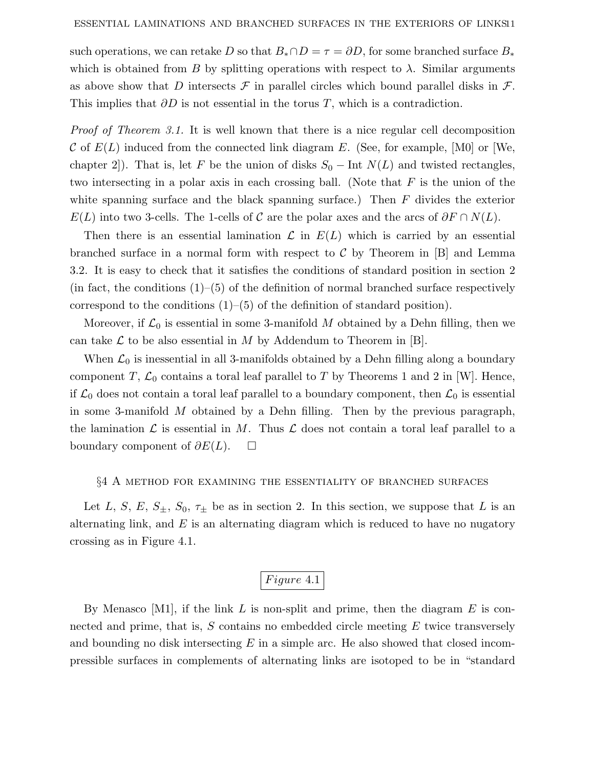such operations, we can retake *D* so that  $B_* \cap D = \tau = \partial D$ , for some branched surface  $B_*$ which is obtained from *B* by splitting operations with respect to  $\lambda$ . Similar arguments as above show that *D* intersects  $\mathcal F$  in parallel circles which bound parallel disks in  $\mathcal F$ . This implies that *∂D* is not essential in the torus *T*, which is a contradiction.

Proof of Theorem 3.1. It is well known that there is a nice regular cell decomposition C of *E*(*L*) induced from the connected link diagram *E*. (See, for example, [M0] or [We, chapter 2]). That is, let *F* be the union of disks  $S_0$  – Int  $N(L)$  and twisted rectangles, two intersecting in a polar axis in each crossing ball. (Note that *F* is the union of the white spanning surface and the black spanning surface.) Then *F* divides the exterior  $E(L)$  into two 3-cells. The 1-cells of C are the polar axes and the arcs of  $\partial F \cap N(L)$ .

Then there is an essential lamination  $\mathcal L$  in  $E(L)$  which is carried by an essential branched surface in a normal form with respect to  $\mathcal C$  by Theorem in [B] and Lemma 3.2. It is easy to check that it satisfies the conditions of standard position in section 2 (in fact, the conditions  $(1)$ – $(5)$  of the definition of normal branched surface respectively correspond to the conditions  $(1)$ – $(5)$  of the definition of standard position).

Moreover, if  $\mathcal{L}_0$  is essential in some 3-manifold M obtained by a Dehn filling, then we can take  $\mathcal L$  to be also essential in  $M$  by Addendum to Theorem in [B].

When  $\mathcal{L}_0$  is inessential in all 3-manifolds obtained by a Dehn filling along a boundary component *T*,  $\mathcal{L}_0$  contains a toral leaf parallel to *T* by Theorems 1 and 2 in [W]. Hence, if  $\mathcal{L}_0$  does not contain a toral leaf parallel to a boundary component, then  $\mathcal{L}_0$  is essential in some 3-manifold *M* obtained by a Dehn filling. Then by the previous paragraph, the lamination  $\mathcal L$  is essential in M. Thus  $\mathcal L$  does not contain a toral leaf parallel to a boundary component of *∂E*(*L*).

#### §4 A method for examining the essentiality of branched surfaces

Let *L*, *S*, *E*,  $S_{\pm}$ ,  $S_0$ ,  $\tau_{\pm}$  be as in section 2. In this section, we suppose that *L* is an alternating link, and *E* is an alternating diagram which is reduced to have no nugatory crossing as in Figure 4.1.

## *Figure* 4.1

By Menasco [M1], if the link *L* is non-split and prime, then the diagram *E* is connected and prime, that is, *S* contains no embedded circle meeting *E* twice transversely and bounding no disk intersecting *E* in a simple arc. He also showed that closed incompressible surfaces in complements of alternating links are isotoped to be in "standard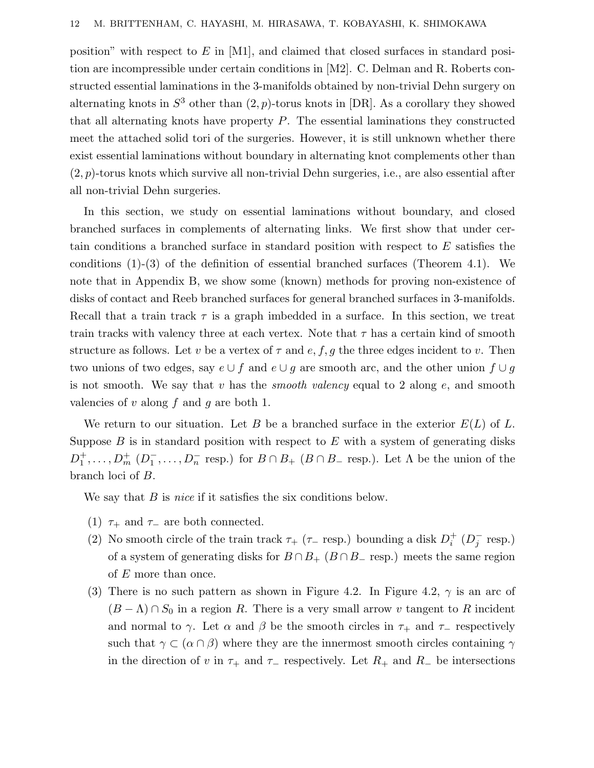position" with respect to *E* in [M1], and claimed that closed surfaces in standard position are incompressible under certain conditions in [M2]. C. Delman and R. Roberts constructed essential laminations in the 3-manifolds obtained by non-trivial Dehn surgery on alternating knots in  $S^3$  other than  $(2, p)$ -torus knots in [DR]. As a corollary they showed that all alternating knots have property *P*. The essential laminations they constructed meet the attached solid tori of the surgeries. However, it is still unknown whether there exist essential laminations without boundary in alternating knot complements other than (2*, p*)-torus knots which survive all non-trivial Dehn surgeries, i.e., are also essential after all non-trivial Dehn surgeries.

In this section, we study on essential laminations without boundary, and closed branched surfaces in complements of alternating links. We first show that under certain conditions a branched surface in standard position with respect to *E* satisfies the conditions (1)-(3) of the definition of essential branched surfaces (Theorem 4.1). We note that in Appendix B, we show some (known) methods for proving non-existence of disks of contact and Reeb branched surfaces for general branched surfaces in 3-manifolds. Recall that a train track  $\tau$  is a graph imbedded in a surface. In this section, we treat train tracks with valency three at each vertex. Note that *τ* has a certain kind of smooth structure as follows. Let *v* be a vertex of  $\tau$  and  $e, f, g$  the three edges incident to *v*. Then two unions of two edges, say  $e \cup f$  and  $e \cup g$  are smooth arc, and the other union  $f \cup g$ is not smooth. We say that *v* has the smooth valency equal to 2 along *e*, and smooth valencies of *v* along *f* and *g* are both 1.

We return to our situation. Let *B* be a branched surface in the exterior *E*(*L*) of *L*. Suppose *B* is in standard position with respect to *E* with a system of generating disks  $D_1^+$ ,..., $D_m^+$  ( $D_1^-$ ,..., $D_n^-$  resp.) for  $B \cap B_+$  ( $B \cap B_-$  resp.). Let  $\Lambda$  be the union of the branch loci of *B*.

We say that *B* is *nice* if it satisfies the six conditions below.

- (1)  $\tau_+$  and  $\tau_-$  are both connected.
- (2) No smooth circle of the train track  $\tau_+$  ( $\tau_-$  resp.) bounding a disk  $D_i^+$  ( $D_j^-$  resp.) of a system of generating disks for  $B \cap B_+$  ( $B \cap B_-$  resp.) meets the same region of *E* more than once.
- (3) There is no such pattern as shown in Figure 4.2. In Figure 4.2,  $\gamma$  is an arc of  $(B - \Lambda) \cap S_0$  in a region R. There is a very small arrow v tangent to R incident and normal to *γ*. Let  $\alpha$  and  $\beta$  be the smooth circles in  $\tau_+$  and  $\tau_-$  respectively such that  $\gamma \subset (\alpha \cap \beta)$  where they are the innermost smooth circles containing  $\gamma$ in the direction of *v* in  $\tau_+$  and  $\tau_-$  respectively. Let  $R_+$  and  $R_-$  be intersections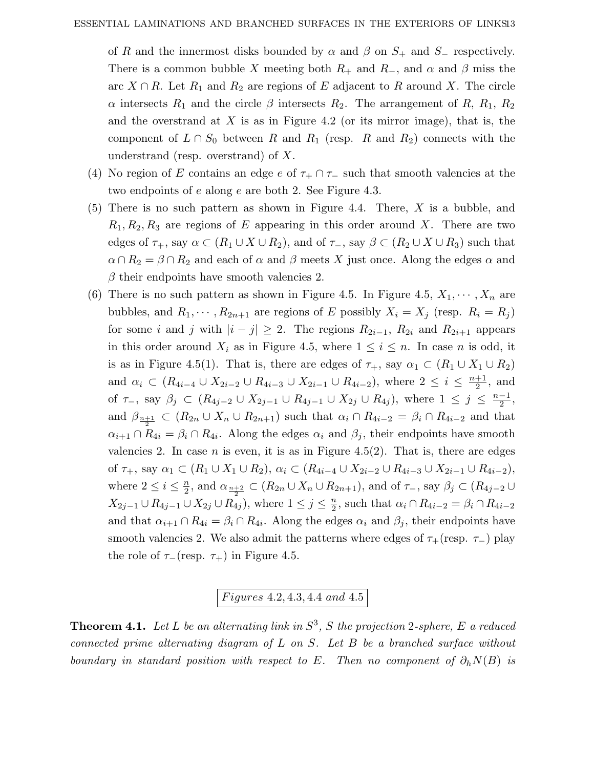of *R* and the innermost disks bounded by  $\alpha$  and  $\beta$  on  $S_+$  and  $S_-$  respectively. There is a common bubble *X* meeting both  $R_+$  and  $R_-$ , and  $\alpha$  and  $\beta$  miss the arc  $X \cap R$ . Let  $R_1$  and  $R_2$  are regions of *E* adjacent to *R* around *X*. The circle *α* intersects  $R_1$  and the circle  $\beta$  intersects  $R_2$ . The arrangement of  $R$ ,  $R_1$ ,  $R_2$ and the overstrand at *X* is as in Figure 4.2 (or its mirror image), that is, the component of  $L \cap S_0$  between R and  $R_1$  (resp. R and  $R_2$ ) connects with the understrand (resp. overstrand) of *X*.

- (4) No region of *E* contains an edge *e* of  $\tau_+ \cap \tau_-$  such that smooth valencies at the two endpoints of *e* along *e* are both 2. See Figure 4.3.
- (5) There is no such pattern as shown in Figure 4.4. There, *X* is a bubble, and  $R_1, R_2, R_3$  are regions of *E* appearing in this order around *X*. There are two edges of  $\tau_+$ , say  $\alpha \subset (R_1 \cup X \cup R_2)$ , and of  $\tau_-$ , say  $\beta \subset (R_2 \cup X \cup R_3)$  such that  $\alpha \cap R_2 = \beta \cap R_2$  and each of  $\alpha$  and  $\beta$  meets *X* just once. Along the edges  $\alpha$  and  $\beta$  their endpoints have smooth valencies 2.
- (6) There is no such pattern as shown in Figure 4.5. In Figure 4.5,  $X_1, \dots, X_n$  are bubbles, and  $R_1, \dots, R_{2n+1}$  are regions of *E* possibly  $X_i = X_j$  (resp.  $R_i = R_j$ ) for some *i* and *j* with  $|i - j| \geq 2$ . The regions  $R_{2i-1}$ ,  $R_{2i}$  and  $R_{2i+1}$  appears in this order around  $X_i$  as in Figure 4.5, where  $1 \leq i \leq n$ . In case *n* is odd, it is as in Figure 4.5(1). That is, there are edges of  $\tau_+$ , say  $\alpha_1 \subset (R_1 \cup X_1 \cup R_2)$ and  $\alpha_i \subset (R_{4i-4} \cup X_{2i-2} \cup R_{4i-3} \cup X_{2i-1} \cup R_{4i-2})$ , where  $2 \leq i \leq \frac{n+1}{2}$ , and of  $\tau_{-}$ , say  $\beta_j \subset (R_{4j-2} \cup X_{2j-1} \cup R_{4j-1} \cup X_{2j} \cup R_{4j})$ , where  $1 \leq j \leq \frac{n-1}{2}$ , and  $\beta_{\frac{n+1}{2}} \subset (R_{2n} \cup X_n \cup R_{2n+1})$  such that  $\alpha_i \cap R_{4i-2} = \beta_i \cap R_{4i-2}$  and that  $\alpha_{i+1} \cap R_{4i} = \beta_i \cap R_{4i}$ . Along the edges  $\alpha_i$  and  $\beta_j$ , their endpoints have smooth valencies 2. In case  $n$  is even, it is as in Figure 4.5(2). That is, there are edges of  $\tau_+$ , say  $\alpha_1 \subset (R_1 \cup X_1 \cup R_2), \ \alpha_i \subset (R_{4i-4} \cup X_{2i-2} \cup R_{4i-3} \cup X_{2i-1} \cup R_{4i-2}),$ where  $2 \leq i \leq \frac{n}{2}$ , and  $\alpha_{\frac{n+2}{2}} \subset (R_{2n} \cup X_n \cup R_{2n+1})$ , and of  $\tau_-$ , say  $\beta_j \subset (R_{4j-2} \cup$  $X_{2j-1} \cup R_{4j-1} \cup X_{2j} \cup R_{4j}$ , where  $1 \leq j \leq \frac{n}{2}$ , such that  $\alpha_i \cap R_{4i-2} = \beta_i \cap R_{4i-2}$ and that  $\alpha_{i+1} \cap R_{4i} = \beta_i \cap R_{4i}$ . Along the edges  $\alpha_i$  and  $\beta_j$ , their endpoints have smooth valencies 2. We also admit the patterns where edges of  $\tau_{+}$ (resp.  $\tau_{-}$ ) play the role of  $\tau_{-}$ (resp.  $\tau_{+}$ ) in Figure 4.5.

*F igures* 4*.*2*,* 4*.*3*,* 4*.*4 *and* 4*.*5

**Theorem 4.1.** Let L be an alternating link in  $S^3$ , *S* the projection 2-sphere, *E* a reduced connected prime alternating diagram of *L* on *S*. Let *B* be a branched surface without boundary in standard position with respect to *E*. Then no component of  $\partial_h N(B)$  is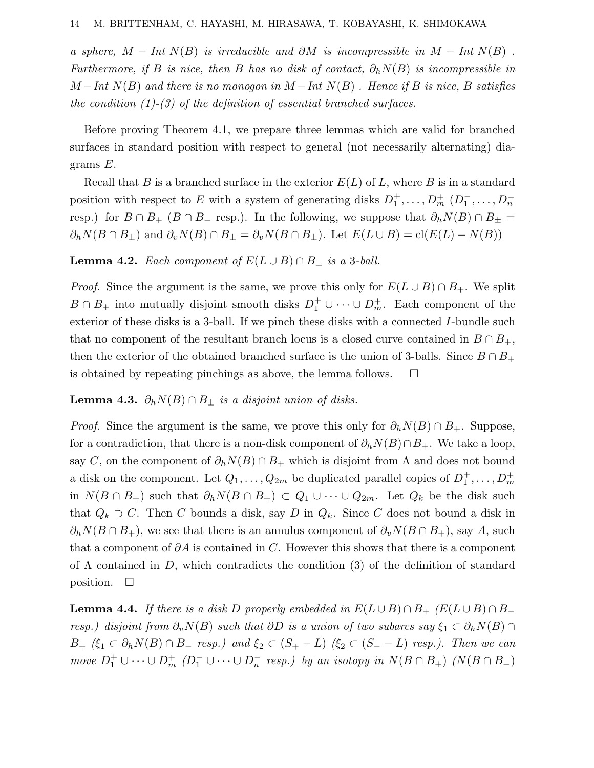a sphere,  $M - Int N(B)$  is irreducible and  $\partial M$  is incompressible in  $M - Int N(B)$ . Furthermore, if *B* is nice, then *B* has no disk of contact,  $\partial_h N(B)$  is incompressible in  $M - Int N(B)$  and there is no monogon in  $M - Int N(B)$ . Hence if *B* is nice, *B* satisfies the condition  $(1)-(3)$  of the definition of essential branched surfaces.

Before proving Theorem 4.1, we prepare three lemmas which are valid for branched surfaces in standard position with respect to general (not necessarily alternating) diagrams *E*.

Recall that *B* is a branched surface in the exterior  $E(L)$  of *L*, where *B* is in a standard position with respect to *E* with a system of generating disks  $D_1^+, \ldots, D_m^+$   $(D_1^-, \ldots, D_n^-)$ resp.) for  $B \cap B_+$  ( $B \cap B_-$  resp.). In the following, we suppose that  $\partial_h N(B) \cap B_\pm =$  $\partial_h N(B \cap B_{\pm})$  and  $\partial_v N(B) \cap B_{\pm} = \partial_v N(B \cap B_{\pm})$ . Let  $E(L \cup B) = \text{cl}(E(L) - N(B))$ 

**Lemma 4.2.** Each component of  $E(L \cup B) \cap B_+$  is a 3-ball.

*Proof.* Since the argument is the same, we prove this only for  $E(L \cup B) \cap B_+$ . We split  $B \cap B_+$  into mutually disjoint smooth disks  $D_1^+ \cup \cdots \cup D_m^+$ . Each component of the exterior of these disks is a 3-ball. If we pinch these disks with a connected *I*-bundle such that no component of the resultant branch locus is a closed curve contained in  $B \cap B_+$ , then the exterior of the obtained branched surface is the union of 3-balls. Since  $B \cap B_+$ is obtained by repeating pinchings as above, the lemma follows.  $\Box$ 

#### **Lemma 4.3.**  $\partial_h N(B) \cap B_+$  is a disjoint union of disks.

*Proof.* Since the argument is the same, we prove this only for  $\partial_h N(B) \cap B_+$ . Suppose, for a contradiction, that there is a non-disk component of  $\partial_h N(B) \cap B_+$ . We take a loop, say *C*, on the component of  $\partial_h N(B) \cap B_+$  which is disjoint from  $\Lambda$  and does not bound a disk on the component. Let  $Q_1, \ldots, Q_{2m}$  be duplicated parallel copies of  $D_1^+, \ldots, D_m^+$ in  $N(B \cap B_+)$  such that  $\partial_h N(B \cap B_+)$  ⊂  $Q_1 \cup \cdots \cup Q_{2m}$ . Let  $Q_k$  be the disk such that  $Q_k \supset C$ . Then *C* bounds a disk, say *D* in  $Q_k$ . Since *C* does not bound a disk in  $\partial_h N(B \cap B_+)$ , we see that there is an annulus component of  $\partial_v N(B \cap B_+)$ , say *A*, such that a component of *∂A* is contained in *C*. However this shows that there is a component of Λ contained in *D*, which contradicts the condition (3) of the definition of standard position.  $\square$ 

**Lemma 4.4.** If there is a disk *D* properly embedded in  $E(L \cup B) \cap B_+$  ( $E(L \cup B) \cap B_-$ ) resp.) disjoint from  $\partial_v N(B)$  such that  $\partial D$  is a union of two subarcs say  $\xi_1 \subset \partial_h N(B) \cap$ *B*+ ( $\xi$ <sup>1</sup> ⊂  $\partial$ <sup>*h*</sup>*N*(*B*) ∩ *B*− *resp.*) and  $\xi$ <sup>2</sup> ⊂ (*S*+ − *L*) ( $\xi$ <sup>2</sup> ⊂ (*S*− − *L*) resp.). Then we can  $move$   $D_1^+ \cup \cdots \cup D_m^+$   $(D_1^- \cup \cdots \cup D_n^-$  resp.) by an isotopy in  $N(B \cap B_+)$   $(N(B \cap B_-))$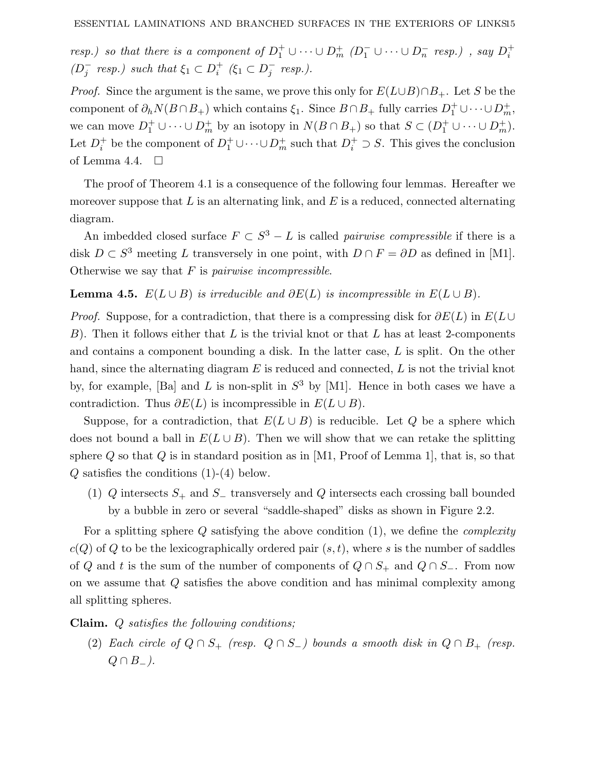resp.) so that there is a component of  $D_1^+ \cup \cdots \cup D_m^+$  ( $D_1^- \cup \cdots \cup D_n^-$  resp.), say  $D_i^+$  $(D_j^-$  resp.) such that  $\xi_1 \subset D_i^+$  ( $\xi_1 \subset D_j^-$  resp.).

Proof. Since the argument is the same, we prove this only for *E*(*L*∪*B*)∩*B*+. Let *S* be the component of  $\partial_h N(B \cap B_+)$  which contains  $\xi_1$ . Since  $B \cap B_+$  fully carries  $D_1^+ \cup \cdots \cup D_m^+$ , we can move  $D_1^+ \cup \cdots \cup D_m^+$  by an isotopy in  $N(B \cap B_+)$  so that  $S \subset (D_1^+ \cup \cdots \cup D_m^+)$ . Let  $D_i^+$  be the component of  $D_1^+ \cup \cdots \cup D_m^+$  such that  $D_i^+ \supset S$ . This gives the conclusion of Lemma 4.4.  $\Box$ 

The proof of Theorem 4.1 is a consequence of the following four lemmas. Hereafter we moreover suppose that *L* is an alternating link, and *E* is a reduced, connected alternating diagram.

An imbedded closed surface  $F \subset S^3 - L$  is called *pairwise compressible* if there is a disk  $D \subset S^3$  meeting *L* transversely in one point, with  $D \cap F = \partial D$  as defined in [M1]. Otherwise we say that *F* is pairwise incompressible.

**Lemma 4.5.**  $E(L \cup B)$  is irreducible and  $\partial E(L)$  is incompressible in  $E(L \cup B)$ .

*Proof.* Suppose, for a contradiction, that there is a compressing disk for  $\partial E(L)$  in  $E(L \cup$ *B*). Then it follows either that *L* is the trivial knot or that *L* has at least 2-components and contains a component bounding a disk. In the latter case, *L* is split. On the other hand, since the alternating diagram *E* is reduced and connected, *L* is not the trivial knot by, for example, [Ba] and *L* is non-split in  $S<sup>3</sup>$  by [M1]. Hence in both cases we have a contradiction. Thus  $\partial E(L)$  is incompressible in  $E(L \cup B)$ .

Suppose, for a contradiction, that  $E(L \cup B)$  is reducible. Let *Q* be a sphere which does not bound a ball in  $E(L \cup B)$ . Then we will show that we can retake the splitting sphere *Q* so that *Q* is in standard position as in [M1, Proof of Lemma 1], that is, so that *Q* satisfies the conditions (1)-(4) below.

(1) *Q* intersects *S*<sup>+</sup> and *S*<sup>−</sup> transversely and *Q* intersects each crossing ball bounded by a bubble in zero or several "saddle-shaped" disks as shown in Figure 2.2.

For a splitting sphere *Q* satisfying the above condition (1), we define the complexity  $c(Q)$  of *Q* to be the lexicographically ordered pair  $(s, t)$ , where *s* is the number of saddles of *Q* and *t* is the sum of the number of components of  $Q \cap S_+$  and  $Q \cap S_-$ . From now on we assume that *Q* satisfies the above condition and has minimal complexity among all splitting spheres.

**Claim.** *Q* satisfies the following conditions;

(2) Each circle of  $Q \cap S_+$  (resp.  $Q \cap S_-$ ) bounds a smooth disk in  $Q \cap B_+$  (resp.  $Q \cap B_-\$ .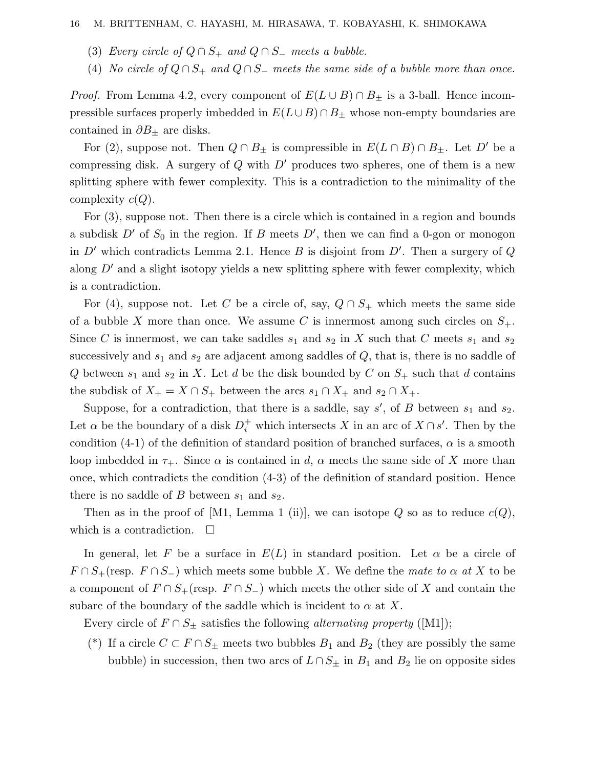- (3) Every circle of  $Q \cap S_+$  and  $Q \cap S_-$  meets a bubble.
- (4) No circle of  $Q \cap S_+$  and  $Q \cap S_-$  meets the same side of a bubble more than once.

*Proof.* From Lemma 4.2, every component of  $E(L \cup B) \cap B_{\pm}$  is a 3-ball. Hence incompressible surfaces properly imbedded in  $E(L \cup B) \cap B_{\pm}$  whose non-empty boundaries are contained in *∂B*<sup>±</sup> are disks.

For (2), suppose not. Then  $Q \cap B_{\pm}$  is compressible in  $E(L \cap B) \cap B_{\pm}$ . Let  $D'$  be a compressing disk. A surgery of  $Q$  with  $D'$  produces two spheres, one of them is a new splitting sphere with fewer complexity. This is a contradiction to the minimality of the complexity *c*(*Q*).

For (3), suppose not. Then there is a circle which is contained in a region and bounds a subdisk  $D'$  of  $S_0$  in the region. If  $B$  meets  $D'$ , then we can find a 0-gon or monogon in  $D'$  which contradicts Lemma 2.1. Hence  $B$  is disjoint from  $D'$ . Then a surgery of  $Q$ along  $D'$  and a slight isotopy yields a new splitting sphere with fewer complexity, which is a contradiction.

For (4), suppose not. Let C be a circle of, say,  $Q \cap S_+$  which meets the same side of a bubble X more than once. We assume C is innermost among such circles on  $S_+$ . Since *C* is innermost, we can take saddles  $s_1$  and  $s_2$  in *X* such that *C* meets  $s_1$  and  $s_2$ successively and  $s_1$  and  $s_2$  are adjacent among saddles of  $Q$ , that is, there is no saddle of *Q* between  $s_1$  and  $s_2$  in *X*. Let *d* be the disk bounded by *C* on  $S_+$  such that *d* contains the subdisk of  $X_+ = X \cap S_+$  between the arcs  $s_1 \cap X_+$  and  $s_2 \cap X_+$ .

Suppose, for a contradiction, that there is a saddle, say *s* , of *B* between *s*<sup>1</sup> and *s*2. Let  $\alpha$  be the boundary of a disk  $D_i^+$  which intersects *X* in an arc of  $X \cap s'$ . Then by the condition  $(4-1)$  of the definition of standard position of branched surfaces,  $\alpha$  is a smooth loop imbedded in  $\tau_{+}$ . Since  $\alpha$  is contained in *d*,  $\alpha$  meets the same side of X more than once, which contradicts the condition (4-3) of the definition of standard position. Hence there is no saddle of  $B$  between  $s_1$  and  $s_2$ .

Then as in the proof of [M1, Lemma 1 (ii)], we can isotope  $Q$  so as to reduce  $c(Q)$ , which is a contradiction.  $\Box$ 

In general, let F be a surface in  $E(L)$  in standard position. Let  $\alpha$  be a circle of  $F \cap S_+$ (resp.  $F \cap S_-$ ) which meets some bubble *X*. We define the mate to  $\alpha$  at *X* to be a component of  $F \cap S_+$  (resp.  $F \cap S_-$ ) which meets the other side of X and contain the subarc of the boundary of the saddle which is incident to  $\alpha$  at X.

Every circle of  $F \cap S_{\pm}$  satisfies the following *alternating property* ([M1]);

(\*) If a circle  $C \subset F \cap S_{\pm}$  meets two bubbles  $B_1$  and  $B_2$  (they are possibly the same bubble) in succession, then two arcs of  $L \cap S_{\pm}$  in  $B_1$  and  $B_2$  lie on opposite sides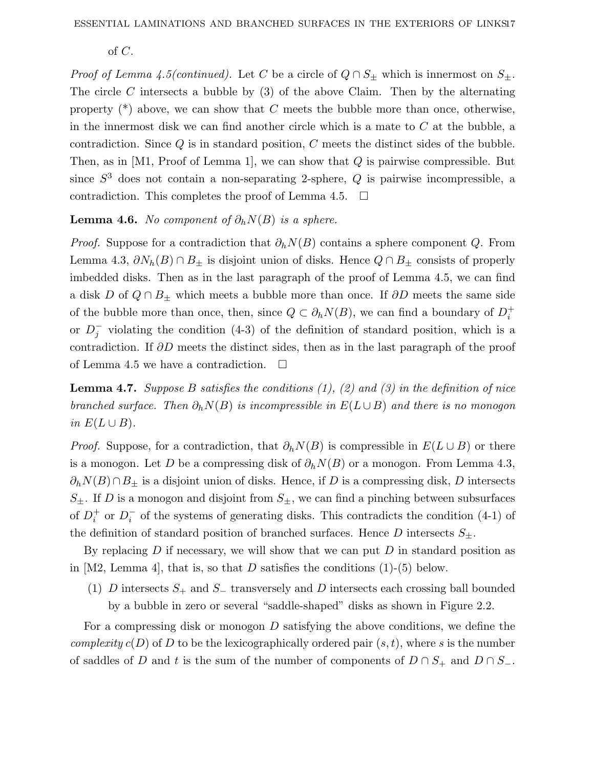of *C*.

*Proof of Lemma 4.5(continued).* Let *C* be a circle of  $Q \cap S_{\pm}$  which is innermost on  $S_{\pm}$ . The circle *C* intersects a bubble by (3) of the above Claim. Then by the alternating property (\*) above, we can show that *C* meets the bubble more than once, otherwise, in the innermost disk we can find another circle which is a mate to *C* at the bubble, a contradiction. Since *Q* is in standard position, *C* meets the distinct sides of the bubble. Then, as in [M1, Proof of Lemma 1], we can show that *Q* is pairwise compressible. But since  $S<sup>3</sup>$  does not contain a non-separating 2-sphere,  $Q$  is pairwise incompressible, a contradiction. This completes the proof of Lemma 4.5.  $\Box$ 

#### **Lemma 4.6.** No component of  $\partial_h N(B)$  is a sphere.

Proof. Suppose for a contradiction that *∂hN*(*B*) contains a sphere component *Q*. From Lemma 4.3,  $\partial N_h(B) \cap B_{\pm}$  is disjoint union of disks. Hence  $Q \cap B_{\pm}$  consists of properly imbedded disks. Then as in the last paragraph of the proof of Lemma 4.5, we can find a disk *D* of  $Q \cap B_+$  which meets a bubble more than once. If  $\partial D$  meets the same side of the bubble more than once, then, since  $Q \subset \partial_h N(B)$ , we can find a boundary of  $D_i^+$ or  $D_j^-$  violating the condition (4-3) of the definition of standard position, which is a contradiction. If *∂D* meets the distinct sides, then as in the last paragraph of the proof of Lemma 4.5 we have a contradiction.  $\Box$ 

**Lemma 4.7.** Suppose *B* satisfies the conditions (1),(2) and (3) in the definition of nice branched surface. Then  $\partial_h N(B)$  is incompressible in  $E(L \cup B)$  and there is no monogon *in*  $E(L ∪ B)$ .

*Proof.* Suppose, for a contradiction, that  $\partial_h N(B)$  is compressible in  $E(L \cup B)$  or there is a monogon. Let *D* be a compressing disk of  $\partial_h N(B)$  or a monogon. From Lemma 4.3,  $\partial_h N(B) \cap B_{\pm}$  is a disjoint union of disks. Hence, if *D* is a compressing disk, *D* intersects  $S_{\pm}$ . If *D* is a monogon and disjoint from  $S_{\pm}$ , we can find a pinching between subsurfaces of  $D_i^+$  or  $D_i^-$  of the systems of generating disks. This contradicts the condition (4-1) of the definition of standard position of branched surfaces. Hence  $D$  intersects  $S_{\pm}$ .

By replacing *D* if necessary, we will show that we can put *D* in standard position as in  $[M2, Lemma 4]$ , that is, so that *D* satisfies the conditions  $(1)-(5)$  below.

(1) *D* intersects *S*<sup>+</sup> and *S*<sup>−</sup> transversely and *D* intersects each crossing ball bounded by a bubble in zero or several "saddle-shaped" disks as shown in Figure 2.2.

For a compressing disk or monogon *D* satisfying the above conditions, we define the *complexity*  $c(D)$  of D to be the lexicographically ordered pair  $(s, t)$ , where *s* is the number of saddles of *D* and *t* is the sum of the number of components of  $D \cap S_+$  and  $D \cap S_-$ .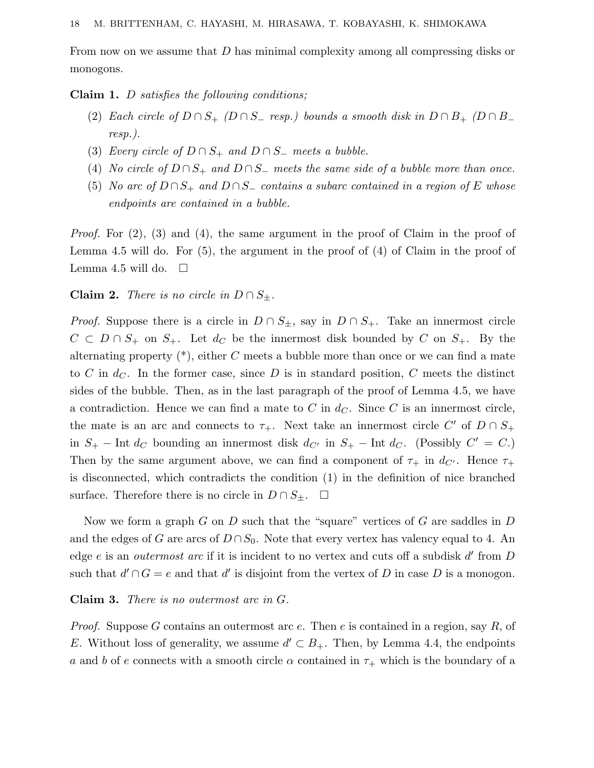From now on we assume that *D* has minimal complexity among all compressing disks or monogons.

**Claim 1.** *D* satisfies the following conditions;

- (2) Each circle of  $D \cap S_+$  ( $D \cap S_-$  resp.) bounds a smooth disk in  $D \cap B_+$  ( $D \cap B_$ resp.).
- (3) Every circle of  $D \cap S_+$  and  $D \cap S_-$  meets a bubble.
- (4) No circle of  $D \cap S_+$  and  $D \cap S_-$  meets the same side of a bubble more than once.
- (5) No arc of  $D \cap S_+$  and  $D \cap S_-$  contains a subarc contained in a region of *E* whose endpoints are contained in a bubble.

Proof. For (2), (3) and (4), the same argument in the proof of Claim in the proof of Lemma 4.5 will do. For (5), the argument in the proof of (4) of Claim in the proof of Lemma 4.5 will do.  $\square$ 

#### **Claim 2.** There is no circle in  $D \cap S_{\pm}$ .

*Proof.* Suppose there is a circle in  $D \cap S_{\pm}$ , say in  $D \cap S_{+}$ . Take an innermost circle  $C \subset D \cap S_+$  on  $S_+$ . Let  $d_C$  be the innermost disk bounded by  $C$  on  $S_+$ . By the alternating property (\*), either *C* meets a bubble more than once or we can find a mate to *C* in  $d_C$ . In the former case, since *D* is in standard position, *C* meets the distinct sides of the bubble. Then, as in the last paragraph of the proof of Lemma 4.5, we have a contradiction. Hence we can find a mate to  $C$  in  $d_C$ . Since  $C$  is an innermost circle, the mate is an arc and connects to  $\tau_+$ . Next take an innermost circle *C*' of  $D \cap S_+$ in  $S_+$  − Int  $d_C$  bounding an innermost disk  $d_{C'}$  in  $S_+$  − Int  $d_C$ . (Possibly  $C' = C$ .) Then by the same argument above, we can find a component of  $\tau_{+}$  in  $d_{C'}$ . Hence  $\tau_{+}$ is disconnected, which contradicts the condition (1) in the definition of nice branched surface. Therefore there is no circle in  $D \cap S_{\pm}$ .  $\square$ 

Now we form a graph *G* on *D* such that the "square" vertices of *G* are saddles in *D* and the edges of *G* are arcs of  $D \cap S_0$ . Note that every vertex has valency equal to 4. An edge *e* is an *outermost arc* if it is incident to no vertex and cuts off a subdisk d' from D such that  $d' \cap G = e$  and that  $d'$  is disjoint from the vertex of *D* in case *D* is a monogon.

#### **Claim 3.** There is no outermost arc in *G*.

Proof. Suppose *G* contains an outermost arc *e*. Then *e* is contained in a region, say *R*, of *E*. Without loss of generality, we assume  $d' \subset B_+$ . Then, by Lemma 4.4, the endpoints *a* and *b* of *e* connects with a smooth circle  $\alpha$  contained in  $\tau_{+}$  which is the boundary of a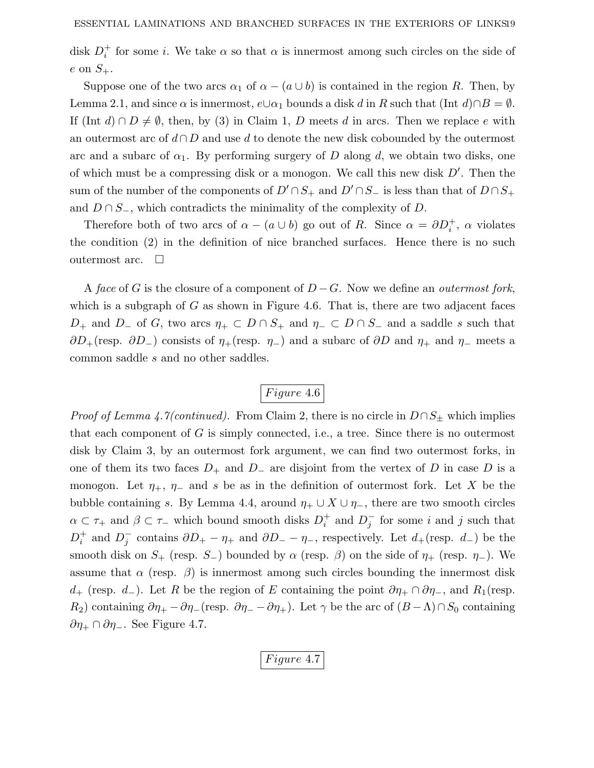disk  $D_i^+$  for some *i*. We take  $\alpha$  so that  $\alpha$  is innermost among such circles on the side of  $e$  on  $S_+$ .

Suppose one of the two arcs  $\alpha_1$  of  $\alpha - (a \cup b)$  is contained in the region *R*. Then, by Lemma 2.1, and since  $\alpha$  is innermost,  $e \cup \alpha_1$  bounds a disk *d* in *R* such that (Int *d*)∩*B* =  $\emptyset$ . If  $(\text{Int } d) \cap D \neq \emptyset$ , then, by (3) in Claim 1, *D* meets *d* in arcs. Then we replace *e* with an outermost arc of *d*∩ *D* and use *d* to denote the new disk cobounded by the outermost arc and a subarc of  $\alpha_1$ . By performing surgery of *D* along *d*, we obtain two disks, one of which must be a compressing disk or a monogon. We call this new disk *D* . Then the sum of the number of the components of  $D' \cap S_+$  and  $D' \cap S_-$  is less than that of  $D \cap S_+$ and  $D \cap S_$ , which contradicts the minimality of the complexity of *D*.

Therefore both of two arcs of  $\alpha - (a \cup b)$  go out of *R*. Since  $\alpha = \partial D_i^+$ ,  $\alpha$  violates the condition (2) in the definition of nice branched surfaces. Hence there is no such outermost arc.  $\square$ 

A face of *G* is the closure of a component of  $D-G$ . Now we define an *outermost fork*, which is a subgraph of  $G$  as shown in Figure 4.6. That is, there are two adjacent faces *D*<sub>+</sub> and *D*<sub>−</sub> of *G*, two arcs  $\eta_+ \subset D \cap S_+$  and  $\eta_- \subset D \cap S_-$  and a saddle *s* such that  $\partial D_{+}(\text{resp. } \partial D_{-})$  consists of  $\eta_{+}(\text{resp. } \eta_{-})$  and a subarc of  $\partial D$  and  $\eta_{+}$  and  $\eta_{-}$  meets a common saddle *s* and no other saddles.

# *Figure* 4.6

*Proof of Lemma 4.7(continued).* From Claim 2, there is no circle in  $D \cap S_{\pm}$  which implies that each component of *G* is simply connected, i.e., a tree. Since there is no outermost disk by Claim 3, by an outermost fork argument, we can find two outermost forks, in one of them its two faces  $D_+$  and  $D_-$  are disjoint from the vertex of  $D$  in case  $D$  is a monogon. Let  $\eta_+$ ,  $\eta_-$  and *s* be as in the definition of outermost fork. Let *X* be the bubble containing *s*. By Lemma 4.4, around  $\eta_+ \cup X \cup \eta_-,$  there are two smooth circles  $\alpha \subset \tau_+$  and  $\beta \subset \tau_-$  which bound smooth disks  $D_i^+$  and  $D_j^-$  for some *i* and *j* such that  $D_i^+$  and  $D_j^-$  contains  $\partial D_+ - \eta_+$  and  $\partial D_- - \eta_-$ , respectively. Let  $d_+$ (resp.  $d_-$ ) be the smooth disk on  $S_+$  (resp.  $S_-$ ) bounded by  $\alpha$  (resp.  $\beta$ ) on the side of  $\eta_+$  (resp.  $\eta_-$ ). We assume that  $\alpha$  (resp.  $\beta$ ) is innermost among such circles bounding the innermost disk *d*+ (resp. *d*<sub>−</sub>). Let *R* be the region of *E* containing the point  $\partial \eta_+ \cap \partial \eta_-,$  and  $R_1$ (resp. *R*<sub>2</sub>) containing  $∂η_+ − ∂η_-(resp. ∂η_− − ∂η_+)$ . Let  $γ$  be the arc of  $(B_−Λ) ∩ S_0$  containing *∂η*<sup>+</sup> ∩ *∂η*−. See Figure 4.7.

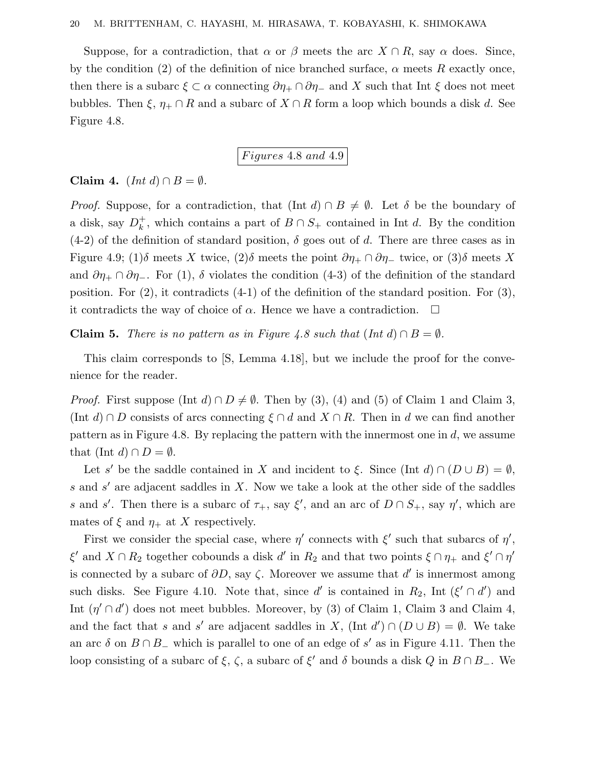Suppose, for a contradiction, that  $\alpha$  or  $\beta$  meets the arc  $X \cap R$ , say  $\alpha$  does. Since, by the condition (2) of the definition of nice branched surface,  $\alpha$  meets  $R$  exactly once, then there is a subarc  $\xi \subset \alpha$  connecting  $\partial \eta_+ \cap \partial \eta_-$  and X such that Int  $\xi$  does not meet bubbles. Then  $\xi$ ,  $\eta_+ \cap R$  and a subarc of  $X \cap R$  form a loop which bounds a disk *d*. See Figure 4.8.

*F igures* 4*.*8 *and* 4*.*9

**Claim 4.**  $(Int d) \cap B = \emptyset$ .

*Proof.* Suppose, for a contradiction, that  $(\text{Int } d) \cap B \neq \emptyset$ . Let  $\delta$  be the boundary of a disk, say  $D_k^+$ , which contains a part of  $B \cap S_+$  contained in Int *d*. By the condition  $(4-2)$  of the definition of standard position,  $\delta$  goes out of *d*. There are three cases as in Figure 4.9; (1) $\delta$  meets *X* twice, (2) $\delta$  meets the point  $\partial \eta_+ \cap \partial \eta_-$  twice, or (3) $\delta$  meets *X* and  $\partial \eta_+ \cap \partial \eta_-.$  For (1),  $\delta$  violates the condition (4-3) of the definition of the standard position. For  $(2)$ , it contradicts  $(4-1)$  of the definition of the standard position. For  $(3)$ , it contradicts the way of choice of  $\alpha$ . Hence we have a contradiction.  $\square$ 

**Claim 5.** There is no pattern as in Figure 4.8 such that  $(Int d) \cap B = \emptyset$ .

This claim corresponds to [S, Lemma 4.18], but we include the proof for the convenience for the reader.

*Proof.* First suppose (Int *d*)  $\cap$  *D*  $\neq$   $\emptyset$ . Then by (3), (4) and (5) of Claim 1 and Claim 3,  $(\text{Int } d) \cap D$  consists of arcs connecting  $\xi \cap d$  and  $X \cap R$ . Then in *d* we can find another pattern as in Figure 4.8. By replacing the pattern with the innermost one in *d*, we assume that  $(Int d) \cap D = \emptyset$ .

Let *s'* be the saddle contained in *X* and incident to *ξ*. Since  $(\text{Int } d) \cap (D \cup B) = \emptyset$ , *s* and *s'* are adjacent saddles in *X*. Now we take a look at the other side of the saddles *s* and *s*<sup>'</sup>. Then there is a subarc of  $\tau_+$ , say  $\xi'$ , and an arc of  $D \cap S_+$ , say  $\eta'$ , which are mates of  $\xi$  and  $\eta_+$  at X respectively.

First we consider the special case, where  $\eta'$  connects with  $\xi'$  such that subarcs of  $\eta'$ , *ξ*<sup> $\prime$ </sup> and  $X \cap R_2$  together cobounds a disk *d'* in  $R_2$  and that two points  $\xi \cap \eta_+$  and  $\xi' \cap \eta'$ is connected by a subarc of  $\partial D$ , say  $\zeta$ . Moreover we assume that d' is innermost among such disks. See Figure 4.10. Note that, since *d'* is contained in  $R_2$ , Int ( $\xi' \cap d'$ ) and Int  $(\eta' \cap d')$  does not meet bubbles. Moreover, by (3) of Claim 1, Claim 3 and Claim 4, and the fact that *s* and *s'* are adjacent saddles in *X*, (Int  $d'$ )  $\cap$  ( $D \cup B$ ) =  $\emptyset$ . We take an arc  $\delta$  on  $B \cap B$  which is parallel to one of an edge of s' as in Figure 4.11. Then the loop consisting of a subarc of  $\xi$ ,  $\zeta$ , a subarc of  $\xi'$  and  $\delta$  bounds a disk *Q* in *B* ∩ *B*<sub>−</sub>. We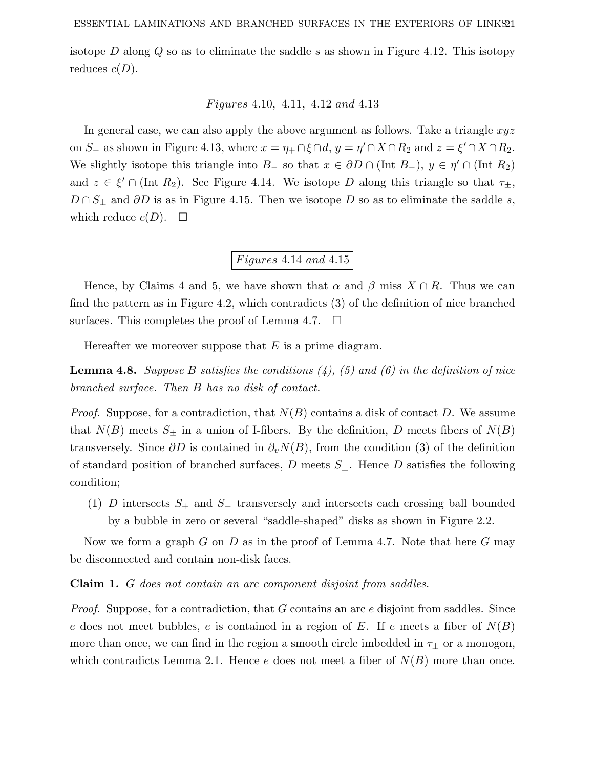isotope *D* along *Q* so as to eliminate the saddle *s* as shown in Figure 4.12. This isotopy reduces  $c(D)$ .

### *F igures* 4*.*10*,* 4*.*11*,* 4*.*12 *and* 4*.*13

In general case, we can also apply the above argument as follows. Take a triangle *xyz* on *S*<sub>−</sub> as shown in Figure 4.13, where  $x = \eta_+ \cap \xi \cap d$ ,  $y = \eta' \cap X \cap R_2$  and  $z = \xi' \cap X \cap R_2$ . We slightly isotope this triangle into *B*<sub>−</sub> so that  $x \in \partial D \cap (\text{Int } B_{-}), y \in \eta' \cap (\text{Int } R_2)$ and  $z \in \xi' \cap (\text{Int } R_2)$ . See Figure 4.14. We isotope *D* along this triangle so that  $\tau_{\pm}$ , *D* ∩ *S*<sup> $\pm$ </sup> and *∂D* is as in Figure 4.15. Then we isotope *D* so as to eliminate the saddle *s*, which reduce  $c(D)$ .  $\square$ 

## *F igures* 4*.*14 *and* 4*.*15

Hence, by Claims 4 and 5, we have shown that  $\alpha$  and  $\beta$  miss  $X \cap R$ . Thus we can find the pattern as in Figure 4.2, which contradicts (3) of the definition of nice branched surfaces. This completes the proof of Lemma 4.7.  $\Box$ 

Hereafter we moreover suppose that *E* is a prime diagram.

**Lemma 4.8.** Suppose *B* satisfies the conditions  $(4)$ ,  $(5)$  and  $(6)$  in the definition of nice branched surface. Then *B* has no disk of contact.

Proof. Suppose, for a contradiction, that *N*(*B*) contains a disk of contact *D*. We assume that  $N(B)$  meets  $S_{\pm}$  in a union of I-fibers. By the definition, *D* meets fibers of  $N(B)$ transversely. Since  $\partial D$  is contained in  $\partial_v N(B)$ , from the condition (3) of the definition of standard position of branched surfaces,  $D$  meets  $S_{\pm}$ . Hence  $D$  satisfies the following condition;

(1) *D* intersects *S*<sup>+</sup> and *S*<sup>−</sup> transversely and intersects each crossing ball bounded by a bubble in zero or several "saddle-shaped" disks as shown in Figure 2.2.

Now we form a graph *G* on *D* as in the proof of Lemma 4.7. Note that here *G* may be disconnected and contain non-disk faces.

**Claim 1.** *G* does not contain an arc component disjoint from saddles.

Proof. Suppose, for a contradiction, that *G* contains an arc *e* disjoint from saddles. Since *e* does not meet bubbles, *e* is contained in a region of *E*. If *e* meets a fiber of *N*(*B*) more than once, we can find in the region a smooth circle imbedded in  $\tau_{\pm}$  or a monogon, which contradicts Lemma 2.1. Hence *e* does not meet a fiber of *N*(*B*) more than once.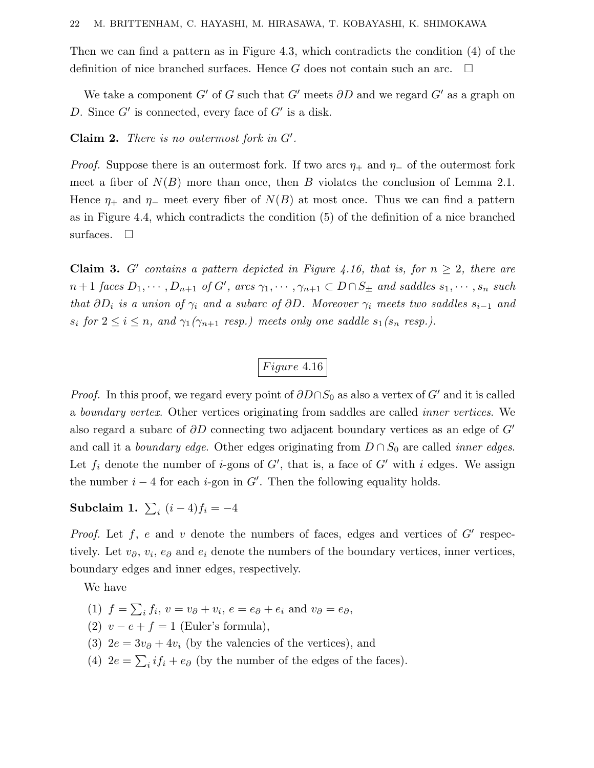Then we can find a pattern as in Figure 4.3, which contradicts the condition (4) of the definition of nice branched surfaces. Hence *G* does not contain such an arc.  $\Box$ 

We take a component  $G'$  of  $G$  such that  $G'$  meets  $\partial D$  and we regard  $G'$  as a graph on *D*. Since  $G'$  is connected, every face of  $G'$  is a disk.

**Claim 2.** There is no outermost fork in *G* .

*Proof.* Suppose there is an outermost fork. If two arcs  $\eta_+$  and  $\eta_-$  of the outermost fork meet a fiber of  $N(B)$  more than once, then *B* violates the conclusion of Lemma 2.1. Hence  $\eta_+$  and  $\eta_-$  meet every fiber of  $N(B)$  at most once. Thus we can find a pattern as in Figure 4.4, which contradicts the condition (5) of the definition of a nice branched surfaces.  $\Box$ 

**Claim 3.** *G'* contains a pattern depicted in Figure 4.16, that is, for  $n \geq 2$ , there are  $n+1$  faces  $D_1, \dots, D_{n+1}$  of  $G'$ , arcs  $\gamma_1, \dots, \gamma_{n+1} \subset D \cap S_{\pm}$  and saddles  $s_1, \dots, s_n$  such that  $\partial D_i$  is a union of  $\gamma_i$  and a subarc of  $\partial D$ . Moreover  $\gamma_i$  meets two saddles  $s_{i-1}$  and  $s_i$  for  $2 \le i \le n$ , and  $\gamma_1(\gamma_{n+1}$  resp.) meets only one saddle  $s_1(s_n$  resp.).

## *Figure* 4.16

*Proof.* In this proof, we regard every point of  $\partial D \cap S_0$  as also a vertex of *G'* and it is called a boundary vertex. Other vertices originating from saddles are called inner vertices. We also regard a subarc of *∂D* connecting two adjacent boundary vertices as an edge of *G* and call it a *boundary edge*. Other edges originating from  $D \cap S_0$  are called *inner edges*. Let  $f_i$  denote the number of *i*-gons of  $G'$ , that is, a face of  $G'$  with *i* edges. We assign the number  $i - 4$  for each *i*-gon in  $G'$ . Then the following equality holds.

 $\textbf{Subclaim 1.} \sum_{i} (i-4)f_i = -4$ 

*Proof.* Let  $f$ ,  $e$  and  $v$  denote the numbers of faces, edges and vertices of  $G'$  respectively. Let  $v_{\partial}, v_i, e_{\partial}$  and  $e_i$  denote the numbers of the boundary vertices, inner vertices, boundary edges and inner edges, respectively.

We have

- $(1)$   $f = \sum_i f_i$ ,  $v = v_{\partial} + v_i$ ,  $e = e_{\partial} + e_i$  and  $v_{\partial} = e_{\partial}$ ,
- (2)  $v e + f = 1$  (Euler's formula),
- (3)  $2e = 3v_{\partial} + 4v_i$  (by the valencies of the vertices), and
- (4)  $2e = \sum_i if_i + e_{\partial}$  (by the number of the edges of the faces).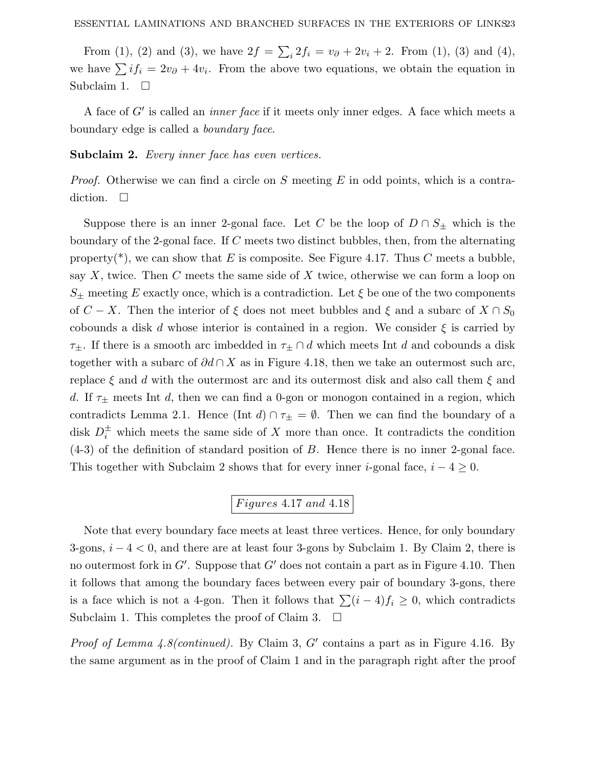From (1), (2) and (3), we have  $2f = \sum_{i} 2f_i = v_{\partial} + 2v_i + 2$ . From (1), (3) and (4), we have  $\sum i f_i = 2v_\partial + 4v_i$ . From the above two equations, we obtain the equation in Subclaim 1.  $\square$ 

A face of *G'* is called an *inner face* if it meets only inner edges. A face which meets a boundary edge is called a boundary face.

Subclaim 2. Every inner face has even vertices.

Proof. Otherwise we can find a circle on *S* meeting *E* in odd points, which is a contradiction.  $\square$ 

Suppose there is an inner 2-gonal face. Let *C* be the loop of  $D \cap S_{\pm}$  which is the boundary of the 2-gonal face. If *C* meets two distinct bubbles, then, from the alternating property(\*), we can show that  $E$  is composite. See Figure 4.17. Thus  $C$  meets a bubble, say *X*, twice. Then *C* meets the same side of *X* twice, otherwise we can form a loop on  $S_{+}$  meeting *E* exactly once, which is a contradiction. Let  $\xi$  be one of the two components of *C* − *X*. Then the interior of  $\xi$  does not meet bubbles and  $\xi$  and a subarc of  $X \cap S_0$ cobounds a disk *d* whose interior is contained in a region. We consider  $\xi$  is carried by *τ*±. If there is a smooth arc imbedded in *τ*<sup>±</sup> ∩ *d* which meets Int *d* and cobounds a disk together with a subarc of *∂d* ∩ *X* as in Figure 4.18, then we take an outermost such arc, replace *ξ* and *d* with the outermost arc and its outermost disk and also call them *ξ* and *d*. If  $\tau_{\pm}$  meets Int *d*, then we can find a 0-gon or monogon contained in a region, which contradicts Lemma 2.1. Hence (Int *d*)  $\cap \tau_{\pm} = \emptyset$ . Then we can find the boundary of a disk  $D_i^{\pm}$  which meets the same side of *X* more than once. It contradicts the condition (4-3) of the definition of standard position of *B*. Hence there is no inner 2-gonal face. This together with Subclaim 2 shows that for every inner *i*-gonal face,  $i - 4 \geq 0$ .

## *F igures* 4*.*17 *and* 4*.*18

Note that every boundary face meets at least three vertices. Hence, for only boundary 3-gons, *i* − 4 *<* 0, and there are at least four 3-gons by Subclaim 1. By Claim 2, there is no outermost fork in  $G'$ . Suppose that  $G'$  does not contain a part as in Figure 4.10. Then it follows that among the boundary faces between every pair of boundary 3-gons, there is a face which is not a 4-gon. Then it follows that  $\sum (i - 4)f_i \geq 0$ , which contradicts Subclaim 1. This completes the proof of Claim 3.  $\Box$ 

*Proof of Lemma 4.8(continued).* By Claim 3,  $G'$  contains a part as in Figure 4.16. By the same argument as in the proof of Claim 1 and in the paragraph right after the proof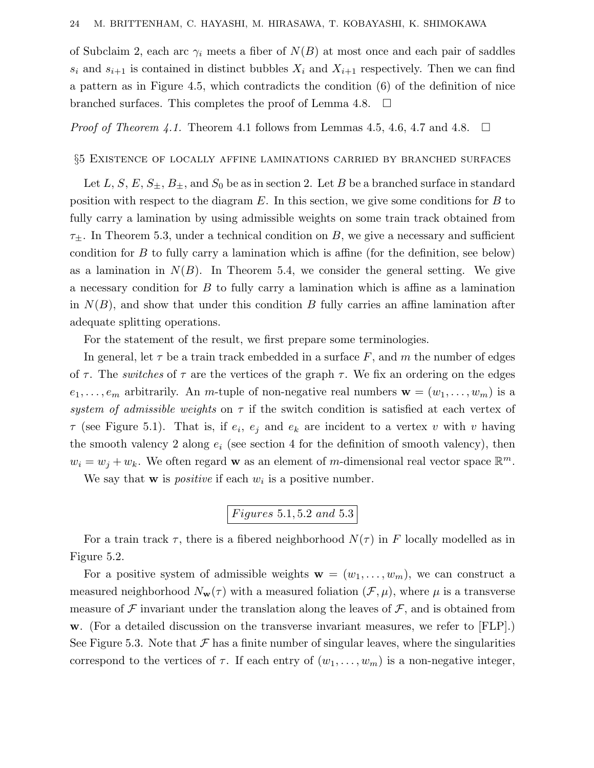of Subclaim 2, each arc  $\gamma_i$  meets a fiber of  $N(B)$  at most once and each pair of saddles  $s_i$  and  $s_{i+1}$  is contained in distinct bubbles  $X_i$  and  $X_{i+1}$  respectively. Then we can find a pattern as in Figure 4.5, which contradicts the condition (6) of the definition of nice branched surfaces. This completes the proof of Lemma 4.8.  $\Box$ 

*Proof of Theorem 4.1.* Theorem 4.1 follows from Lemmas 4.5, 4.6, 4.7 and 4.8.  $\Box$ 

#### §5 Existence of locally affine laminations carried by branched surfaces

Let *L*, *S*, *E*,  $S_{\pm}$ ,  $B_{\pm}$ , and  $S_0$  be as in section 2. Let *B* be a branched surface in standard position with respect to the diagram *E*. In this section, we give some conditions for *B* to fully carry a lamination by using admissible weights on some train track obtained from *τ*±. In Theorem 5.3, under a technical condition on *B*, we give a necessary and sufficient condition for *B* to fully carry a lamination which is affine (for the definition, see below) as a lamination in  $N(B)$ . In Theorem 5.4, we consider the general setting. We give a necessary condition for *B* to fully carry a lamination which is affine as a lamination in  $N(B)$ , and show that under this condition *B* fully carries an affine lamination after adequate splitting operations.

For the statement of the result, we first prepare some terminologies.

In general, let  $\tau$  be a train track embedded in a surface F, and m the number of edges of  $\tau$ . The *switches* of  $\tau$  are the vertices of the graph  $\tau$ . We fix an ordering on the edges  $e_1, \ldots, e_m$  arbitrarily. An *m*-tuple of non-negative real numbers  $\mathbf{w} = (w_1, \ldots, w_m)$  is a system of admissible weights on  $\tau$  if the switch condition is satisfied at each vertex of  $\tau$  (see Figure 5.1). That is, if  $e_i$ ,  $e_j$  and  $e_k$  are incident to a vertex *v* with *v* having the smooth valency 2 along  $e_i$  (see section 4 for the definition of smooth valency), then  $w_i = w_j + w_k$ . We often regard **w** as an element of *m*-dimensional real vector space  $\mathbb{R}^m$ .

We say that **w** is *positive* if each  $w_i$  is a positive number.

$$
Figures\ 5.1, 5.2\ and\ 5.3
$$

For a train track  $\tau$ , there is a fibered neighborhood  $N(\tau)$  in F locally modelled as in Figure 5.2.

For a positive system of admissible weights  $\mathbf{w} = (w_1, \ldots, w_m)$ , we can construct a measured neighborhood  $N_{\mathbf{w}}(\tau)$  with a measured foliation  $(\mathcal{F}, \mu)$ , where  $\mu$  is a transverse measure of  $\mathcal F$  invariant under the translation along the leaves of  $\mathcal F$ , and is obtained from **w**. (For a detailed discussion on the transverse invariant measures, we refer to [FLP].) See Figure 5.3. Note that  $\mathcal F$  has a finite number of singular leaves, where the singularities correspond to the vertices of  $\tau$ . If each entry of  $(w_1, \ldots, w_m)$  is a non-negative integer,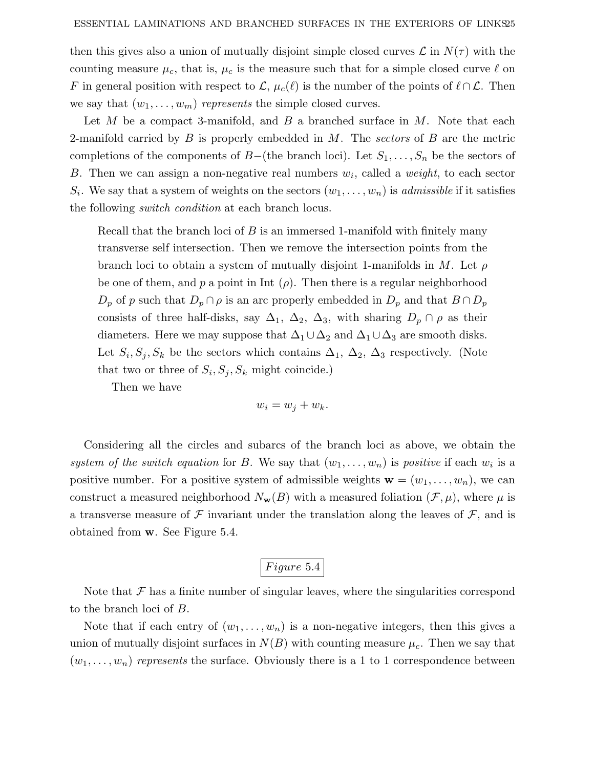then this gives also a union of mutually disjoint simple closed curves  $\mathcal{L}$  in  $N(\tau)$  with the counting measure  $\mu_c$ , that is,  $\mu_c$  is the measure such that for a simple closed curve  $\ell$  on *F* in general position with respect to  $\mathcal{L}, \mu_c(\ell)$  is the number of the points of  $\ell \cap \mathcal{L}$ . Then we say that  $(w_1, \ldots, w_m)$  represents the simple closed curves.

Let *M* be a compact 3-manifold, and *B* a branched surface in *M*. Note that each 2-manifold carried by *B* is properly embedded in *M*. The sectors of *B* are the metric completions of the components of *B*−(the branch loci). Let *S*1*,...,S<sup>n</sup>* be the sectors of *B*. Then we can assign a non-negative real numbers *wi*, called a weight, to each sector  $S_i$ . We say that a system of weights on the sectors  $(w_1, \ldots, w_n)$  is *admissible* if it satisfies the following switch condition at each branch locus.

Recall that the branch loci of *B* is an immersed 1-manifold with finitely many transverse self intersection. Then we remove the intersection points from the branch loci to obtain a system of mutually disjoint 1-manifolds in *M*. Let *ρ* be one of them, and  $p$  a point in Int  $(\rho)$ . Then there is a regular neighborhood  $D_p$  of *p* such that  $D_p \cap \rho$  is an arc properly embedded in  $D_p$  and that  $B \cap D_p$ consists of three half-disks, say  $\Delta_1$ ,  $\Delta_2$ ,  $\Delta_3$ , with sharing  $D_p \cap \rho$  as their diameters. Here we may suppose that  $\Delta_1 \cup \Delta_2$  and  $\Delta_1 \cup \Delta_3$  are smooth disks. Let  $S_i$ ,  $S_j$ ,  $S_k$  be the sectors which contains  $\Delta_1$ ,  $\Delta_2$ ,  $\Delta_3$  respectively. (Note that two or three of  $S_i$ ,  $S_j$ ,  $S_k$  might coincide.)

Then we have

$$
w_i = w_j + w_k.
$$

Considering all the circles and subarcs of the branch loci as above, we obtain the system of the switch equation for *B*. We say that  $(w_1, \ldots, w_n)$  is positive if each  $w_i$  is a positive number. For a positive system of admissible weights  $\mathbf{w} = (w_1, \ldots, w_n)$ , we can construct a measured neighborhood  $N_{\mathbf{w}}(B)$  with a measured foliation  $(\mathcal{F}, \mu)$ , where  $\mu$  is a transverse measure of F invariant under the translation along the leaves of  $\mathcal{F}$ , and is obtained from **w**. See Figure 5.4.

### *F igure* 5*.*4

Note that  $\mathcal F$  has a finite number of singular leaves, where the singularities correspond to the branch loci of *B*.

Note that if each entry of  $(w_1, \ldots, w_n)$  is a non-negative integers, then this gives a union of mutually disjoint surfaces in  $N(B)$  with counting measure  $\mu_c$ . Then we say that  $(w_1, \ldots, w_n)$  represents the surface. Obviously there is a 1 to 1 correspondence between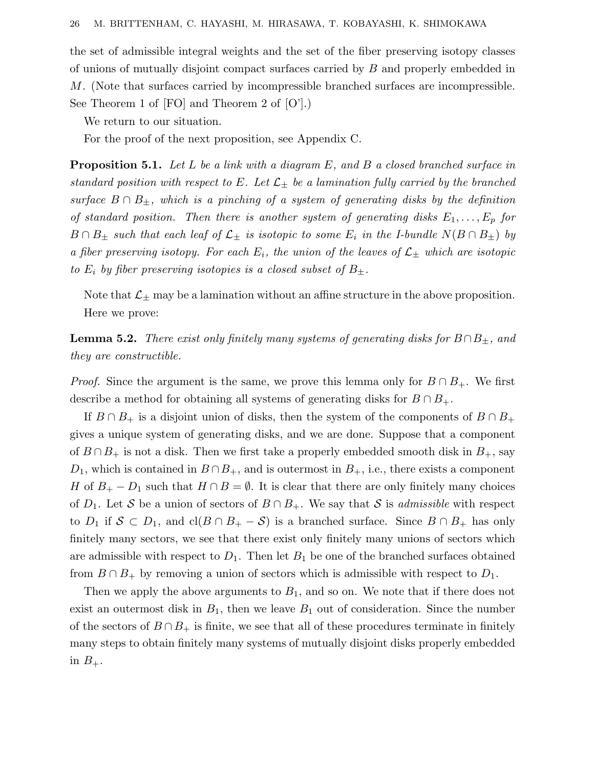the set of admissible integral weights and the set of the fiber preserving isotopy classes of unions of mutually disjoint compact surfaces carried by *B* and properly embedded in *M*. (Note that surfaces carried by incompressible branched surfaces are incompressible. See Theorem 1 of [FO] and Theorem 2 of [O'].)

We return to our situation.

For the proof of the next proposition, see Appendix C.

**Proposition 5.1.** Let L be a link with a diagram E, and B a closed branched surface in standard position with respect to E. Let  $\mathcal{L}_{\pm}$  be a lamination fully carried by the branched surface  $B \cap B_{\pm}$ , which is a pinching of a system of generating disks by the definition of standard position. Then there is another system of generating disks  $E_1, \ldots, E_p$  for  $B \cap B_{\pm}$  such that each leaf of  $\mathcal{L}_{\pm}$  is isotopic to some  $E_i$  in the I-bundle  $N(B \cap B_{\pm})$  by a fiber preserving isotopy. For each  $E_i$ , the union of the leaves of  $\mathcal{L}_\pm$  which are isotopic to  $E_i$  by fiber preserving isotopies is a closed subset of  $B_{\pm}$ .

Note that  $\mathcal{L}_{\pm}$  may be a lamination without an affine structure in the above proposition. Here we prove:

**Lemma 5.2.** There exist only finitely many systems of generating disks for  $B \cap B_{\pm}$ , and they are constructible.

*Proof.* Since the argument is the same, we prove this lemma only for  $B \cap B_+$ . We first describe a method for obtaining all systems of generating disks for  $B \cap B_+$ .

If  $B \cap B_+$  is a disjoint union of disks, then the system of the components of  $B \cap B_+$ gives a unique system of generating disks, and we are done. Suppose that a component of  $B \cap B_+$  is not a disk. Then we first take a properly embedded smooth disk in  $B_+$ , say  $D_1$ , which is contained in  $B \cap B_+$ , and is outermost in  $B_+$ , i.e., there exists a component *H* of  $B_+ - D_1$  such that  $H \cap B = \emptyset$ . It is clear that there are only finitely many choices of  $D_1$ . Let S be a union of sectors of  $B \cap B_+$ . We say that S is *admissible* with respect to  $D_1$  if  $S \subset D_1$ , and  $cl(B \cap B_+ - S)$  is a branched surface. Since  $B \cap B_+$  has only finitely many sectors, we see that there exist only finitely many unions of sectors which are admissible with respect to  $D_1$ . Then let  $B_1$  be one of the branched surfaces obtained from  $B \cap B_+$  by removing a union of sectors which is admissible with respect to  $D_1$ .

Then we apply the above arguments to  $B_1$ , and so on. We note that if there does not exist an outermost disk in  $B_1$ , then we leave  $B_1$  out of consideration. Since the number of the sectors of  $B \cap B_+$  is finite, we see that all of these procedures terminate in finitely many steps to obtain finitely many systems of mutually disjoint disks properly embedded in  $B_+$ .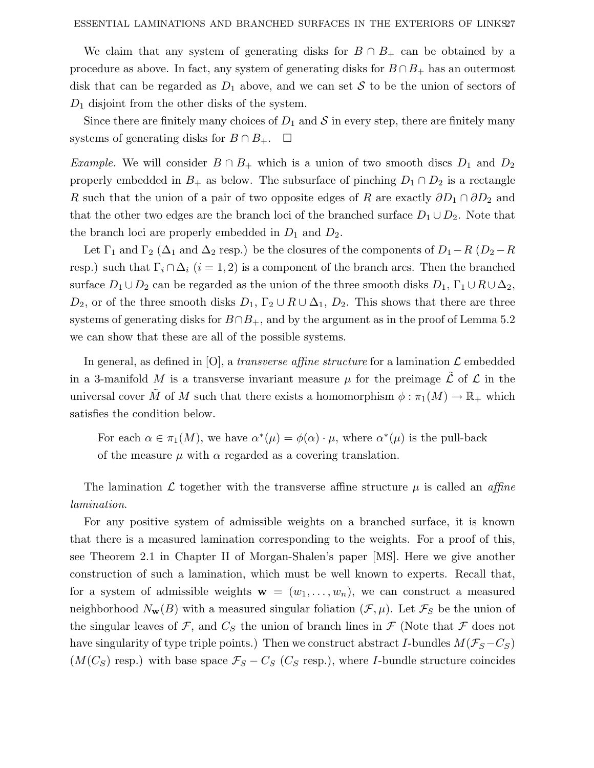We claim that any system of generating disks for  $B \cap B_+$  can be obtained by a procedure as above. In fact, any system of generating disks for  $B \cap B_+$  has an outermost disk that can be regarded as  $D_1$  above, and we can set S to be the union of sectors of *D*<sup>1</sup> disjoint from the other disks of the system.

Since there are finitely many choices of  $D_1$  and  $S$  in every step, there are finitely many systems of generating disks for  $B \cap B_+$ .  $\Box$ 

Example. We will consider  $B \cap B_+$  which is a union of two smooth discs  $D_1$  and  $D_2$ properly embedded in  $B_+$  as below. The subsurface of pinching  $D_1 \cap D_2$  is a rectangle *R* such that the union of a pair of two opposite edges of *R* are exactly  $\partial D_1 \cap \partial D_2$  and that the other two edges are the branch loci of the branched surface  $D_1 \cup D_2$ . Note that the branch loci are properly embedded in  $D_1$  and  $D_2$ .

Let  $\Gamma_1$  and  $\Gamma_2$  ( $\Delta_1$  and  $\Delta_2$  resp.) be the closures of the components of  $D_1-R$  ( $D_2-R$ resp.) such that  $\Gamma_i \cap \Delta_i$  (*i* = 1, 2) is a component of the branch arcs. Then the branched surface  $D_1 \cup D_2$  can be regarded as the union of the three smooth disks  $D_1$ ,  $\Gamma_1 \cup R \cup \Delta_2$ ,  $D_2$ , or of the three smooth disks  $D_1$ ,  $\Gamma_2 \cup R \cup \Delta_1$ ,  $D_2$ . This shows that there are three systems of generating disks for  $B \cap B_+$ , and by the argument as in the proof of Lemma 5.2 we can show that these are all of the possible systems.

In general, as defined in [O], a *transverse affine structure* for a lamination  $\mathcal{L}$  embedded in a 3-manifold *M* is a transverse invariant measure  $\mu$  for the preimage  $\tilde{\mathcal{L}}$  of  $\mathcal{L}$  in the universal cover  $\tilde{M}$  of *M* such that there exists a homomorphism  $\phi : \pi_1(M) \to \mathbb{R}_+$  which satisfies the condition below.

For each  $\alpha \in \pi_1(M)$ , we have  $\alpha^*(\mu) = \phi(\alpha) \cdot \mu$ , where  $\alpha^*(\mu)$  is the pull-back of the measure  $\mu$  with  $\alpha$  regarded as a covering translation.

The lamination L together with the transverse affine structure  $\mu$  is called an *affine* lamination.

For any positive system of admissible weights on a branched surface, it is known that there is a measured lamination corresponding to the weights. For a proof of this, see Theorem 2.1 in Chapter II of Morgan-Shalen's paper [MS]. Here we give another construction of such a lamination, which must be well known to experts. Recall that, for a system of admissible weights  $\mathbf{w} = (w_1, \ldots, w_n)$ , we can construct a measured neighborhood  $N_{\mathbf{w}}(B)$  with a measured singular foliation  $(\mathcal{F}, \mu)$ . Let  $\mathcal{F}_S$  be the union of the singular leaves of F, and  $C_S$  the union of branch lines in F (Note that F does not have singularity of type triple points.) Then we construct abstract *I*-bundles  $M(\mathcal{F}_S - C_S)$  $(M(C_S)$  resp.) with base space  $\mathcal{F}_S - C_S$  ( $C_S$  resp.), where *I*-bundle structure coincides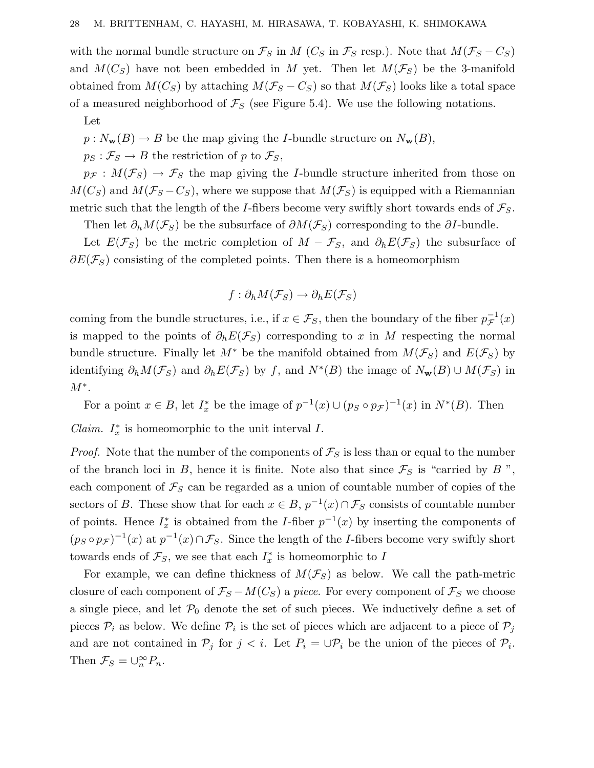with the normal bundle structure on  $\mathcal{F}_S$  in *M* ( $C_S$  in  $\mathcal{F}_S$  resp.). Note that  $M(\mathcal{F}_S - C_S)$ and  $M(C_S)$  have not been embedded in *M* yet. Then let  $M(\mathcal{F}_S)$  be the 3-manifold obtained from  $M(C_S)$  by attaching  $M(\mathcal{F}_S - C_S)$  so that  $M(\mathcal{F}_S)$  looks like a total space of a measured neighborhood of  $\mathcal{F}_S$  (see Figure 5.4). We use the following notations.

Let

 $p: N_{\mathbf{w}}(B) \to B$  be the map giving the *I*-bundle structure on  $N_{\mathbf{w}}(B)$ ,

 $p_S: \mathcal{F}_S \to B$  the restriction of *p* to  $\mathcal{F}_S$ ,

 $p_{\mathcal{F}}: M(\mathcal{F}_S) \to \mathcal{F}_S$  the map giving the *I*-bundle structure inherited from those on  $M(C_S)$  and  $M(\mathcal{F}_S - C_S)$ , where we suppose that  $M(\mathcal{F}_S)$  is equipped with a Riemannian metric such that the length of the *I*-fibers become very swiftly short towards ends of  $\mathcal{F}_S$ .

Then let  $\partial_h M(\mathcal{F}_S)$  be the subsurface of  $\partial M(\mathcal{F}_S)$  corresponding to the  $\partial I$ -bundle.

Let  $E(\mathcal{F}_S)$  be the metric completion of  $M - \mathcal{F}_S$ , and  $\partial_h E(\mathcal{F}_S)$  the subsurface of  $\partial E(\mathcal{F}_S)$  consisting of the completed points. Then there is a homeomorphism

$$
f: \partial_h M(\mathcal{F}_S) \to \partial_h E(\mathcal{F}_S)
$$

coming from the bundle structures, i.e., if  $x \in \mathcal{F}_S$ , then the boundary of the fiber  $p_{\mathcal{F}}^{-1}(x)$ is mapped to the points of  $\partial_h E(\mathcal{F}_S)$  corresponding to *x* in *M* respecting the normal bundle structure. Finally let  $M^*$  be the manifold obtained from  $M(\mathcal{F}_S)$  and  $E(\mathcal{F}_S)$  by identifying  $\partial_h M(\mathcal{F}_S)$  and  $\partial_h E(\mathcal{F}_S)$  by *f*, and  $N^*(B)$  the image of  $N_w(B) \cup M(\mathcal{F}_S)$  in *M*<sup>∗</sup>.

For a point  $x \in B$ , let  $I_x^*$  be the image of  $p^{-1}(x) \cup (p_S \circ p_{\mathcal{F}})^{-1}(x)$  in  $N^*(B)$ . Then

*Claim.*  $I_x^*$  is homeomorphic to the unit interval  $I$ .

*Proof.* Note that the number of the components of  $\mathcal{F}_S$  is less than or equal to the number of the branch loci in *B*, hence it is finite. Note also that since  $\mathcal{F}_S$  is "carried by *B*", each component of  $\mathcal{F}_S$  can be regarded as a union of countable number of copies of the sectors of *B*. These show that for each  $x \in B$ ,  $p^{-1}(x) \cap \mathcal{F}_S$  consists of countable number of points. Hence  $I_x^*$  is obtained from the *I*-fiber  $p^{-1}(x)$  by inserting the components of  $(p_S \circ p_{\mathcal{F}})^{-1}(x)$  at  $p^{-1}(x) \cap \mathcal{F}_S$ . Since the length of the *I*-fibers become very swiftly short towards ends of  $\mathcal{F}_S$ , we see that each  $I_x^*$  is homeomorphic to *I* 

For example, we can define thickness of  $M(\mathcal{F}_S)$  as below. We call the path-metric closure of each component of  $\mathcal{F}_S - M(C_S)$  a piece. For every component of  $\mathcal{F}_S$  we choose a single piece, and let  $\mathcal{P}_0$  denote the set of such pieces. We inductively define a set of pieces  $P_i$  as below. We define  $P_i$  is the set of pieces which are adjacent to a piece of  $P_j$ and are not contained in  $\mathcal{P}_j$  for  $j < i$ . Let  $P_i = \bigcup \mathcal{P}_i$  be the union of the pieces of  $\mathcal{P}_i$ . Then  $\mathcal{F}_S = \bigcup_{n=0}^{\infty} P_n$ .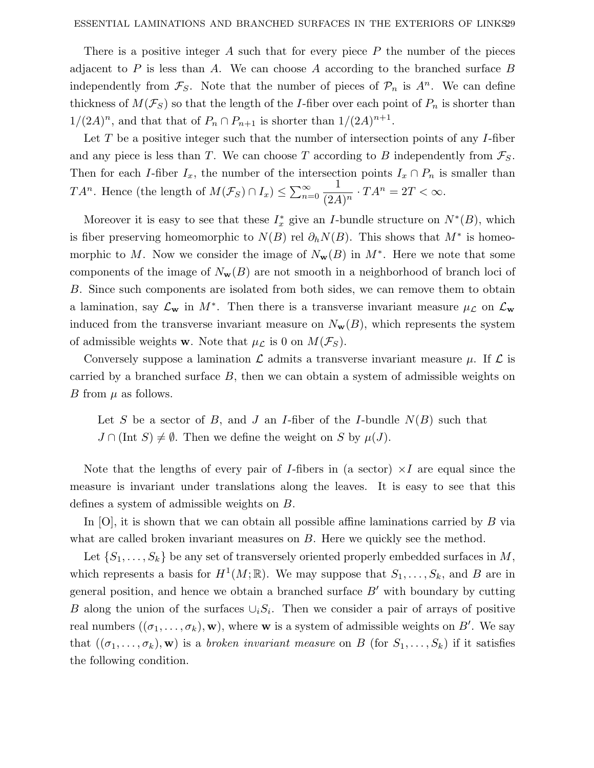There is a positive integer *A* such that for every piece *P* the number of the pieces adjacent to *P* is less than *A*. We can choose *A* according to the branched surface *B* independently from  $\mathcal{F}_S$ . Note that the number of pieces of  $\mathcal{P}_n$  is  $A^n$ . We can define thickness of  $M(\mathcal{F}_S)$  so that the length of the *I*-fiber over each point of  $P_n$  is shorter than  $1/(2A)^n$ , and that that of  $P_n \cap P_{n+1}$  is shorter than  $1/(2A)^{n+1}$ .

Let *T* be a positive integer such that the number of intersection points of any *I*-fiber and any piece is less than *T*. We can choose *T* according to *B* independently from  $\mathcal{F}_S$ . Then for each *I*-fiber  $I_x$ , the number of the intersection points  $I_x \cap P_n$  is smaller than *TA<sup>n</sup>*. Hence (the length of  $M(\mathcal{F}_S) \cap I_x$ ) ≤  $\sum_{n=1}^{\infty}$ *n*=0  $\frac{1}{(2A)^n} \cdot TA^n = 2T < \infty.$ 

Moreover it is easy to see that these  $I_x^*$  give an *I*-bundle structure on  $N^*(B)$ , which is fiber preserving homeomorphic to  $N(B)$  rel  $\partial_h N(B)$ . This shows that  $M^*$  is homeomorphic to *M*. Now we consider the image of  $N_w(B)$  in  $M^*$ . Here we note that some components of the image of  $N_{\mathbf{w}}(B)$  are not smooth in a neighborhood of branch loci of *B*. Since such components are isolated from both sides, we can remove them to obtain a lamination, say  $\mathcal{L}_{\mathbf{w}}$  in  $M^*$ . Then there is a transverse invariant measure  $\mu_{\mathcal{L}}$  on  $\mathcal{L}_{\mathbf{w}}$ induced from the transverse invariant measure on  $N_{\mathbf{w}}(B)$ , which represents the system of admissible weights **w**. Note that  $\mu_{\mathcal{L}}$  is 0 on  $M(\mathcal{F}_S)$ .

Conversely suppose a lamination  $\mathcal L$  admits a transverse invariant measure  $\mu$ . If  $\mathcal L$  is carried by a branched surface *B*, then we can obtain a system of admissible weights on *B* from  $\mu$  as follows.

Let *S* be a sector of *B*, and *J* an *I*-fiber of the *I*-bundle  $N(B)$  such that  $J \cap (\text{Int } S) \neq \emptyset$ . Then we define the weight on *S* by  $\mu(J)$ .

Note that the lengths of every pair of *I*-fibers in (a sector)  $\times$ *I* are equal since the measure is invariant under translations along the leaves. It is easy to see that this defines a system of admissible weights on *B*.

In [O], it is shown that we can obtain all possible affine laminations carried by *B* via what are called broken invariant measures on *B*. Here we quickly see the method.

Let  $\{S_1, \ldots, S_k\}$  be any set of transversely oriented properly embedded surfaces in *M*, which represents a basis for  $H^1(M; \mathbb{R})$ . We may suppose that  $S_1, \ldots, S_k$ , and *B* are in general position, and hence we obtain a branched surface  $B'$  with boundary by cutting *B* along the union of the surfaces  $\cup_i S_i$ . Then we consider a pair of arrays of positive real numbers  $((\sigma_1, \ldots, \sigma_k), \mathbf{w})$ , where **w** is a system of admissible weights on *B*'. We say that  $((\sigma_1, \ldots, \sigma_k), \mathbf{w})$  is a *broken invariant measure* on *B* (for  $S_1, \ldots, S_k$ ) if it satisfies the following condition.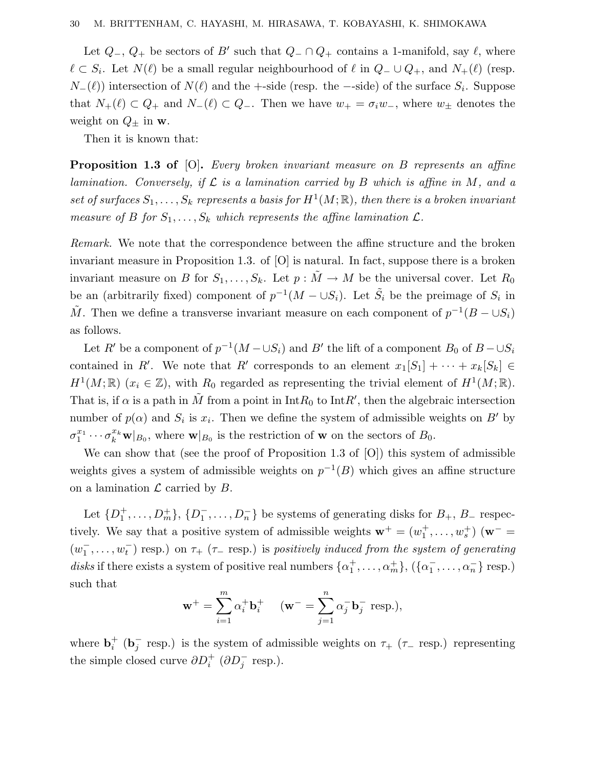Let  $Q_$ ,  $Q_+$  be sectors of *B'* such that  $Q_$  ∩  $Q_+$  contains a 1-manifold, say  $\ell$ , where  $\ell$  ⊂ *S*<sub>*i*</sub>. Let *N*( $\ell$ ) be a small regular neighbourhood of  $\ell$  in  $Q$ <sup>−</sup> ∪  $Q$ <sub>+</sub>, and  $N_+(\ell)$  (resp. *N*−( $\ell$ )) intersection of *N*( $\ell$ ) and the +-side (resp. the --side) of the surface *S<sub>i</sub>*. Suppose that  $N_+(\ell) \subset Q_+$  and  $N_-(\ell) \subset Q_-$ . Then we have  $w_+ = \sigma_i w_-,$  where  $w_{\pm}$  denotes the weight on  $Q_{\pm}$  in **w**.

Then it is known that:

**Proposition 1.3 of** [O]**.** Every broken invariant measure on *B* represents an affine lamination. Conversely, if  $\mathcal L$  is a lamination carried by  $B$  which is affine in  $M$ , and a set of surfaces  $S_1, \ldots, S_k$  represents a basis for  $H^1(M; \mathbb{R})$ , then there is a broken invariant measure of *B* for  $S_1, \ldots, S_k$  which represents the affine lamination  $\mathcal{L}$ .

Remark. We note that the correspondence between the affine structure and the broken invariant measure in Proposition 1.3. of [O] is natural. In fact, suppose there is a broken invariant measure on *B* for  $S_1, \ldots, S_k$ . Let  $p : \tilde{M} \to M$  be the universal cover. Let  $R_0$ be an (arbitrarily fixed) component of  $p^{-1}(M - \cup S_i)$ . Let  $\tilde{S}_i$  be the preimage of  $S_i$  in *M*<sup> $M$ </sup>. Then we define a transverse invariant measure on each component of  $p^{-1}(B − ∪S_i)$ as follows.

Let *R'* be a component of  $p^{-1}(M - \cup S_i)$  and *B'* the lift of a component *B*<sub>0</sub> of *B* −  $\cup S_i$ contained in *R'*. We note that *R'* corresponds to an element  $x_1[S_1] + \cdots + x_k[S_k] \in$  $H^1(M;\mathbb{R})$  ( $x_i \in \mathbb{Z}$ ), with  $R_0$  regarded as representing the trivial element of  $H^1(M;\mathbb{R})$ . That is, if  $\alpha$  is a path in  $\tilde{M}$  from a point in  $\text{Int}R_0$  to  $\text{Int}R'$ , then the algebraic intersection number of  $p(\alpha)$  and  $S_i$  is  $x_i$ . Then we define the system of admissible weights on *B'* by  $\sigma_1^{x_1} \cdots \sigma_k^{x_k}$ **w** $|_{B_0}$ , where **w** $|_{B_0}$  is the restriction of **w** on the sectors of  $B_0$ .

We can show that (see the proof of Proposition 1.3 of [O]) this system of admissible weights gives a system of admissible weights on  $p^{-1}(B)$  which gives an affine structure on a lamination  $\mathcal L$  carried by  $B$ .

Let  $\{D_1^+, \ldots, D_m^+\}$ ,  $\{D_1^-, \ldots, D_n^-\}$  be systems of generating disks for  $B_+$ ,  $B_-$  respectively. We say that a positive system of admissible weights  $\mathbf{w}^+ = (w_1^+, \ldots, w_s^+)$  ( $\mathbf{w}^-$ )  $(w_1^-, \ldots, w_t^-)$  resp.) on  $\tau_+$  ( $\tau_-$  resp.) is positively induced from the system of generating disks if there exists a system of positive real numbers  $\{\alpha_1^+, \ldots, \alpha_m^+\}$ ,  $(\{\alpha_1^-, \ldots, \alpha_n^-\}$  resp.) such that

$$
\mathbf{w}^+ = \sum_{i=1}^m \alpha_i^+ \mathbf{b}_i^+ \quad (\mathbf{w}^- = \sum_{j=1}^n \alpha_j^- \mathbf{b}_j^- \text{ resp.}),
$$

where  $\mathbf{b}_i^+$  ( $\mathbf{b}_j^-$  resp.) is the system of admissible weights on  $\tau_+$  ( $\tau_-$  resp.) representing the simple closed curve  $\partial D_i^+$  ( $\partial D_j^-$  resp.).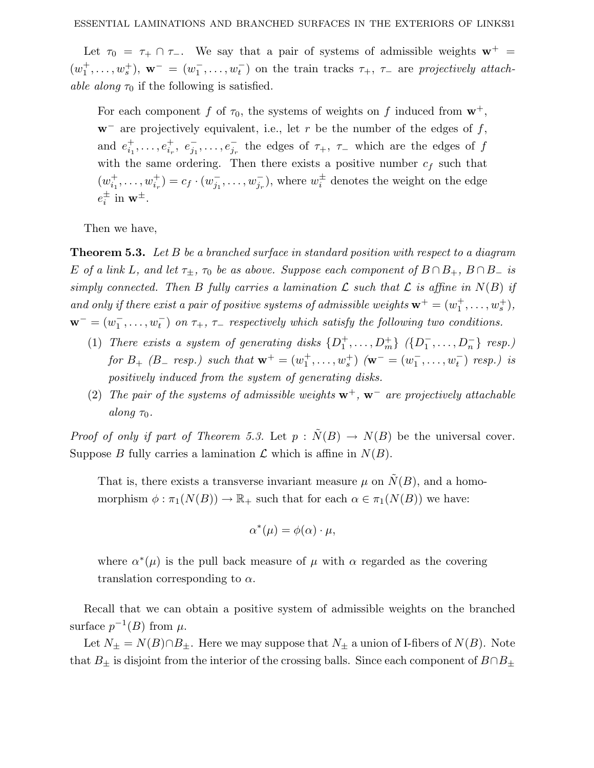Let  $\tau_0 = \tau_+ \cap \tau_-$ . We say that a pair of systems of admissible weights  $\mathbf{w}^+$  $(w_1^+, \ldots, w_s^+)$ ,  $\mathbf{w}^- = (w_1^-, \ldots, w_t^-)$  on the train tracks  $\tau_+$ ,  $\tau_-$  are projectively attach*able along*  $\tau_0$  if the following is satisfied.

For each component *f* of  $\tau_0$ , the systems of weights on *f* induced from  $\mathbf{w}^+$ , **w**<sup>−</sup> are projectively equivalent, i.e., let *r* be the number of the edges of *f*, and  $e_{i_1}^+, \ldots, e_{i_r}^+, e_{j_1}^-, \ldots, e_{j_r}^+$  the edges of  $\tau_+$ ,  $\tau_-$  which are the edges of  $f$ with the same ordering. Then there exists a positive number  $c_f$  such that  $(w_{i_1}^+, \ldots, w_{i_r}^+) = c_f \cdot (w_{j_1}^-, \ldots, w_{j_r}^-,)$ , where  $w_i^{\pm}$  denotes the weight on the edge  $e_i^{\pm}$  in  $\mathbf{w}^{\pm}$ .

Then we have,

**Theorem 5.3.** Let *B* be a branched surface in standard position with respect to a diagram *E* of a link *L*, and let  $\tau_{\pm}$ ,  $\tau_0$  be as above. Suppose each component of  $B \cap B_+$ ,  $B \cap B_-$  is simply connected. Then *B* fully carries a lamination *L* such that *L* is affine in  $N(B)$  if and only if there exist a pair of positive systems of admissible weights  $\mathbf{w}^+ = (w_1^+, \ldots, w_s^+),$  $\mathbf{w}^- = (w_1^-, \ldots, w_t^+)$  on  $\tau_+$ ,  $\tau_-$  respectively which satisfy the following two conditions.

- (1) There exists a system of generating disks  $\{D_1^+, \ldots, D_m^+\}$   $(\{D_1^-, \ldots, D_n^-\}$  resp.)  $for B_{+} (B_{-} resp.) such that  $\mathbf{w}^{+} = (w_{1}^{+}, \ldots, w_{s}^{+}) (\mathbf{w}^{-} = (w_{1}^{-}, \ldots, w_{t}^{-}) resp.) is$$ positively induced from the system of generating disks.
- (2) The pair of the systems of admissible weights **w**<sup>+</sup>, **w**<sup>−</sup> are projectively attachable along  $\tau_0$ .

*Proof of only if part of Theorem 5.3.* Let  $p : \tilde{N}(B) \to N(B)$  be the universal cover. Suppose *B* fully carries a lamination  $\mathcal L$  which is affine in  $N(B)$ .

That is, there exists a transverse invariant measure  $\mu$  on  $\tilde{N}(B)$ , and a homomorphism  $\phi : \pi_1(N(B)) \to \mathbb{R}_+$  such that for each  $\alpha \in \pi_1(N(B))$  we have:

$$
\alpha^*(\mu) = \phi(\alpha) \cdot \mu,
$$

where  $\alpha^*(\mu)$  is the pull back measure of  $\mu$  with  $\alpha$  regarded as the covering translation corresponding to *α*.

Recall that we can obtain a positive system of admissible weights on the branched surface  $p^{-1}(B)$  from  $\mu$ .

Let  $N_{\pm} = N(B) \cap B_{\pm}$ . Here we may suppose that  $N_{\pm}$  a union of I-fibers of  $N(B)$ . Note that  $B_{\pm}$  is disjoint from the interior of the crossing balls. Since each component of  $B \cap B_{\pm}$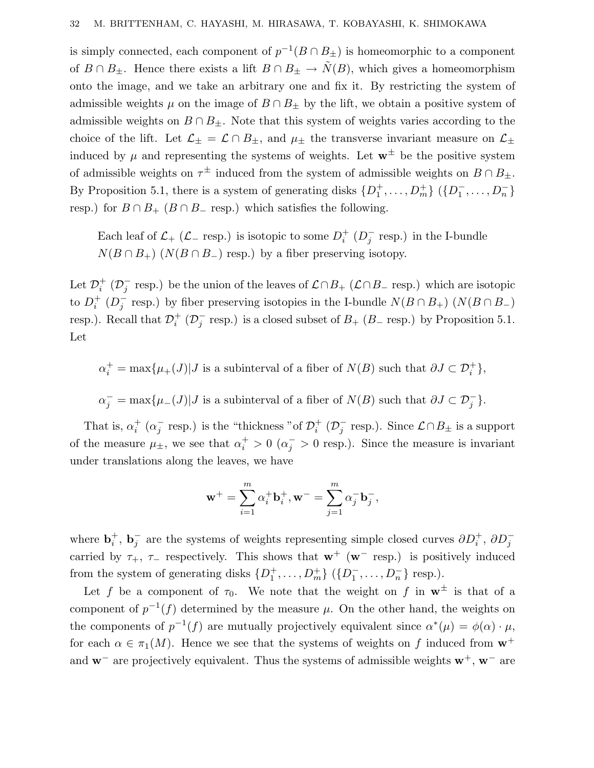is simply connected, each component of  $p^{-1}(B \cap B_{\pm})$  is homeomorphic to a component of  $B \cap B_{\pm}$ . Hence there exists a lift  $B \cap B_{\pm} \to \tilde{N}(B)$ , which gives a homeomorphism onto the image, and we take an arbitrary one and fix it. By restricting the system of admissible weights  $\mu$  on the image of  $B \cap B_{\pm}$  by the lift, we obtain a positive system of admissible weights on  $B \cap B_{\pm}$ . Note that this system of weights varies according to the choice of the lift. Let  $\mathcal{L}_{\pm} = \mathcal{L} \cap B_{\pm}$ , and  $\mu_{\pm}$  the transverse invariant measure on  $\mathcal{L}_{\pm}$ induced by  $\mu$  and representing the systems of weights. Let  $\mathbf{w}^{\pm}$  be the positive system of admissible weights on  $\tau^{\pm}$  induced from the system of admissible weights on  $B \cap B_{\pm}$ . By Proposition 5.1, there is a system of generating disks  $\{D_1^+, \ldots, D_m^+\}$   $(\{D_1^-, \ldots, D_n^-\})$ resp.) for  $B \cap B_+$  ( $B \cap B_-$  resp.) which satisfies the following.

Each leaf of  $\mathcal{L}_+$  ( $\mathcal{L}_-$  resp.) is isotopic to some  $D_i^+$  ( $D_j^-$  resp.) in the I-bundle  $N(B \cap B_+)$  ( $N(B \cap B_-)$  resp.) by a fiber preserving isotopy.

Let  $\mathcal{D}_i^+$  ( $\mathcal{D}_j^-$  resp.) be the union of the leaves of  $\mathcal{L} \cap B_+$  ( $\mathcal{L} \cap B_-$  resp.) which are isotopic to  $D_i^+$  ( $D_j^-$  resp.) by fiber preserving isotopies in the I-bundle  $N(B \cap B_+)$  ( $N(B \cap B_-)$ ) resp.). Recall that  $\mathcal{D}_i^+$  ( $\mathcal{D}_j^-$  resp.) is a closed subset of  $B_+$  ( $B_-$  resp.) by Proposition 5.1. Let

 $\alpha_i^+ = \max{\mu_+(J)}$  *J* is a subinterval of a fiber of  $N(B)$  such that  $\partial J \subset \mathcal{D}_i^+$ },

 $\alpha_j^-$  = max{ $\mu$ <sup>*-*</sup></sup>(*J*)|*J* is a subinterval of a fiber of  $N(B)$  such that  $\partial J \subset \mathcal{D}_j^-$ }*.* 

That is,  $\alpha_i^+$  ( $\alpha_j^-$  resp.) is the "thickness "of  $\mathcal{D}_i^+$  ( $\mathcal{D}_j^-$  resp.). Since  $\mathcal{L} \cap B_{\pm}$  is a support of the measure  $\mu_{\pm}$ , we see that  $\alpha_i^+ > 0$  ( $\alpha_j^- > 0$  resp.). Since the measure is invariant under translations along the leaves, we have

$$
\mathbf{w}^+ = \sum_{i=1}^m \alpha_i^+ \mathbf{b}_i^+, \mathbf{w}^- = \sum_{j=1}^m \alpha_j^- \mathbf{b}_j^-,
$$

where  $\mathbf{b}_i^+$ ,  $\mathbf{b}_j^-$  are the systems of weights representing simple closed curves  $\partial D_i^+$ ,  $\partial D_j^$ carried by  $\tau_+$ ,  $\tau_-$  respectively. This shows that  $\mathbf{w}^+$  ( $\mathbf{w}^-$  resp.) is positively induced from the system of generating disks  $\{D_1^+, \ldots, D_m^+\}$   $(\{D_1^-, \ldots, D_n^-\}$  resp.).

Let f be a component of  $\tau_0$ . We note that the weight on f in  $\mathbf{w}^{\pm}$  is that of a component of  $p^{-1}(f)$  determined by the measure  $\mu$ . On the other hand, the weights on the components of  $p^{-1}(f)$  are mutually projectively equivalent since  $\alpha^*(\mu) = \phi(\alpha) \cdot \mu$ , for each  $\alpha \in \pi_1(M)$ . Hence we see that the systems of weights on f induced from  $\mathbf{w}^+$ and **w**<sup>−</sup> are projectively equivalent. Thus the systems of admissible weights **w**<sup>+</sup>, **w**<sup>−</sup> are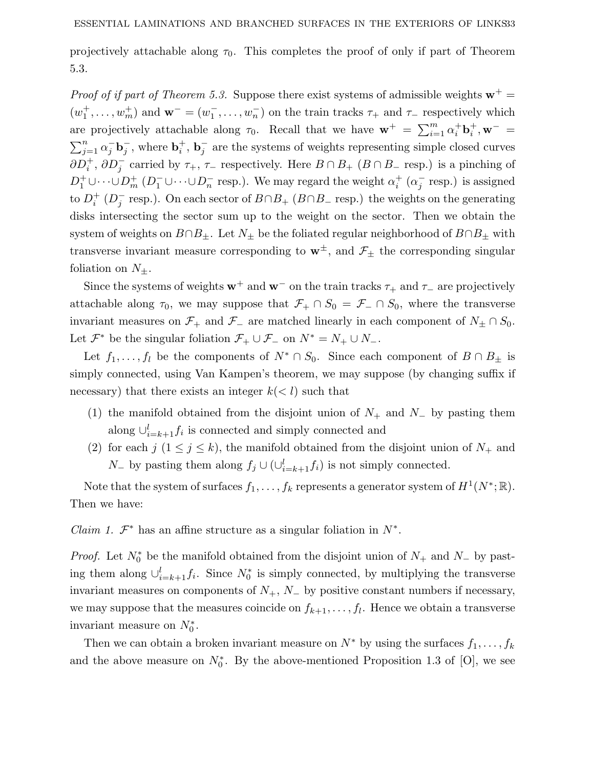projectively attachable along  $\tau_0$ . This completes the proof of only if part of Theorem 5.3.

*Proof of if part of Theorem 5.3.* Suppose there exist systems of admissible weights  $\mathbf{w}^+$  =  $(w_1^+, \ldots, w_m^+)$  and  $\mathbf{w}^- = (w_1^-, \ldots, w_n^-)$  on the train tracks  $\tau_+$  and  $\tau_-$  respectively which are projectively attachable along  $\tau_0$ . Recall that we have  $\mathbf{w}^+ = \sum_{i=1}^m \alpha_i^+ \mathbf{b}_i^+$ ,  $\mathbf{w}^ \sum_{j=1}^{n} \alpha_j^- \mathbf{b}_j^-$ , where  $\mathbf{b}_i^+$ ,  $\mathbf{b}_j^-$  are the systems of weights representing simple closed curves  $\partial D_i^+$ ,  $\partial D_j^-$  carried by  $\tau_+$ ,  $\tau_-$  respectively. Here  $B \cap B_+$  ( $B \cap B_-$  resp.) is a pinching of  $D_1^+ \cup \cdots \cup D_m^+$  ( $D_1^- \cup \cdots \cup D_n^-$  resp.). We may regard the weight  $\alpha_i^+$  ( $\alpha_j^-$  resp.) is assigned to  $D_i^+$  ( $D_j^-$  resp.). On each sector of  $B \cap B_+$  ( $B \cap B_-$  resp.) the weights on the generating disks intersecting the sector sum up to the weight on the sector. Then we obtain the system of weights on  $B \cap B_{\pm}$ . Let  $N_{\pm}$  be the foliated regular neighborhood of  $B \cap B_{\pm}$  with transverse invariant measure corresponding to  $\mathbf{w}^{\pm}$ , and  $\mathcal{F}_{\pm}$  the corresponding singular foliation on  $N_{\pm}$ .

Since the systems of weights  $w^+$  and  $w^-$  on the train tracks  $\tau_+$  and  $\tau_-$  are projectively attachable along  $\tau_0$ , we may suppose that  $\mathcal{F}_+ \cap S_0 = \mathcal{F}_- \cap S_0$ , where the transverse invariant measures on  $\mathcal{F}_+$  and  $\mathcal{F}_-$  are matched linearly in each component of  $N_{\pm} \cap S_0$ . Let  $\mathcal{F}^*$  be the singular foliation  $\mathcal{F}_+ \cup \mathcal{F}_-$  on  $N^* = N_+ \cup N_-$ .

Let  $f_1, \ldots, f_l$  be the components of  $N^* \cap S_0$ . Since each component of  $B \cap B_{\pm}$  is simply connected, using Van Kampen's theorem, we may suppose (by changing suffix if necessary) that there exists an integer  $k \leq l$  such that

- (1) the manifold obtained from the disjoint union of *N*<sup>+</sup> and *N*<sup>−</sup> by pasting them along  $\bigcup_{i=k+1}^{l} f_i$  is connected and simply connected and
- (2) for each  $j$  ( $1 \leq j \leq k$ ), the manifold obtained from the disjoint union of  $N_+$  and *N*<sup>−</sup> by pasting them along  $f_j$  ∪ (∪<sup>*l*</sup><sub>*i*=*k*+1</sub> $f_i$ ) is not simply connected.

Note that the system of surfaces  $f_1, \ldots, f_k$  represents a generator system of  $H^1(N^*; \mathbb{R})$ . Then we have:

*Claim 1.*  $\mathcal{F}^*$  has an affine structure as a singular foliation in  $N^*$ .

*Proof.* Let  $N_0^*$  be the manifold obtained from the disjoint union of  $N_+$  and  $N_-$  by pasting them along  $\cup_{i=k+1}^{l} f_i$ . Since  $N_0^*$  is simply connected, by multiplying the transverse invariant measures on components of  $N_+$ ,  $N_-$  by positive constant numbers if necessary, we may suppose that the measures coincide on  $f_{k+1}, \ldots, f_l$ . Hence we obtain a transverse invariant measure on  $N_0^*$ .

Then we can obtain a broken invariant measure on  $N^*$  by using the surfaces  $f_1, \ldots, f_k$ and the above measure on  $N_0^*$ . By the above-mentioned Proposition 1.3 of [O], we see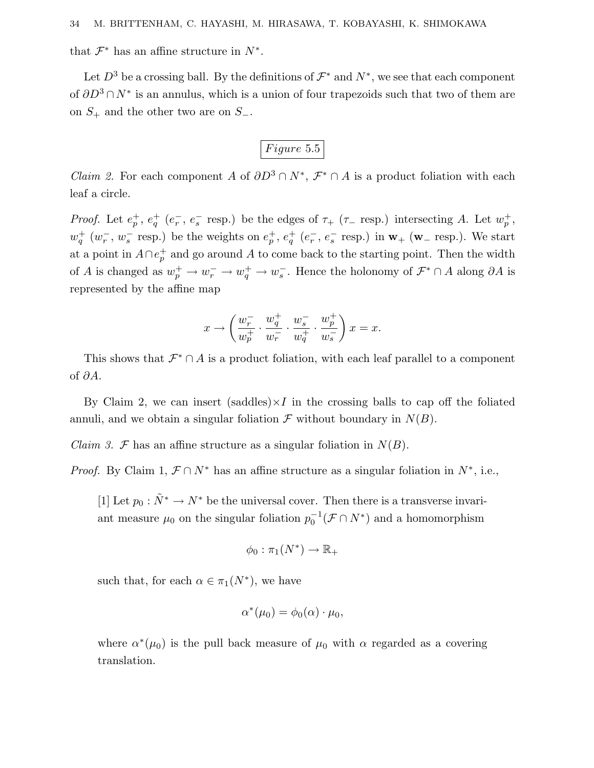that  $\mathcal{F}^*$  has an affine structure in  $N^*$ .

Let  $D^3$  be a crossing ball. By the definitions of  $\mathcal{F}^*$  and  $N^*$ , we see that each component of *∂D*<sup>3</sup> ∩ *N*<sup>∗</sup> is an annulus, which is a union of four trapezoids such that two of them are on *S*<sup>+</sup> and the other two are on *S*−.

# *F igure* 5*.*5

*Claim 2.* For each component *A* of  $\partial D^3 \cap N^*$ ,  $\mathcal{F}^* \cap A$  is a product foliation with each leaf a circle.

*Proof.* Let  $e_p^+$ ,  $e_q^+$  ( $e_r^-$ ,  $e_s^-$  resp.) be the edges of  $\tau_+$  ( $\tau_-$  resp.) intersecting *A*. Let  $w_p^+$ ,  $w_q^+$  ( $w_r^-, w_s^-$  resp.) be the weights on  $e_p^+, e_q^+$  ( $e_r^-, e_s^-$  resp.) in  $w_+$  ( $w_-$  resp.). We start at a point in  $A \cap e_p^+$  and go around A to come back to the starting point. Then the width of *A* is changed as  $w_p^+ \to w_r^- \to w_q^+ \to w_s^-$ . Hence the holonomy of  $\mathcal{F}^* \cap A$  along  $\partial A$  is represented by the affine map

$$
x \rightarrow \left( \frac{w^-_r}{w^+_p} \cdot \frac{w^+_q}{w^-_r} \cdot \frac{w^-_s}{w^+_q} \cdot \frac{w^+_p}{w^-_s} \right) x = x.
$$

This shows that  $\mathcal{F}^* \cap A$  is a product foliation, with each leaf parallel to a component of *∂A*.

By Claim 2, we can insert (saddles) $\times I$  in the crossing balls to cap off the foliated annuli, and we obtain a singular foliation  $\mathcal F$  without boundary in  $N(B)$ .

Claim 3. F has an affine structure as a singular foliation in  $N(B)$ .

*Proof.* By Claim 1,  $\mathcal{F} \cap N^*$  has an affine structure as a singular foliation in  $N^*$ , i.e.,

[1] Let  $p_0 : \tilde{N}^* \to N^*$  be the universal cover. Then there is a transverse invariant measure  $\mu_0$  on the singular foliation  $p_0^{-1}(\mathcal{F} \cap N^*)$  and a homomorphism

$$
\phi_0 : \pi_1(N^*) \to \mathbb{R}_+
$$

such that, for each  $\alpha \in \pi_1(N^*)$ , we have

$$
\alpha^*(\mu_0) = \phi_0(\alpha) \cdot \mu_0,
$$

where  $\alpha^*(\mu_0)$  is the pull back measure of  $\mu_0$  with  $\alpha$  regarded as a covering translation.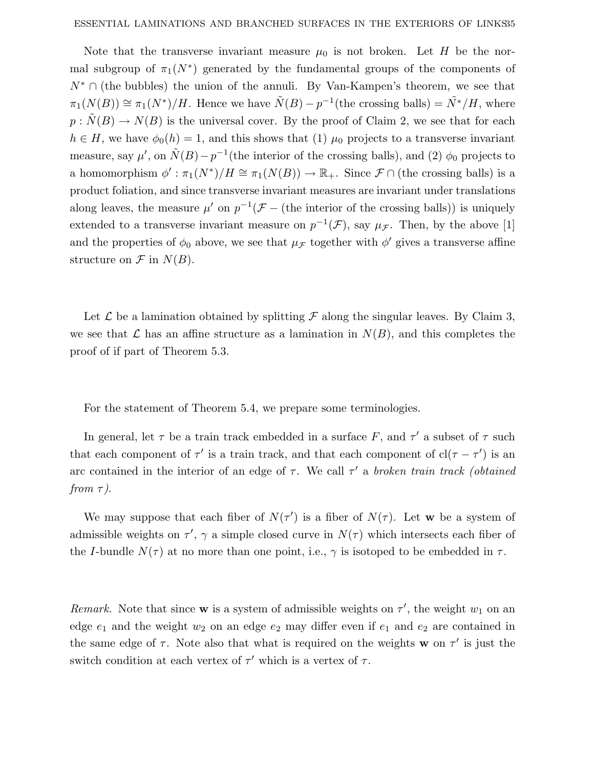Note that the transverse invariant measure  $\mu_0$  is not broken. Let *H* be the normal subgroup of  $\pi_1(N^*)$  generated by the fundamental groups of the components of *N*<sup>∗</sup> ∩ (the bubbles) the union of the annuli. By Van-Kampen's theorem, we see that  $\pi_1(N(B)) \cong \pi_1(N^*)/H$ . Hence we have  $\tilde{N}(B) - p^{-1}$  (the crossing balls) =  $\tilde{N}^*/H$ , where  $p : \tilde{N}(B) \to N(B)$  is the universal cover. By the proof of Claim 2, we see that for each  $h \in H$ , we have  $\phi_0(h) = 1$ , and this shows that (1)  $\mu_0$  projects to a transverse invariant measure, say  $\mu'$ , on  $\tilde{N}(B) - p^{-1}$  (the interior of the crossing balls), and (2)  $\phi_0$  projects to a homomorphism  $\phi': \pi_1(N^*)/H \cong \pi_1(N(B)) \to \mathbb{R}_+$ . Since  $\mathcal{F} \cap$  (the crossing balls) is a product foliation, and since transverse invariant measures are invariant under translations along leaves, the measure  $\mu'$  on  $p^{-1}(\mathcal{F} -$  (the interior of the crossing balls)) is uniquely extended to a transverse invariant measure on  $p^{-1}(\mathcal{F})$ , say  $\mu_{\mathcal{F}}$ . Then, by the above [1] and the properties of  $\phi_0$  above, we see that  $\mu_{\mathcal{F}}$  together with  $\phi'$  gives a transverse affine structure on  $\mathcal F$  in  $N(B)$ .

Let  $\mathcal L$  be a lamination obtained by splitting  $\mathcal F$  along the singular leaves. By Claim 3, we see that L has an affine structure as a lamination in  $N(B)$ , and this completes the proof of if part of Theorem 5.3.

For the statement of Theorem 5.4, we prepare some terminologies.

In general, let  $\tau$  be a train track embedded in a surface F, and  $\tau'$  a subset of  $\tau$  such that each component of  $\tau'$  is a train track, and that each component of  $cl(\tau - \tau')$  is an arc contained in the interior of an edge of  $\tau$ . We call  $\tau'$  a broken train track (obtained from *τ* ).

We may suppose that each fiber of  $N(\tau')$  is a fiber of  $N(\tau)$ . Let **w** be a system of admissible weights on  $\tau'$ ,  $\gamma$  a simple closed curve in  $N(\tau)$  which intersects each fiber of the *I*-bundle  $N(\tau)$  at no more than one point, i.e.,  $\gamma$  is isotoped to be embedded in  $\tau$ .

Remark. Note that since **w** is a system of admissible weights on  $\tau'$ , the weight  $w_1$  on an edge  $e_1$  and the weight  $w_2$  on an edge  $e_2$  may differ even if  $e_1$  and  $e_2$  are contained in the same edge of  $\tau$ . Note also that what is required on the weights **w** on  $\tau'$  is just the switch condition at each vertex of  $\tau'$  which is a vertex of  $\tau$ .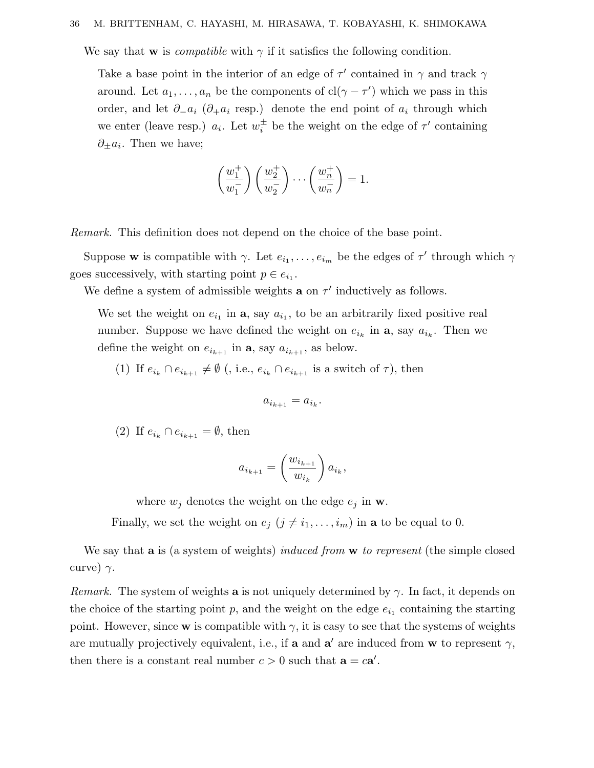#### 36 M. BRITTENHAM, C. HAYASHI, M. HIRASAWA, T. KOBAYASHI, K. SHIMOKAWA

We say that **w** is *compatible* with  $\gamma$  if it satisfies the following condition.

Take a base point in the interior of an edge of  $\tau'$  contained in  $\gamma$  and track  $\gamma$ around. Let  $a_1, \ldots, a_n$  be the components of  $cl(\gamma - \tau')$  which we pass in this order, and let  $\partial_{-}a_i$  ( $\partial_{+}a_i$  resp.) denote the end point of  $a_i$  through which we enter (leave resp.)  $a_i$ . Let  $w_i^{\pm}$  be the weight on the edge of  $\tau'$  containing *∂*±*ai*. Then we have;

$$
\left(\frac{w_1^+}{w_1^-}\right)\left(\frac{w_2^+}{w_2^-}\right)\cdots\left(\frac{w_n^+}{w_n^-}\right)=1.
$$

Remark. This definition does not depend on the choice of the base point.

Suppose **w** is compatible with *γ*. Let  $e_{i_1}, \ldots, e_{i_m}$  be the edges of  $\tau'$  through which  $\gamma$ goes successively, with starting point  $p \in e_{i_1}$ .

We define a system of admissible weights **a** on  $\tau'$  inductively as follows.

We set the weight on  $e_{i_1}$  in **a**, say  $a_{i_1}$ , to be an arbitrarily fixed positive real number. Suppose we have defined the weight on  $e_{i_k}$  in **a**, say  $a_{i_k}$ . Then we define the weight on  $e_{i_{k+1}}$  in **a**, say  $a_{i_{k+1}}$ , as below.

(1) If  $e_{i_k} \cap e_{i_{k+1}} \neq \emptyset$  (, i.e.,  $e_{i_k} \cap e_{i_{k+1}}$  is a switch of  $\tau$ ), then

$$
a_{i_{k+1}} = a_{i_k}.
$$

(2) If  $e_{i_k} \cap e_{i_{k+1}} = \emptyset$ , then

$$
a_{i_{k+1}} = \left(\frac{w_{i_{k+1}}}{w_{i_k}}\right) a_{i_k},
$$

where  $w_j$  denotes the weight on the edge  $e_j$  in **w**.

Finally, we set the weight on  $e_j$  ( $j \neq i_1, \ldots, i_m$ ) in **a** to be equal to 0.

We say that **a** is (a system of weights) induced from **w** to represent (the simple closed curve)  $\gamma$ .

*Remark.* The system of weights **a** is not uniquely determined by  $\gamma$ . In fact, it depends on the choice of the starting point  $p$ , and the weight on the edge  $e_{i_1}$  containing the starting point. However, since **w** is compatible with  $\gamma$ , it is easy to see that the systems of weights are mutually projectively equivalent, i.e., if **a** and **a**' are induced from **w** to represent  $\gamma$ , then there is a constant real number  $c > 0$  such that  $\mathbf{a} = c\mathbf{a}'$ .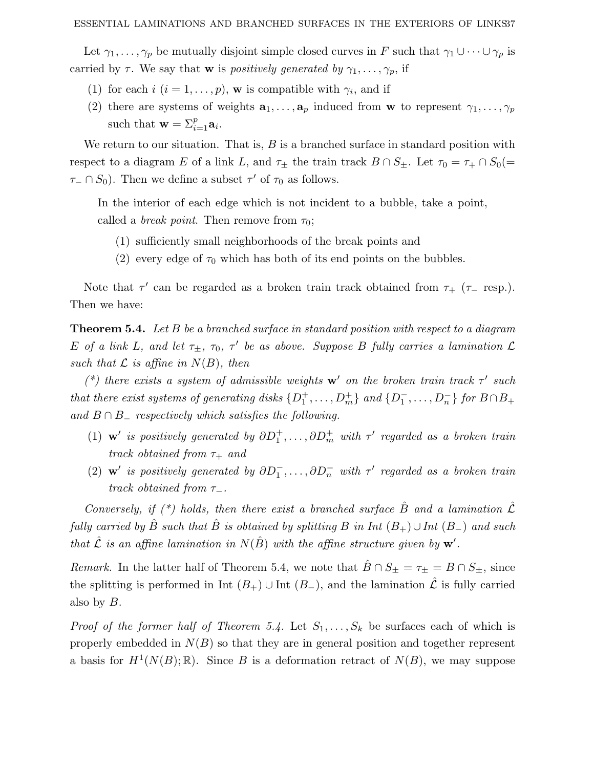Let  $\gamma_1, \ldots, \gamma_p$  be mutually disjoint simple closed curves in *F* such that  $\gamma_1 \cup \cdots \cup \gamma_p$  is carried by  $\tau$ . We say that **w** is positively generated by  $\gamma_1, \ldots, \gamma_p$ , if

- (1) for each *i* ( $i = 1, ..., p$ ), **w** is compatible with  $\gamma_i$ , and if
- (2) there are systems of weights  $\mathbf{a}_1, \ldots, \mathbf{a}_p$  induced from **w** to represent  $\gamma_1, \ldots, \gamma_p$ such that  $\mathbf{w} = \sum_{i=1}^{p} a_i$ .

We return to our situation. That is, *B* is a branched surface in standard position with respect to a diagram *E* of a link *L*, and  $\tau_{\pm}$  the train track  $B \cap S_{\pm}$ . Let  $\tau_0 = \tau_+ \cap S_0$ *τ*− ∩ *S*<sub>0</sub>). Then we define a subset  $\tau'$  of  $\tau_0$  as follows.

In the interior of each edge which is not incident to a bubble, take a point, called a *break point*. Then remove from  $\tau_0$ ;

- (1) sufficiently small neighborhoods of the break points and
- (2) every edge of  $\tau_0$  which has both of its end points on the bubbles.

Note that  $\tau'$  can be regarded as a broken train track obtained from  $\tau_{+}$  ( $\tau_{-}$  resp.). Then we have:

**Theorem 5.4.** Let *B* be a branched surface in standard position with respect to a diagram *E* of a link *L*, and let  $\tau_{\pm}$ ,  $\tau_0$ ,  $\tau'$  be as above. Suppose *B* fully carries a lamination  $\mathcal{L}$ such that  $\mathcal L$  is affine in  $N(B)$ , then

(\*) there exists a system of admissible weights **w**' on the broken train track  $\tau$ ' such that there exist systems of generating disks  $\{D_1^+, \ldots, D_m^+\}$  and  $\{D_1^-, \ldots, D_n^-\}$  for  $B \cap B_+$ and  $B \cap B$ <sub>-</sub> respectively which satisfies the following.

- (1) **w** is positively generated by  $\partial D_1^+, \ldots, \partial D_m^+$  with  $\tau$  regarded as a broken train track obtained from *τ*<sup>+</sup> and
- (2) **w** is positively generated by  $\partial D_1^-$ ,...,  $\partial D_n^-$  with  $\tau$  regarded as a broken train track obtained from *τ*−.

Conversely, if  $(*)$  holds, then there exist a branched surface  $\hat{B}$  and a lamination  $\hat{\mathcal{L}}$ fully carried by  $\hat{B}$  such that  $\hat{B}$  is obtained by splitting  $B$  in Int  $(B_{+})\cup Int(B_{-})$  and such that  $\hat{\mathcal{L}}$  is an affine lamination in  $N(\hat{B})$  with the affine structure given by  $\mathbf{w}'$ .

*Remark.* In the latter half of Theorem 5.4, we note that  $\hat{B} \cap S_{\pm} = \tau_{\pm} = B \cap S_{\pm}$ , since the splitting is performed in Int  $(B_+) \cup$  Int  $(B_-)$ , and the lamination  $\mathcal L$  is fully carried also by *B*.

*Proof of the former half of Theorem 5.4.* Let  $S_1, \ldots, S_k$  be surfaces each of which is properly embedded in  $N(B)$  so that they are in general position and together represent a basis for  $H^1(N(B); \mathbb{R})$ . Since *B* is a deformation retract of  $N(B)$ , we may suppose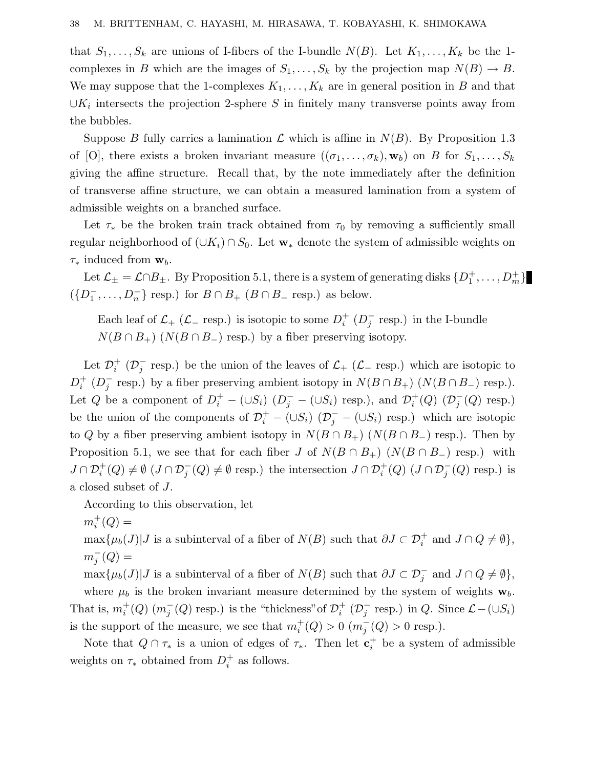that  $S_1, \ldots, S_k$  are unions of I-fibers of the I-bundle  $N(B)$ . Let  $K_1, \ldots, K_k$  be the 1complexes in *B* which are the images of  $S_1, \ldots, S_k$  by the projection map  $N(B) \to B$ . We may suppose that the 1-complexes  $K_1, \ldots, K_k$  are in general position in *B* and that  $\cup K_i$  intersects the projection 2-sphere *S* in finitely many transverse points away from the bubbles.

Suppose *B* fully carries a lamination  $\mathcal L$  which is affine in  $N(B)$ . By Proposition 1.3 of [O], there exists a broken invariant measure  $((\sigma_1, \ldots, \sigma_k), \mathbf{w}_b)$  on *B* for  $S_1, \ldots, S_k$ giving the affine structure. Recall that, by the note immediately after the definition of transverse affine structure, we can obtain a measured lamination from a system of admissible weights on a branched surface.

Let  $\tau_*$  be the broken train track obtained from  $\tau_0$  by removing a sufficiently small regular neighborhood of (∪*Ki*) ∩ *S*0. Let **w**<sup>∗</sup> denote the system of admissible weights on *τ*<sup>∗</sup> induced from **w***b*.

Let  $\mathcal{L}_{\pm} = \mathcal{L} \cap B_{\pm}$ . By Proposition 5.1, there is a system of generating disks  $\{D_1^+, \ldots, D_m^+\}$  $({D_1^-, \ldots, D_n^-}$  resp.) for  $B \cap B_+$  ( $B \cap B_-$  resp.) as below.

Each leaf of  $\mathcal{L}_+$  ( $\mathcal{L}_-$  resp.) is isotopic to some  $D_i^+$  ( $D_j^-$  resp.) in the I-bundle  $N(B \cap B_+)$  ( $N(B \cap B_-)$ ) resp.) by a fiber preserving isotopy.

Let  $\mathcal{D}_i^+$  ( $\mathcal{D}_j^-$  resp.) be the union of the leaves of  $\mathcal{L}_+$  ( $\mathcal{L}_-$  resp.) which are isotopic to  $D_i^+$  ( $D_j^-$  resp.) by a fiber preserving ambient isotopy in  $N(B \cap B_+)$  ( $N(B \cap B_-)$ ) resp.). Let *Q* be a component of  $D_i^+ - (\cup S_i) (D_j^- - (\cup S_i)$  resp.), and  $\mathcal{D}_i^+(Q) (\mathcal{D}_j^-(Q)$  resp.) be the union of the components of  $\mathcal{D}_i^+$  –  $(\cup S_i)$   $(\mathcal{D}_j^-$  –  $(\cup S_i)$  resp.) which are isotopic to *Q* by a fiber preserving ambient isotopy in  $N(B \cap B_+)$  ( $N(B \cap B_-)$ ) resp.). Then by Proposition 5.1, we see that for each fiber *J* of  $N(B \cap B_+)$  ( $N(B \cap B_-)$ ) resp.) with  $J \cap \mathcal{D}_i^+(Q) \neq \emptyset$   $(J \cap \mathcal{D}_j^-(Q) \neq \emptyset$  resp.) the intersection  $J \cap \mathcal{D}_i^+(Q)$   $(J \cap \mathcal{D}_j^-(Q)$  resp.) is a closed subset of *J*.

According to this observation, let

 $m_i^+(Q) =$ 

 $\max\{\mu_b(J)|J\text{ is a subinterval of a fiber of }N(B)\text{ such that }\partial J\subset \mathcal{D}_i^+\text{ and }J\cap Q\neq\emptyset\},\$  $m_j^-(Q) =$ 

 $\max\{\mu_b(J)|J\text{ is a subinterval of a fiber of }N(B)\text{ such that }\partial J\subset \mathcal{D}_j^-\text{ and }J\cap Q\neq\emptyset\},\$ 

where  $\mu_b$  is the broken invariant measure determined by the system of weights  $\mathbf{w}_b$ . That is,  $m_i^+(Q)$   $(m_j^-(Q)$  resp.) is the "thickness" of  $\mathcal{D}_i^+$   $(\mathcal{D}_j^-$  resp.) in  $Q$ . Since  $\mathcal{L}$  –  $(\cup S_i)$ is the support of the measure, we see that  $m_i^+(Q) > 0$   $(m_j^-(Q) > 0$  resp.).

Note that  $Q \cap \tau_*$  is a union of edges of  $\tau_*$ . Then let  $\mathbf{c}_i^+$  be a system of admissible weights on  $\tau_*$  obtained from  $D_i^+$  as follows.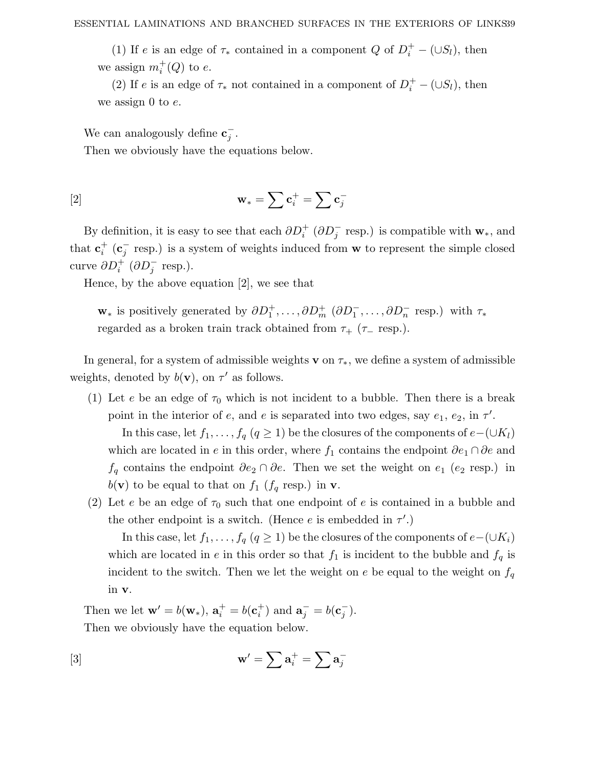(1) If *e* is an edge of  $\tau_*$  contained in a component *Q* of  $D_i^+ - (\cup S_i)$ , then we assign  $m_i^+(Q)$  to *e*.

(2) If *e* is an edge of  $\tau_*$  not contained in a component of  $D_i^+ - (\cup S_i)$ , then we assign 0 to *e*.

We can analogously define  $\mathbf{c}_j^-$ .

Then we obviously have the equations below.

$$
\mathbf{w}_{*} = \sum \mathbf{c}_{i}^{+} = \sum \mathbf{c}_{j}^{-}
$$

By definition, it is easy to see that each  $\partial D_i^+$  ( $\partial D_j^-$  resp.) is compatible with  $\mathbf{w}_*$ , and that  $\mathbf{c}_i^+$  ( $\mathbf{c}_j^-$  resp.) is a system of weights induced from **w** to represent the simple closed curve  $\partial D_i^+$  ( $\partial D_j^-$  resp.).

Hence, by the above equation [2], we see that

**w**<sub>∗</sub> is positively generated by  $\partial D_1^+, \dots, \partial D_m^+$  ( $\partial D_1^-, \dots, \partial D_n^-$  resp.) with  $\tau_*$ regarded as a broken train track obtained from  $\tau_{+}$  ( $\tau_{-}$  resp.).

In general, for a system of admissible weights **v** on  $\tau_*$ , we define a system of admissible weights, denoted by  $b(\mathbf{v})$ , on  $\tau'$  as follows.

(1) Let *e* be an edge of  $\tau_0$  which is not incident to a bubble. Then there is a break point in the interior of *e*, and *e* is separated into two edges, say  $e_1$ ,  $e_2$ , in  $\tau'$ .

In this case, let *f*<sub>1</sub>*,..., f<sub>q</sub></sub>* (*q* ≥ 1) be the closures of the components of *e*−(∪*Kl*) which are located in *e* in this order, where  $f_1$  contains the endpoint  $\partial e_1 \cap \partial e$  and *f*<sup>*q*</sup> contains the endpoint  $∂e_2 ∩ ∂e$ . Then we set the weight on  $e_1$  ( $e_2$  resp.) in  $b(\mathbf{v})$  to be equal to that on  $f_1$  ( $f_q$  resp.) in **v**.

(2) Let *e* be an edge of  $\tau_0$  such that one endpoint of *e* is contained in a bubble and the other endpoint is a switch. (Hence  $e$  is embedded in  $\tau'$ .)

In this case, let *f*<sub>1</sub>*,..., f<sub>q</sub></sub>* (*q* ≥ 1) be the closures of the components of *e*−(∪*K*<sub>*i*</sub>) which are located in *e* in this order so that  $f_1$  is incident to the bubble and  $f_q$  is incident to the switch. Then we let the weight on  $e$  be equal to the weight on  $f_q$ in **v**.

Then we let  $\mathbf{w}' = b(\mathbf{w}_*)$ ,  $\mathbf{a}_i^+ = b(\mathbf{c}_i^+)$  and  $\mathbf{a}_j^- = b(\mathbf{c}_j^-)$ . Then we obviously have the equation below.

$$
\mathbf{w}' = \sum \mathbf{a}_i^+ = \sum \mathbf{a}_j^-
$$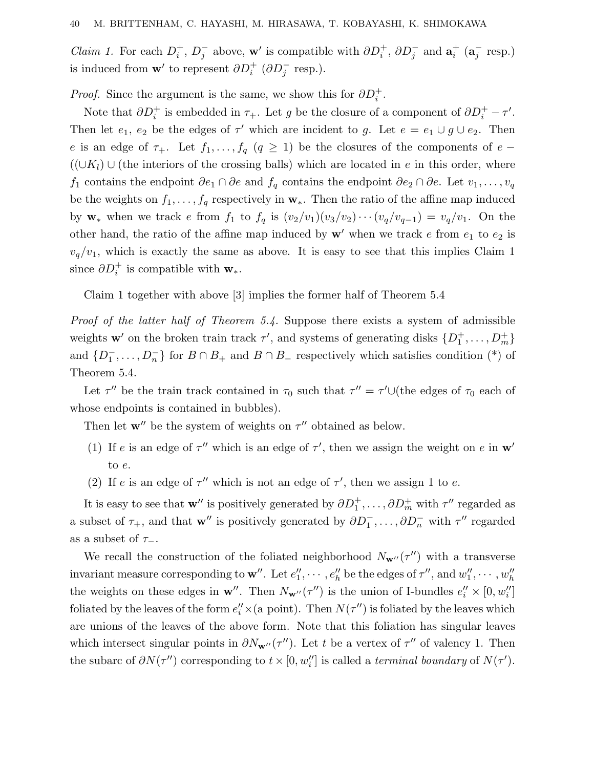*Claim 1.* For each  $D_i^+$ ,  $D_j^-$  above, **w**' is compatible with  $\partial D_i^+$ ,  $\partial D_j^-$  and  $\mathbf{a}_i^+$  ( $\mathbf{a}_j^-$  resp.) is induced from **w**' to represent  $\partial D_i^+$  ( $\partial D_j^-$  resp.).

*Proof.* Since the argument is the same, we show this for  $\partial D_i^+$ .

Note that  $\partial D_i^+$  is embedded in  $\tau_+$ . Let *g* be the closure of a component of  $\partial D_i^+ - \tau'$ . Then let  $e_1, e_2$  be the edges of  $\tau'$  which are incident to *g*. Let  $e = e_1 \cup g \cup e_2$ . Then *e* is an edge of  $\tau_+$ . Let  $f_1, \ldots, f_q$  ( $q \geq 1$ ) be the closures of the components of *e* −  $((\cup K_l) \cup$  (the interiors of the crossing balls) which are located in *e* in this order, where *f*<sub>1</sub> contains the endpoint  $\partial e_1 \cap \partial e$  and  $f_q$  contains the endpoint  $\partial e_2 \cap \partial e$ . Let  $v_1, \ldots, v_q$ be the weights on  $f_1, \ldots, f_q$  respectively in  $\mathbf{w}_*$ . Then the ratio of the affine map induced by **w**<sub>∗</sub> when we track *e* from  $f_1$  to  $f_q$  is  $(v_2/v_1)(v_3/v_2)\cdots(v_q/v_{q-1}) = v_q/v_1$ . On the other hand, the ratio of the affine map induced by  $w'$  when we track  $e$  from  $e_1$  to  $e_2$  is  $v_q/v_1$ , which is exactly the same as above. It is easy to see that this implies Claim 1 since  $\partial D_i^+$  is compatible with **w**<sub>\*</sub>.

Claim 1 together with above [3] implies the former half of Theorem 5.4

Proof of the latter half of Theorem 5.4. Suppose there exists a system of admissible weights **w**' on the broken train track  $\tau'$ , and systems of generating disks  $\{D_1^+, \ldots, D_m^+\}$ and  $\{D_1^-, \ldots, D_n^-\}$  for  $B \cap B_+$  and  $B \cap B_-$  respectively which satisfies condition (\*) of Theorem 5.4.

Let  $\tau''$  be the train track contained in  $\tau_0$  such that  $\tau'' = \tau' \cup$  (the edges of  $\tau_0$  each of whose endpoints is contained in bubbles).

Then let  $\mathbf{w}''$  be the system of weights on  $\tau''$  obtained as below.

- (1) If *e* is an edge of  $\tau''$  which is an edge of  $\tau'$ , then we assign the weight on *e* in  $\mathbf{w}'$ to *e*.
- (2) If *e* is an edge of  $\tau''$  which is not an edge of  $\tau'$ , then we assign 1 to *e*.

It is easy to see that **w**" is positively generated by  $\partial D_1^+, \ldots, \partial D_m^+$  with  $\tau$ " regarded as a subset of  $\tau_+$ , and that **w**" is positively generated by  $\partial D_1^-$ , ...,  $\partial D_n^-$  with  $\tau$ " regarded as a subset of  $\tau_-\$ .

We recall the construction of the foliated neighborhood  $N_{\mathbf{w}'}(\tau'')$  with a transverse invariant measure corresponding to  $\mathbf{w}''$ . Let  $e''_1, \cdots, e''_h$  be the edges of  $\tau'',$  and  $w''_1, \cdots, w''_h$ the weights on these edges in  $\mathbf{w}''$ . Then  $N_{\mathbf{w}''}(\tau'')$  is the union of I-bundles  $e''_i \times [0, w''_i]$ foliated by the leaves of the form  $e_i^{\prime\prime} \times (a \text{ point})$ . Then  $N(\tau^{\prime\prime})$  is foliated by the leaves which are unions of the leaves of the above form. Note that this foliation has singular leaves which intersect singular points in  $\partial N_{\mathbf{w}''}(\tau'')$ . Let *t* be a vertex of  $\tau''$  of valency 1. Then the subarc of  $\partial N(\tau'')$  corresponding to  $t \times [0, w''_i]$  is called a *terminal boundary* of  $N(\tau')$ .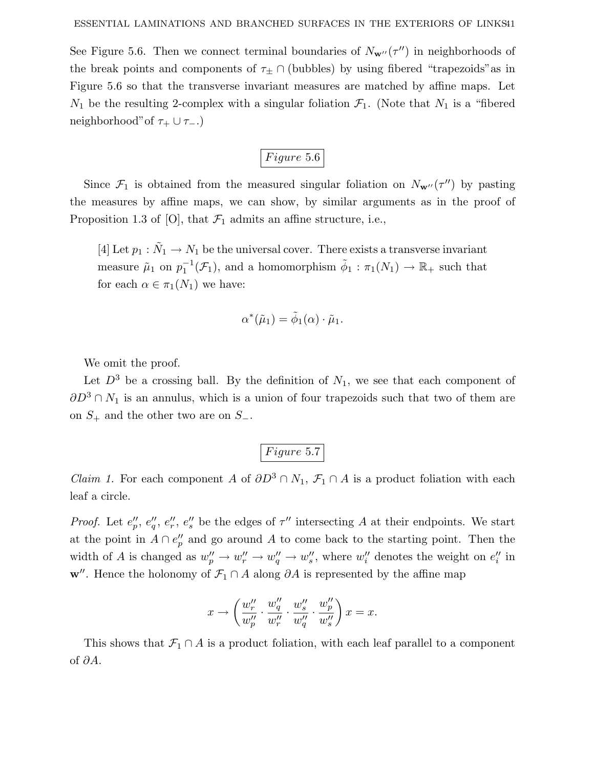See Figure 5.6. Then we connect terminal boundaries of  $N_{\mathbf{w}''}(\tau'')$  in neighborhoods of the break points and components of  $\tau_{\pm} \cap$  (bubbles) by using fibered "trapezoids" as in Figure 5.6 so that the transverse invariant measures are matched by affine maps. Let  $N_1$  be the resulting 2-complex with a singular foliation  $\mathcal{F}_1$ . (Note that  $N_1$  is a "fibered neighborhood" of  $\tau_+ \cup \tau_-$ .)

$$
Figure~5.6
$$

Since  $\mathcal{F}_1$  is obtained from the measured singular foliation on  $N_{\mathbf{w}''}(\tau'')$  by pasting the measures by affine maps, we can show, by similar arguments as in the proof of Proposition 1.3 of [O], that  $\mathcal{F}_1$  admits an affine structure, i.e.,

[4] Let  $p_1 : \tilde{N}_1 \to N_1$  be the universal cover. There exists a transverse invariant measure  $\tilde{\mu}_1$  on  $p_1^{-1}(\mathcal{F}_1)$ , and a homomorphism  $\tilde{\phi}_1 : \pi_1(N_1) \to \mathbb{R}_+$  such that for each  $\alpha \in \pi_1(N_1)$  we have:

$$
\alpha^*(\tilde{\mu}_1) = \tilde{\phi}_1(\alpha) \cdot \tilde{\mu}_1.
$$

We omit the proof.

Let  $D^3$  be a crossing ball. By the definition of  $N_1$ , we see that each component of *∂D*<sup>3</sup> ∩ *N*<sub>1</sub> is an annulus, which is a union of four trapezoids such that two of them are on *S*<sup>+</sup> and the other two are on *S*−.

# *F igure* 5*.*7

*Claim 1.* For each component *A* of  $\partial D^3 \cap N_1$ ,  $\mathcal{F}_1 \cap A$  is a product foliation with each leaf a circle.

*Proof.* Let  $e''_p, e''_q, e''_r, e''_s$  be the edges of  $\tau''$  intersecting A at their endpoints. We start at the point in  $A \cap e''_p$  and go around A to come back to the starting point. Then the width of *A* is changed as  $w''_p \to w''_r \to w''_q \to w''_s$ , where  $w''_i$  denotes the weight on  $e''_i$  in **w**. Hence the holonomy of  $\mathcal{F}_1 \cap A$  along  $\partial A$  is represented by the affine map

$$
x \to \left(\frac{w_r''}{w_p''} \cdot \frac{w_q''}{w_r''} \cdot \frac{w_s''}{w_q''} \cdot \frac{w_p''}{w_s''}\right) x = x.
$$

This shows that  $\mathcal{F}_1 \cap A$  is a product foliation, with each leaf parallel to a component of *∂A*.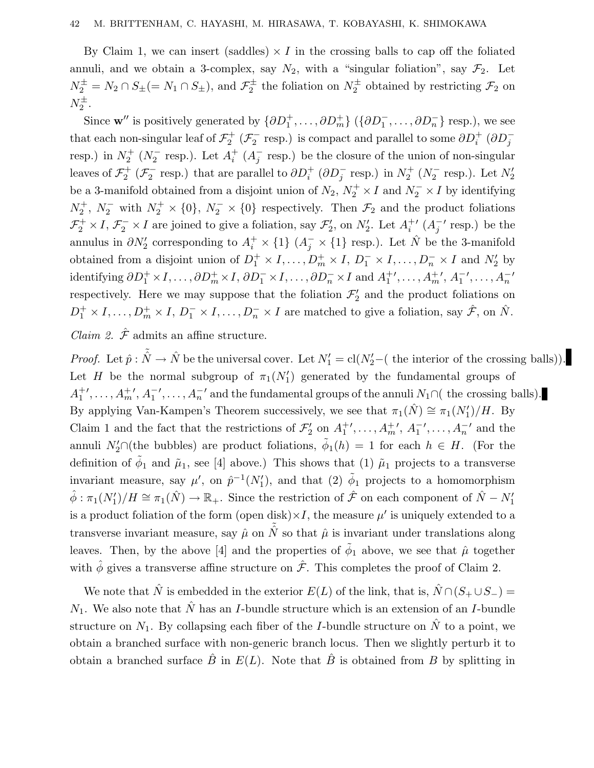By Claim 1, we can insert (saddles)  $\times I$  in the crossing balls to cap off the foliated annuli, and we obtain a 3-complex, say  $N_2$ , with a "singular foliation", say  $\mathcal{F}_2$ . Let  $N_2^{\pm} = N_2 \cap S_{\pm} (= N_1 \cap S_{\pm}),$  and  $\mathcal{F}_2^{\pm}$  the foliation on  $N_2^{\pm}$  obtained by restricting  $\mathcal{F}_2$  on  $N_2^{\pm}$ .

Since  $\mathbf{w}''$  is positively generated by  $\{\partial D_1^+, \ldots, \partial D_m^+\}$   $(\{\partial D_1^-, \ldots, \partial D_n^-\}$  resp.), we see that each non-singular leaf of  $\mathcal{F}_2^+$  ( $\mathcal{F}_2^-$  resp.) is compact and parallel to some  $\partial D_i^+$  ( $\partial D_j^$ resp.) in  $N_2^+$  ( $N_2^-$  resp.). Let  $A_i^+$  ( $A_j^-$  resp.) be the closure of the union of non-singular leaves of  $\mathcal{F}_2^+$  ( $\mathcal{F}_2^-$  resp.) that are parallel to  $\partial D_i^+$  ( $\partial D_j^-$  resp.) in  $N_2^+$  ( $N_2^-$  resp.). Let  $N_2'$ be a 3-manifold obtained from a disjoint union of  $N_2$ ,  $N_2^+ \times I$  and  $N_2^- \times I$  by identifying  $N_2^+$ ,  $N_2^-$  with  $N_2^+ \times \{0\}$ ,  $N_2^- \times \{0\}$  respectively. Then  $\mathcal{F}_2$  and the product foliations  $\mathcal{F}_2^+ \times I$ ,  $\mathcal{F}_2^- \times I$  are joined to give a foliation, say  $\mathcal{F}_2'$ , on  $N_2'$ . Let  $A_i^{+'}$   $(A_j^{-'}$  resp.) be the annulus in  $\partial N'_2$  corresponding to  $A_i^+ \times \{1\}$  ( $A_j^- \times \{1\}$  resp.). Let  $\hat{N}$  be the 3-manifold obtained from a disjoint union of  $D_1^+ \times I, \ldots, D_m^+ \times I, D_1^- \times I, \ldots, D_n^- \times I$  and  $N_2'$  by  $\partial D_1^+ \times I, \ldots, \partial D_m^+ \times I, \partial D_1^- \times I, \ldots, \partial D_n^- \times I \text{ and } A_1^+', \ldots, A_m^+', A_1^-', \ldots, A_n^$ respectively. Here we may suppose that the foliation  $\mathcal{F}'_2$  and the product foliations on  $D_1^+ \times I, \ldots, D_m^+ \times I, D_1^- \times I, \ldots, D_n^- \times I$  are matched to give a foliation, say  $\hat{\mathcal{F}},$  on  $\hat{N}$ .

*Claim 2.*  $\hat{\mathcal{F}}$  admits an affine structure.

*Proof.* Let  $\hat{p}$ :  $\tilde{\hat{N}} \to \hat{N}$  be the universal cover. Let  $N'_1 = \text{cl}(N'_2 - ($  the interior of the crossing balls). Let *H* be the normal subgroup of  $\pi_1(N'_1)$  generated by the fundamental groups of  $A_1^+$ ', ...,  $A_m^+$ ',  $A_1^-$ ', ...,  $A_n^-$ ' and the fundamental groups of the annuli *N*<sub>1</sub>∩( the crossing balls). By applying Van-Kampen's Theorem successively, we see that  $\pi_1(\hat{N}) \cong \pi_1(N'_1)/H$ . By Claim 1 and the fact that the restrictions of  $\mathcal{F}'_2$  on  $A_1^{+'}$ ,  $\ldots$ ,  $A_m^{+'}$ ,  $A_1^{-'}$ ,  $\ldots$ ,  $A_n^{-'}$  and the annuli  $N'_2 \cap$  (the bubbles) are product foliations,  $\tilde{\phi}_1(h) = 1$  for each  $h \in H$ . (For the definition of  $\tilde{\phi}_1$  and  $\tilde{\mu}_1$ , see [4] above.) This shows that (1)  $\tilde{\mu}_1$  projects to a transverse invariant measure, say  $\mu'$ , on  $\hat{p}^{-1}(N'_1)$ , and that (2)  $\tilde{\phi}_1$  projects to a homomorphism  $\hat{\phi}: \pi_1(N'_1)/H \cong \pi_1(\hat{N}) \to \mathbb{R}_+$ . Since the restriction of  $\hat{\mathcal{F}}$  on each component of  $\hat{N} - N'_1$ is a product foliation of the form (open disk) $\times I$ , the measure  $\mu'$  is uniquely extended to a transverse invariant measure, say  $\hat{\mu}$  on  $\tilde{\hat{N}}$  so that  $\hat{\mu}$  is invariant under translations along leaves. Then, by the above [4] and the properties of  $\tilde{\phi}_1$  above, we see that  $\hat{\mu}$  together with  $\hat{\phi}$  gives a transverse affine structure on  $\hat{\mathcal{F}}$ . This completes the proof of Claim 2.

We note that  $\hat{N}$  is embedded in the exterior  $E(L)$  of the link, that is,  $\hat{N} \cap (S_+ \cup S_-)$  $N_1$ . We also note that  $\hat{N}$  has an *I*-bundle structure which is an extension of an *I*-bundle structure on  $N_1$ . By collapsing each fiber of the *I*-bundle structure on  $\hat{N}$  to a point, we obtain a branched surface with non-generic branch locus. Then we slightly perturb it to obtain a branched surface  $\hat{B}$  in  $E(L)$ . Note that  $\hat{B}$  is obtained from  $B$  by splitting in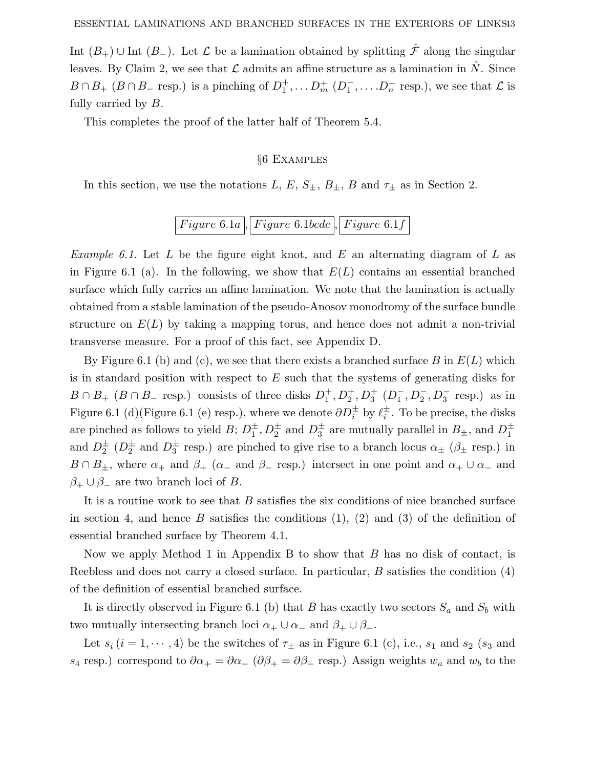Int  $(B_+) \cup$  Int  $(B_-)$ . Let  $\mathcal L$  be a lamination obtained by splitting  $\hat{\mathcal F}$  along the singular leaves. By Claim 2, we see that  $\mathcal L$  admits an affine structure as a lamination in  $\hat N$ . Since  $B \cap B_+$  ( $B \cap B_-$  resp.) is a pinching of  $D_1^+$ ,  $\ldots$   $D_m^+$  ( $D_1^-$ ,  $\ldots$   $D_n^-$  resp.), we see that  $\mathcal L$  is fully carried by *B*.

This completes the proof of the latter half of Theorem 5.4.

### §6 Examples

In this section, we use the notations *L*, *E*,  $S_{\pm}$ ,  $B_{\pm}$ , *B* and  $\tau_{\pm}$  as in Section 2.

# *F igure* 6*.*1*a , F igure* 6*.*1*bcde , F igure* 6*.*1*f*

Example 6.1. Let *L* be the figure eight knot, and *E* an alternating diagram of *L* as in Figure 6.1 (a). In the following, we show that  $E(L)$  contains an essential branched surface which fully carries an affine lamination. We note that the lamination is actually obtained from a stable lamination of the pseudo-Anosov monodromy of the surface bundle structure on  $E(L)$  by taking a mapping torus, and hence does not admit a non-trivial transverse measure. For a proof of this fact, see Appendix D.

By Figure 6.1 (b) and (c), we see that there exists a branched surface *B* in *E*(*L*) which is in standard position with respect to *E* such that the systems of generating disks for  $B \cap B_+$  ( $B \cap B_-$  resp.) consists of three disks  $D_1^+, D_2^+, D_3^+$  ( $D_1^-, D_2^-, D_3^-$  resp.) as in Figure 6.1 (d)(Figure 6.1 (e) resp.), where we denote  $\partial D_i^{\pm}$  by  $\ell_i^{\pm}$ . To be precise, the disks are pinched as follows to yield *B*;  $D_1^{\pm}$ ,  $D_2^{\pm}$  and  $D_3^{\pm}$  are mutually parallel in  $B_{\pm}$ , and  $D_1^{\pm}$ and  $D_2^{\pm}$  ( $D_2^{\pm}$  and  $D_3^{\pm}$  resp.) are pinched to give rise to a branch locus  $\alpha_{\pm}$  ( $\beta_{\pm}$  resp.) in  $B \cap B_{\pm}$ , where  $\alpha_+$  and  $\beta_+$  ( $\alpha_-$  and  $\beta_-$  resp.) intersect in one point and  $\alpha_+ \cup \alpha_-$  and  $\beta_+ \cup \beta_-$  are two branch loci of *B*.

It is a routine work to see that *B* satisfies the six conditions of nice branched surface in section 4, and hence  $B$  satisfies the conditions  $(1)$ ,  $(2)$  and  $(3)$  of the definition of essential branched surface by Theorem 4.1.

Now we apply Method 1 in Appendix B to show that *B* has no disk of contact, is Reebless and does not carry a closed surface. In particular, *B* satisfies the condition (4) of the definition of essential branched surface.

It is directly observed in Figure 6.1 (b) that *B* has exactly two sectors  $S_a$  and  $S_b$  with two mutually intersecting branch loci  $\alpha_+ \cup \alpha_-$  and  $\beta_+ \cup \beta_-$ .

Let  $s_i$  ( $i = 1, \dots, 4$ ) be the switches of  $\tau_{\pm}$  as in Figure 6.1 (c), i.e.,  $s_1$  and  $s_2$  ( $s_3$  and *s*<sub>4</sub> resp.) correspond to  $\partial \alpha_+ = \partial \alpha_-$  ( $\partial \beta_+ = \partial \beta_-$  resp.) Assign weights  $w_a$  and  $w_b$  to the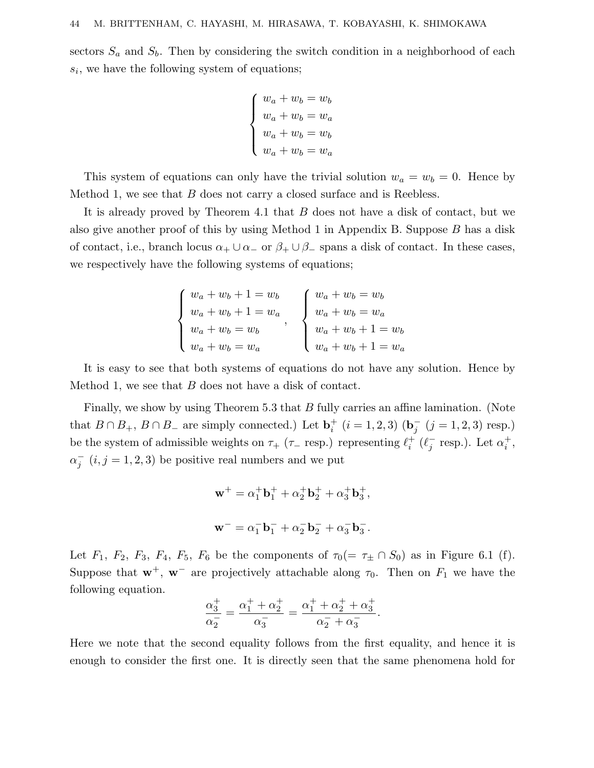sectors  $S_a$  and  $S_b$ . Then by considering the switch condition in a neighborhood of each *si*, we have the following system of equations;

$$
\begin{cases}\nw_a + w_b = w_b \\
w_a + w_b = w_a \\
w_a + w_b = w_b \\
w_a + w_b = w_a\n\end{cases}
$$

This system of equations can only have the trivial solution  $w_a = w_b = 0$ . Hence by Method 1, we see that *B* does not carry a closed surface and is Reebless.

It is already proved by Theorem 4.1 that *B* does not have a disk of contact, but we also give another proof of this by using Method 1 in Appendix B. Suppose *B* has a disk of contact, i.e., branch locus  $\alpha_+ \cup \alpha_-$  or  $\beta_+ \cup \beta_-$  spans a disk of contact. In these cases, we respectively have the following systems of equations;

| $w_a + w_b + 1 = w_b$ | $\int w_a + w_b = w_b$ |
|-----------------------|------------------------|
| $w_a + w_b + 1 = w_a$ | $w_a + w_b = w_a$      |
| $w_a + w_b = w_b$     | $w_a + w_b + 1 = w_b$  |
| $w_a + w_b = w_a$     | $w_a + w_b + 1 = w_a$  |

It is easy to see that both systems of equations do not have any solution. Hence by Method 1, we see that *B* does not have a disk of contact.

Finally, we show by using Theorem 5.3 that *B* fully carries an affine lamination. (Note that *B* ∩ *B*<sub>+</sub>, *B* ∩ *B*<sub>−</sub> are simply connected.) Let  $\mathbf{b}_i^+$  (*i* = 1, 2, 3) ( $\mathbf{b}_j^-$  (*j* = 1, 2, 3) resp.) be the system of admissible weights on  $\tau_+$  ( $\tau_-$  resp.) representing  $\ell_i^+$  ( $\ell_j^-$  resp.). Let  $\alpha_i^+$ ,  $a_j^-(i, j = 1, 2, 3)$  be positive real numbers and we put

$$
\mathbf{w}^+ = \alpha_1^+ \mathbf{b}_1^+ + \alpha_2^+ \mathbf{b}_2^+ + \alpha_3^+ \mathbf{b}_3^+,
$$
  

$$
\mathbf{w}^- = \alpha_1^- \mathbf{b}_1^- + \alpha_2^- \mathbf{b}_2^- + \alpha_3^- \mathbf{b}_3^-.
$$

Let  $F_1$ ,  $F_2$ ,  $F_3$ ,  $F_4$ ,  $F_5$ ,  $F_6$  be the components of  $\tau_0 (= \tau_{\pm} \cap S_0)$  as in Figure 6.1 (f). Suppose that  $\mathbf{w}^+$ ,  $\mathbf{w}^-$  are projectively attachable along  $\tau_0$ . Then on  $F_1$  we have the following equation.

$$
\frac{\alpha_3^+}{\alpha_2^-} = \frac{\alpha_1^+ + \alpha_2^+}{\alpha_3^-} = \frac{\alpha_1^+ + \alpha_2^+ + \alpha_3^+}{\alpha_2^- + \alpha_3^-}.
$$

Here we note that the second equality follows from the first equality, and hence it is enough to consider the first one. It is directly seen that the same phenomena hold for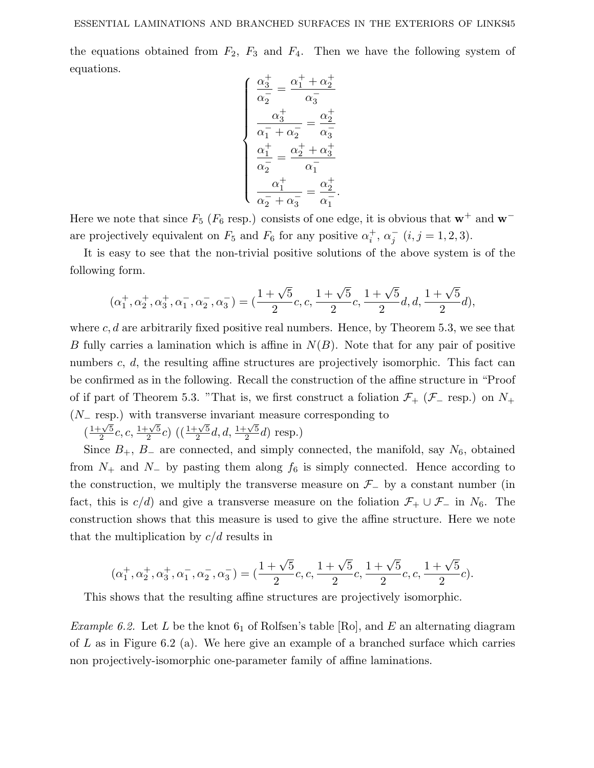the equations obtained from  $F_2$ ,  $F_3$  and  $F_4$ . Then we have the following system of equations.

$$
\left\{\n\begin{aligned}\n\frac{\alpha_3^+}{\alpha_2^-} &= \frac{\alpha_1^+ + \alpha_2^+}{\alpha_3^-} \\
\frac{\alpha_3^+}{\alpha_1^- + \alpha_2^-} &= \frac{\alpha_2^+}{\alpha_3^-} \\
\frac{\alpha_1^+}{\alpha_2^-} &= \frac{\alpha_2^+ + \alpha_3^+}{\alpha_1^-} \\
\frac{\alpha_1^+}{\alpha_2^- + \alpha_3^-} &= \frac{\alpha_2^+}{\alpha_1^-}.\n\end{aligned}\n\right.
$$

Here we note that since  $F_5$  ( $F_6$  resp.) consists of one edge, it is obvious that **w**<sup>+</sup> and **w**<sup>−</sup> are projectively equivalent on  $F_5$  and  $F_6$  for any positive  $\alpha_i^+$ ,  $\alpha_j^ (i, j = 1, 2, 3)$ .

It is easy to see that the non-trivial positive solutions of the above system is of the following form.

$$
(\alpha_1^+, \alpha_2^+, \alpha_3^+, \alpha_1^-, \alpha_2^-, \alpha_3^-) = (\frac{1+\sqrt{5}}{2}c, c, \frac{1+\sqrt{5}}{2}c, \frac{1+\sqrt{5}}{2}d, d, \frac{1+\sqrt{5}}{2}d),
$$

where *c*, *d* are arbitrarily fixed positive real numbers. Hence, by Theorem 5.3, we see that *B* fully carries a lamination which is affine in *N*(*B*). Note that for any pair of positive numbers *c*, *d*, the resulting affine structures are projectively isomorphic. This fact can be confirmed as in the following. Recall the construction of the affine structure in "Proof of if part of Theorem 5.3. "That is, we first construct a foliation  $\mathcal{F}_+$  ( $\mathcal{F}_-$  resp.) on  $N_+$ (*N*<sup>−</sup> resp.) with transverse invariant measure corresponding to

$$
\left(\frac{1+\sqrt{5}}{2}c, c, \frac{1+\sqrt{5}}{2}c\right) \left(\left(\frac{1+\sqrt{5}}{2}d, d, \frac{1+\sqrt{5}}{2}d\right) \text{ resp.}\right)
$$

Since  $B_+$ ,  $B_-$  are connected, and simply connected, the manifold, say  $N_6$ , obtained from  $N_+$  and  $N_-$  by pasting them along  $f_6$  is simply connected. Hence according to the construction, we multiply the transverse measure on  $\mathcal{F}_-$  by a constant number (in fact, this is  $c/d$  and give a transverse measure on the foliation  $\mathcal{F}_+ \cup \mathcal{F}_-$  in  $N_6$ . The construction shows that this measure is used to give the affine structure. Here we note that the multiplication by *c/d* results in

$$
(\alpha_1^+, \alpha_2^+, \alpha_3^+, \alpha_1^-, \alpha_2^-, \alpha_3^-) = (\frac{1+\sqrt{5}}{2}c, c, \frac{1+\sqrt{5}}{2}c, \frac{1+\sqrt{5}}{2}c, c, \frac{1+\sqrt{5}}{2}c).
$$

This shows that the resulting affine structures are projectively isomorphic.

*Example 6.2.* Let *L* be the knot  $6<sub>1</sub>$  of Rolfsen's table [Ro], and *E* an alternating diagram of *L* as in Figure 6.2 (a). We here give an example of a branched surface which carries non projectively-isomorphic one-parameter family of affine laminations.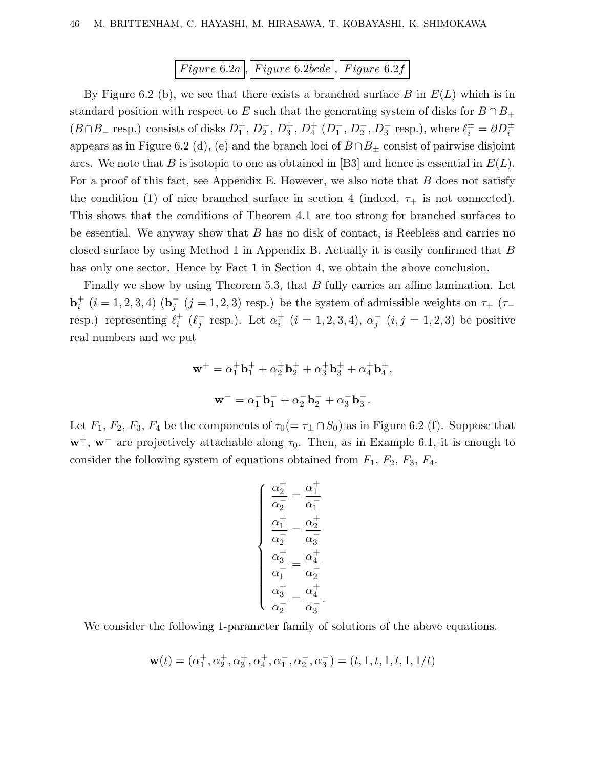*F igure* 6*.*2*a , F igure* 6*.*2*bcde , F igure* 6*.*2*f*

By Figure 6.2 (b), we see that there exists a branched surface *B* in *E*(*L*) which is in standard position with respect to *E* such that the generating system of disks for  $B \cap B_+$  $(B \cap B_{-} \text{ resp.})$  consists of disks  $D_1^+, D_2^+, D_3^+, D_4^+$   $(D_1^-, D_2^-, D_3^- \text{ resp.}),$  where  $\ell_i^{\pm} = \partial D_i^{\pm}$ appears as in Figure 6.2 (d), (e) and the branch loci of  $B \cap B_{\pm}$  consist of pairwise disjoint arcs. We note that *B* is isotopic to one as obtained in [B3] and hence is essential in *E*(*L*). For a proof of this fact, see Appendix E. However, we also note that *B* does not satisfy the condition (1) of nice branched surface in section 4 (indeed,  $\tau_{+}$  is not connected). This shows that the conditions of Theorem 4.1 are too strong for branched surfaces to be essential. We anyway show that *B* has no disk of contact, is Reebless and carries no closed surface by using Method 1 in Appendix B. Actually it is easily confirmed that *B* has only one sector. Hence by Fact 1 in Section 4, we obtain the above conclusion.

Finally we show by using Theorem 5.3, that *B* fully carries an affine lamination. Let **b**<sup>+</sup><sub>*i*</sub> (*i* = 1, 2, 3, 4) (**b**<sub>*j*</sub> (*j* = 1, 2, 3) resp.) be the system of admissible weights on  $\tau_+$  ( $\tau_$ resp.) representing  $\ell_i^+$  ( $\ell_j^-$  resp.). Let  $\alpha_i^+$  ( $i = 1, 2, 3, 4$ ),  $\alpha_j^-$  ( $i, j = 1, 2, 3$ ) be positive real numbers and we put

$$
\mathbf{w}^+ = \alpha_1^+ \mathbf{b}_1^+ + \alpha_2^+ \mathbf{b}_2^+ + \alpha_3^+ \mathbf{b}_3^+ + \alpha_4^+ \mathbf{b}_4^+,
$$
  

$$
\mathbf{w}^- = \alpha_1^- \mathbf{b}_1^- + \alpha_2^- \mathbf{b}_2^- + \alpha_3^- \mathbf{b}_3^-.
$$

Let  $F_1$ ,  $F_2$ ,  $F_3$ ,  $F_4$  be the components of  $\tau_0 (= \tau_{\pm} \cap S_0)$  as in Figure 6.2 (f). Suppose that  $\mathbf{w}^+$ ,  $\mathbf{w}^-$  are projectively attachable along  $\tau_0$ . Then, as in Example 6.1, it is enough to consider the following system of equations obtained from  $F_1$ ,  $F_2$ ,  $F_3$ ,  $F_4$ .

$$
\begin{cases}\n\frac{\alpha_2^+}{\alpha_2^-} = \frac{\alpha_1^+}{\alpha_1^-} \\
\frac{\alpha_1^+}{\alpha_2^-} = \frac{\alpha_2^+}{\alpha_3^-} \\
\frac{\alpha_3^+}{\alpha_1^-} = \frac{\alpha_4^+}{\alpha_2^-} \\
\frac{\alpha_3^+}{\alpha_2^-} = \frac{\alpha_4^+}{\alpha_3^-}.\n\end{cases}
$$

We consider the following 1-parameter family of solutions of the above equations.

$$
\mathbf{w}(t)=(\alpha_1^+,\alpha_2^+,\alpha_3^+,\alpha_4^+,\alpha_1^-,\alpha_2^-,\alpha_3^-)=(t,1,t,1,t,1,1/t)
$$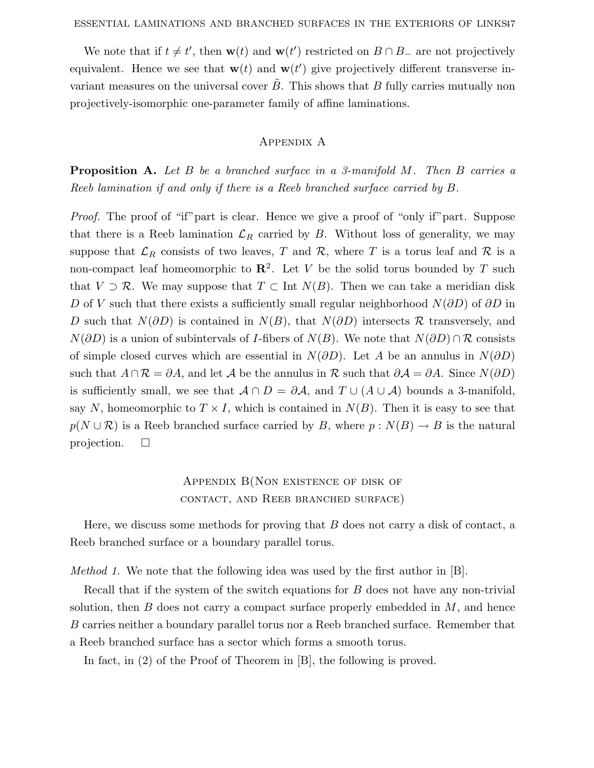We note that if  $t \neq t'$ , then  $\mathbf{w}(t)$  and  $\mathbf{w}(t')$  restricted on  $B \cap B_-$  are not projectively equivalent. Hence we see that  $\mathbf{w}(t)$  and  $\mathbf{w}(t')$  give projectively different transverse invariant measures on the universal cover  $\tilde{B}$ . This shows that  $B$  fully carries mutually non projectively-isomorphic one-parameter family of affine laminations.

### Appendix A

**Proposition A.** Let *B* be a branched surface in a 3-manifold *M*. Then *B* carries a Reeb lamination if and only if there is a Reeb branched surface carried by *B*.

Proof. The proof of "if" part is clear. Hence we give a proof of "only if" part. Suppose that there is a Reeb lamination  $\mathcal{L}_R$  carried by *B*. Without loss of generality, we may suppose that  $\mathcal{L}_R$  consists of two leaves, T and R, where T is a torus leaf and R is a non-compact leaf homeomorphic to  $\mathbb{R}^2$ . Let *V* be the solid torus bounded by *T* such that  $V \supset \mathcal{R}$ . We may suppose that  $T \subset \text{Int } N(B)$ . Then we can take a meridian disk *D* of *V* such that there exists a sufficiently small regular neighborhood *N*(*∂D*) of *∂D* in *D* such that *N*(*∂D*) is contained in *N*(*B*), that *N*(*∂D*) intersects *R* transversely, and  $N(\partial D)$  is a union of subintervals of *I*-fibers of  $N(B)$ . We note that  $N(\partial D) \cap \mathcal{R}$  consists of simple closed curves which are essential in  $N(\partial D)$ . Let A be an annulus in  $N(\partial D)$ such that  $A \cap \mathcal{R} = \partial A$ , and let  $\mathcal A$  be the annulus in  $\mathcal R$  such that  $\partial \mathcal A = \partial A$ . Since  $N(\partial D)$ is sufficiently small, we see that  $A \cap D = \partial A$ , and  $T \cup (A \cup A)$  bounds a 3-manifold, say *N*, homeomorphic to  $T \times I$ , which is contained in  $N(B)$ . Then it is easy to see that  $p(N \cup \mathcal{R})$  is a Reeb branched surface carried by *B*, where  $p: N(B) \to B$  is the natural projection.  $\square$ 

## APPENDIX  $B($ NON EXISTENCE OF DISK OF contact, and Reeb branched surface)

Here, we discuss some methods for proving that *B* does not carry a disk of contact, a Reeb branched surface or a boundary parallel torus.

Method 1. We note that the following idea was used by the first author in [B].

Recall that if the system of the switch equations for *B* does not have any non-trivial solution, then *B* does not carry a compact surface properly embedded in *M*, and hence *B* carries neither a boundary parallel torus nor a Reeb branched surface. Remember that a Reeb branched surface has a sector which forms a smooth torus.

In fact, in (2) of the Proof of Theorem in [B], the following is proved.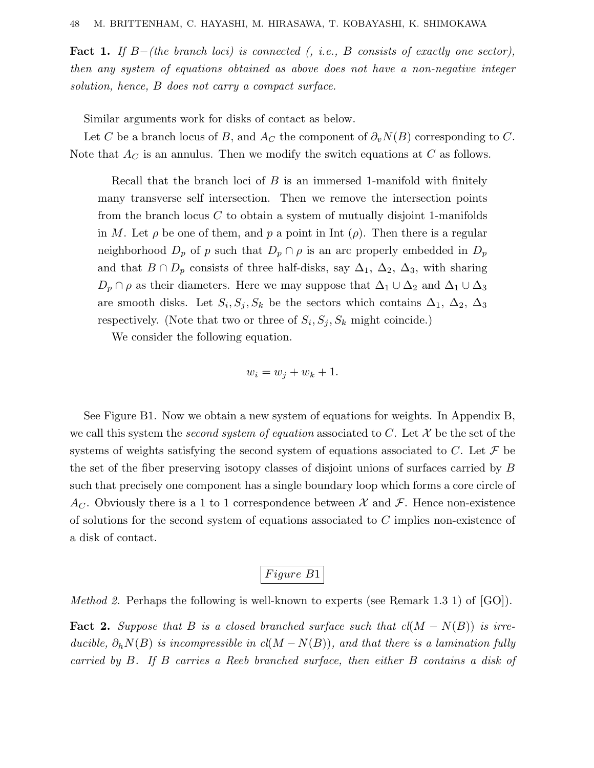**Fact 1.** If  $B-(the branch loci)$  is connected (, i.e., *B* consists of exactly one sector), then any system of equations obtained as above does not have a non-negative integer solution, hence, *B* does not carry a compact surface.

Similar arguments work for disks of contact as below.

Let *C* be a branch locus of *B*, and  $A_C$  the component of  $\partial_v N(B)$  corresponding to *C*. Note that  $A_C$  is an annulus. Then we modify the switch equations at  $C$  as follows.

Recall that the branch loci of *B* is an immersed 1-manifold with finitely many transverse self intersection. Then we remove the intersection points from the branch locus *C* to obtain a system of mutually disjoint 1-manifolds in *M*. Let  $\rho$  be one of them, and  $p$  a point in Int  $(\rho)$ . Then there is a regular neighborhood  $D_p$  of *p* such that  $D_p \cap \rho$  is an arc properly embedded in  $D_p$ and that  $B \cap D_p$  consists of three half-disks, say  $\Delta_1$ ,  $\Delta_2$ ,  $\Delta_3$ , with sharing  $D_p \cap \rho$  as their diameters. Here we may suppose that  $\Delta_1 \cup \Delta_2$  and  $\Delta_1 \cup \Delta_3$ are smooth disks. Let  $S_i, S_j, S_k$  be the sectors which contains  $\Delta_1, \Delta_2, \Delta_3$ respectively. (Note that two or three of  $S_i$ ,  $S_j$ ,  $S_k$  might coincide.)

We consider the following equation.

$$
w_i = w_j + w_k + 1.
$$

See Figure B1. Now we obtain a new system of equations for weights. In Appendix B, we call this system the *second system of equation* associated to  $C$ . Let  $\mathcal X$  be the set of the systems of weights satisfying the second system of equations associated to *C*. Let  $\mathcal F$  be the set of the fiber preserving isotopy classes of disjoint unions of surfaces carried by *B* such that precisely one component has a single boundary loop which forms a core circle of  $A_C$ . Obviously there is a 1 to 1 correspondence between  $\mathcal X$  and  $\mathcal F$ . Hence non-existence of solutions for the second system of equations associated to *C* implies non-existence of a disk of contact.

# *F igure B*1

*Method 2.* Perhaps the following is well-known to experts (see Remark 1.3 1) of  $[GO]$ ).

**Fact 2.** Suppose that *B* is a closed branched surface such that  $cl(M - N(B))$  is irreducible,  $\partial_h N(B)$  is incompressible in  $cl(M-N(B))$ , and that there is a lamination fully carried by *B*. If *B* carries a Reeb branched surface, then either *B* contains a disk of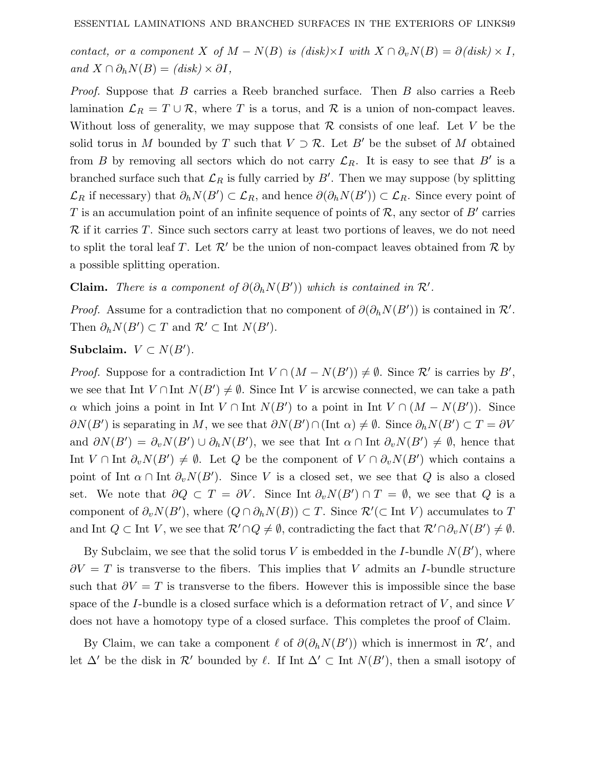contact, or a component *X* of  $M - N(B)$  is  $(disk) \times I$  with  $X \cap \partial_v N(B) = \partial (disk) \times I$ ,  $and X \cap \partial_h N(B) = (disk) \times \partial I,$ 

Proof. Suppose that *B* carries a Reeb branched surface. Then *B* also carries a Reeb lamination  $\mathcal{L}_R = T \cup \mathcal{R}$ , where *T* is a torus, and  $\mathcal{R}$  is a union of non-compact leaves. Without loss of generality, we may suppose that  $R$  consists of one leaf. Let  $V$  be the solid torus in *M* bounded by *T* such that  $V \supset \mathcal{R}$ . Let *B'* be the subset of *M* obtained from *B* by removing all sectors which do not carry  $\mathcal{L}_R$ . It is easy to see that *B'* is a branched surface such that  $\mathcal{L}_R$  is fully carried by  $B'$ . Then we may suppose (by splitting  $\mathcal{L}_R$  if necessary) that  $\partial_h N(B') \subset \mathcal{L}_R$ , and hence  $\partial(\partial_h N(B')) \subset \mathcal{L}_R$ . Since every point of *T* is an accumulation point of an infinite sequence of points of  $\mathcal{R}$ , any sector of *B'* carries R if it carries *T*. Since such sectors carry at least two portions of leaves, we do not need to split the toral leaf *T*. Let  $\mathcal{R}'$  be the union of non-compact leaves obtained from  $\mathcal R$  by a possible splitting operation.

**Claim.** There is a component of  $\partial(\partial_h N(B'))$  which is contained in  $\mathcal{R}'$ .

*Proof.* Assume for a contradiction that no component of  $\partial(\partial_h N(B'))$  is contained in  $\mathcal{R}'$ . Then  $\partial_h N(B') \subset T$  and  $\mathcal{R}' \subset \text{Int } N(B')$ .

Subclaim.  $V \subset N(B')$ .

*Proof.* Suppose for a contradiction Int  $V \cap (M - N(B')) \neq \emptyset$ . Since  $\mathcal{R}'$  is carries by  $B'$ , we see that Int  $V \cap \text{Int } N(B') \neq \emptyset$ . Since Int *V* is arcwise connected, we can take a path *α* which joins a point in Int  $V \cap$  Int  $N(B')$  to a point in Int  $V \cap (M - N(B'))$ . Since  $\partial N(B')$  is separating in *M*, we see that  $\partial N(B') \cap (\text{Int } \alpha) \neq \emptyset$ . Since  $\partial_h N(B') \subset T = \partial V$ and  $\partial N(B') = \partial_v N(B') \cup \partial_h N(B')$ , we see that Int  $\alpha \cap \text{Int } \partial_v N(B') \neq \emptyset$ , hence that Int  $V \cap \text{Int } \partial_v N(B') \neq \emptyset$ . Let *Q* be the component of  $V \cap \partial_v N(B')$  which contains a point of Int  $\alpha \cap \text{Int } \partial_v N(B')$ . Since *V* is a closed set, we see that *Q* is also a closed set. We note that  $\partial Q \subset T = \partial V$ . Since Int  $\partial_v N(B') \cap T = \emptyset$ , we see that  $Q$  is a component of  $\partial_v N(B')$ , where  $(Q \cap \partial_h N(B)) \subset T$ . Since  $\mathcal{R}'(\subset \text{Int } V)$  accumulates to *T* and Int  $Q \subset \text{Int } V$ , we see that  $\mathcal{R}' \cap Q \neq \emptyset$ , contradicting the fact that  $\mathcal{R}' \cap \partial_v N(B') \neq \emptyset$ .

By Subclaim, we see that the solid torus  $V$  is embedded in the *I*-bundle  $N(B')$ , where *∂V* = *T* is transverse to the fibers. This implies that *V* admits an *I*-bundle structure such that  $\partial V = T$  is transverse to the fibers. However this is impossible since the base space of the *I*-bundle is a closed surface which is a deformation retract of *V* , and since *V* does not have a homotopy type of a closed surface. This completes the proof of Claim.

By Claim, we can take a component  $\ell$  of  $\partial(\partial_h N(B'))$  which is innermost in  $\mathcal{R}'$ , and let  $\Delta'$  be the disk in  $\mathcal{R}'$  bounded by  $\ell$ . If Int  $\Delta' \subset \text{Int } N(B')$ , then a small isotopy of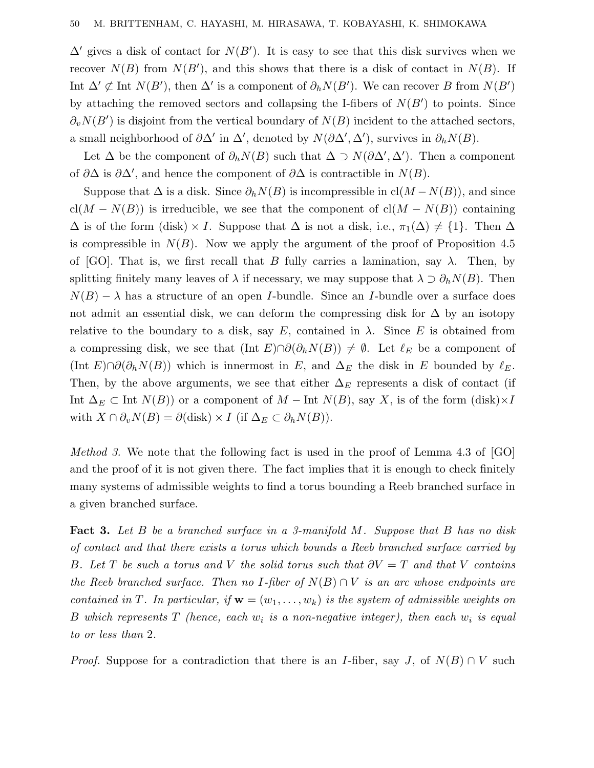$\Delta'$  gives a disk of contact for  $N(B')$ . It is easy to see that this disk survives when we recover  $N(B)$  from  $N(B')$ , and this shows that there is a disk of contact in  $N(B)$ . If Int  $\Delta' \not\subset \text{Int } N(B')$ , then  $\Delta'$  is a component of  $\partial_h N(B')$ . We can recover *B* from  $N(B')$ by attaching the removed sectors and collapsing the I-fibers of  $N(B')$  to points. Since  $\partial_v N(B')$  is disjoint from the vertical boundary of  $N(B)$  incident to the attached sectors, a small neighborhood of  $\partial \Delta'$  in  $\Delta'$ , denoted by  $N(\partial \Delta', \Delta')$ , survives in  $\partial_h N(B)$ .

Let  $\Delta$  be the component of  $\partial_h N(B)$  such that  $\Delta \supset N(\partial \Delta', \Delta')$ . Then a component of  $\partial\Delta$  is  $\partial\Delta'$ , and hence the component of  $\partial\Delta$  is contractible in  $N(B)$ .

Suppose that  $\Delta$  is a disk. Since  $\partial_h N(B)$  is incompressible in cl( $M - N(B)$ ), and since cl( $M - N(B)$ ) is irreducible, we see that the component of cl( $M - N(B)$ ) containing  $\Delta$  is of the form (disk) × *I*. Suppose that  $\Delta$  is not a disk, i.e.,  $\pi_1(\Delta) \neq \{1\}$ . Then  $\Delta$ is compressible in  $N(B)$ . Now we apply the argument of the proof of Proposition 4.5 of [GO]. That is, we first recall that *B* fully carries a lamination, say  $\lambda$ . Then, by splitting finitely many leaves of  $\lambda$  if necessary, we may suppose that  $\lambda \supset \partial_h N(B)$ . Then  $N(B) - \lambda$  has a structure of an open *I*-bundle. Since an *I*-bundle over a surface does not admit an essential disk, we can deform the compressing disk for  $\Delta$  by an isotopy relative to the boundary to a disk, say  $E$ , contained in  $\lambda$ . Since  $E$  is obtained from a compressing disk, we see that  $(\text{Int } E) \cap \partial(\partial_h N(B)) \neq \emptyset$ . Let  $\ell_E$  be a component of  $(\text{Int } E) \cap \partial(\partial_h N(B))$  which is innermost in *E*, and  $\Delta_E$  the disk in *E* bounded by  $\ell_E$ . Then, by the above arguments, we see that either  $\Delta_E$  represents a disk of contact (if Int  $\Delta_E \subset$  Int  $N(B)$ ) or a component of  $M$  − Int  $N(B)$ , say X, is of the form (disk)×*I* with  $X \cap \partial_v N(B) = \partial(\text{disk}) \times I$  (if  $\Delta_E \subset \partial_h N(B)$ ).

Method 3. We note that the following fact is used in the proof of Lemma 4.3 of [GO] and the proof of it is not given there. The fact implies that it is enough to check finitely many systems of admissible weights to find a torus bounding a Reeb branched surface in a given branched surface.

**Fact 3.** Let *B* be a branched surface in a 3-manifold *M*. Suppose that *B* has no disk of contact and that there exists a torus which bounds a Reeb branched surface carried by *B.* Let *T* be such a torus and *V* the solid torus such that  $\partial V = T$  and that *V* contains the Reeb branched surface. Then no *I*-fiber of  $N(B) \cap V$  is an arc whose endpoints are contained in *T*. In particular, if  $\mathbf{w} = (w_1, \ldots, w_k)$  is the system of admissible weights on *B* which represents *T* (hence, each  $w_i$  is a non-negative integer), then each  $w_i$  is equal to or less than 2.

*Proof.* Suppose for a contradiction that there is an *I*-fiber, say *J*, of  $N(B) \cap V$  such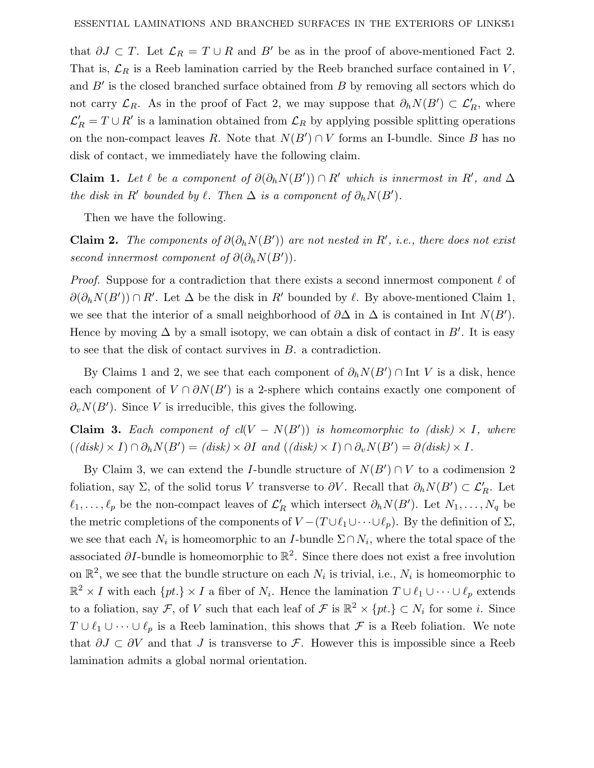that  $\partial J \subset T$ . Let  $\mathcal{L}_R = T \cup R$  and  $B'$  be as in the proof of above-mentioned Fact 2. That is,  $\mathcal{L}_R$  is a Reeb lamination carried by the Reeb branched surface contained in *V*, and  $B'$  is the closed branched surface obtained from  $B$  by removing all sectors which do not carry  $\mathcal{L}_R$ . As in the proof of Fact 2, we may suppose that  $\partial_h N(B') \subset \mathcal{L}'_R$ , where  $\mathcal{L}'_R = T \cup R'$  is a lamination obtained from  $\mathcal{L}_R$  by applying possible splitting operations on the non-compact leaves *R*. Note that  $N(B') \cap V$  forms an I-bundle. Since *B* has no disk of contact, we immediately have the following claim.

**Claim 1.** Let  $\ell$  be a component of  $\partial(\partial_h N(B')) \cap R'$  which is innermost in R', and  $\Delta$ the disk in  $R'$  bounded by  $\ell$ . Then  $\Delta$  is a component of  $\partial_h N(B')$ .

Then we have the following.

**Claim 2.** The components of  $\partial(\partial_h N(B'))$  are not nested in R', i.e., there does not exist second innermost component of  $\partial(\partial_h N(B'))$ .

*Proof.* Suppose for a contradiction that there exists a second innermost component  $\ell$  of  $\partial(\partial_h N(B')) \cap R'$ . Let  $\Delta$  be the disk in  $R'$  bounded by  $\ell$ . By above-mentioned Claim 1, we see that the interior of a small neighborhood of  $\partial \Delta$  in  $\Delta$  is contained in Int  $N(B')$ . Hence by moving  $\Delta$  by a small isotopy, we can obtain a disk of contact in  $B'$ . It is easy to see that the disk of contact survives in *B*. a contradiction.

By Claims 1 and 2, we see that each component of  $\partial_h N(B') \cap \text{Int } V$  is a disk, hence each component of  $V \cap \partial N(B')$  is a 2-sphere which contains exactly one component of  $\partial_v N(B')$ . Since *V* is irreducible, this gives the following.

**Claim 3.** Each component of  $cl(V - N(B'))$  is homeomorphic to (disk)  $\times$  *I*, where  $((\text{disk}) \times I) \cap \partial_h N(B') = (\text{disk}) \times \partial I \text{ and } ((\text{disk}) \times I) \cap \partial_v N(B') = \partial(\text{disk}) \times I.$ 

By Claim 3, we can extend the *I*-bundle structure of  $N(B') \cap V$  to a codimension 2 foliation, say  $\Sigma$ , of the solid torus *V* transverse to  $\partial V$ . Recall that  $\partial_h N(B') \subset \mathcal{L}'_R$ . Let  $\ell_1, \ldots, \ell_p$  be the non-compact leaves of  $\mathcal{L}'_R$  which intersect  $\partial_h N(B')$ . Let  $N_1, \ldots, N_q$  be the metric completions of the components of  $V - (T \cup \ell_1 \cup \cdots \cup \ell_p)$ . By the definition of  $\Sigma$ , we see that each  $N_i$  is homeomorphic to an *I*-bundle  $\Sigma \cap N_i$ , where the total space of the associated  $\partial I$ -bundle is homeomorphic to  $\mathbb{R}^2$ . Since there does not exist a free involution on  $\mathbb{R}^2$ , we see that the bundle structure on each  $N_i$  is trivial, i.e.,  $N_i$  is homeomorphic to  $\mathbb{R}^2 \times I$  with each  $\{pt.\} \times I$  a fiber of  $N_i$ . Hence the lamination  $T \cup \ell_1 \cup \cdots \cup \ell_p$  extends to a foliation, say F, of V such that each leaf of F is  $\mathbb{R}^2 \times \{pt.\} \subset N_i$  for some *i*. Since *T* ∪  $\ell_1$  ∪  $\cdots$  ∪  $\ell_p$  is a Reeb lamination, this shows that *F* is a Reeb foliation. We note that  $\partial J \subset \partial V$  and that *J* is transverse to F. However this is impossible since a Reeb lamination admits a global normal orientation.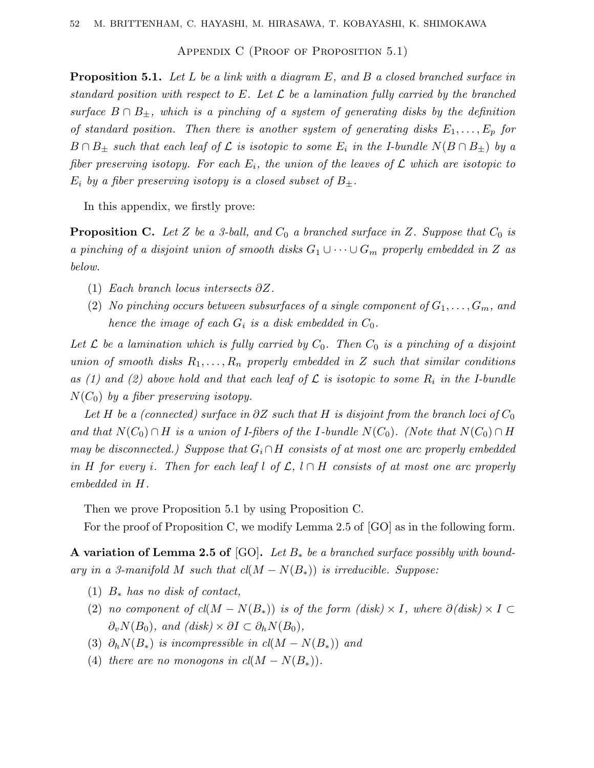APPENDIX C (PROOF OF PROPOSITION  $5.1$ )

**Proposition 5.1.** Let L be a link with a diagram E, and B a closed branched surface in standard position with respect to E. Let  $\mathcal L$  be a lamination fully carried by the branched surface  $B \cap B_{\pm}$ , which is a pinching of a system of generating disks by the definition of standard position. Then there is another system of generating disks  $E_1, \ldots, E_p$  for  $B \cap B_{\pm}$  such that each leaf of  $\mathcal L$  is isotopic to some  $E_i$  in the I-bundle  $N(B \cap B_{\pm})$  by a fiber preserving isotopy. For each  $E_i$ , the union of the leaves of  $\mathcal L$  which are isotopic to  $E_i$  by a fiber preserving isotopy is a closed subset of  $B_{\pm}$ .

In this appendix, we firstly prove:

**Proposition C.** Let *Z* be a 3-ball, and  $C_0$  a branched surface in *Z*. Suppose that  $C_0$  is a pinching of a disjoint union of smooth disks  $G_1 \cup \cdots \cup G_m$  properly embedded in *Z* as below.

- (1) Each branch locus intersects *∂Z*.
- (2) No pinching occurs between subsurfaces of a single component of  $G_1, \ldots, G_m$ , and hence the image of each  $G_i$  is a disk embedded in  $C_0$ .

Let  $\mathcal L$  be a lamination which is fully carried by  $C_0$ . Then  $C_0$  is a pinching of a disjoint union of smooth disks  $R_1, \ldots, R_n$  properly embedded in *Z* such that similar conditions as (1) and (2) above hold and that each leaf of  $\mathcal L$  is isotopic to some  $R_i$  in the I-bundle  $N(C_0)$  by a fiber preserving isotopy.

Let *H* be a (connected) surface in  $\partial Z$  such that *H* is disjoint from the branch loci of  $C_0$ and that  $N(C_0) \cap H$  is a union of *I*-fibers of the *I*-bundle  $N(C_0)$ . (Note that  $N(C_0) \cap H$ may be disconnected.) Suppose that  $G_i \cap H$  consists of at most one arc properly embedded in *H* for every *i*. Then for each leaf *l* of  $\mathcal{L}$ ,  $l \cap H$  consists of at most one arc properly embedded in *H*.

Then we prove Proposition 5.1 by using Proposition C.

For the proof of Proposition C, we modify Lemma 2.5 of [GO] as in the following form.

**A variation of Lemma 2.5 of** [GO]**.** Let *B*<sup>∗</sup> be a branched surface possibly with boundary in a 3-manifold *M* such that  $cl(M - N(B_*))$  is irreducible. Suppose:

- (1)  $B_*$  has no disk of contact,
- (2) no component of  $cl(M N(B_*))$  is of the form  $(disk) \times I$ , where  $\partial(disk) \times I \subset$ *∂*<sup>*v*</sup>*N*(*B*<sub>0</sub>), and (disk) × ∂*I* ⊂  $\partial_h N(B_0)$ ,
- (3)  $\partial_h N(B_*)$  is incompressible in  $cl(M N(B_*))$  and
- (4) there are no monogons in  $cl(M N(B_*))$ .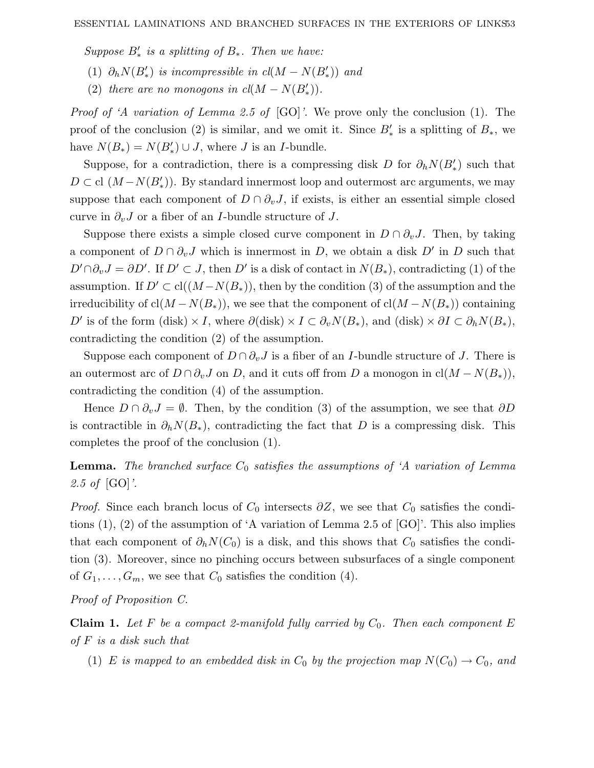Suppose  $B'_*$  is a splitting of  $B_*$ . Then we have:

- (1)  $\partial_h N(B'_*)$  is incompressible in  $cl(M N(B'_*))$  and
- (2) there are no monogons in  $cl(M N(B'_{*}))$ .

Proof of 'A variation of Lemma 2.5 of [GO]'. We prove only the conclusion (1). The proof of the conclusion (2) is similar, and we omit it. Since  $B'_*$  is a splitting of  $B_*$ , we have  $N(B_*) = N(B'_*) \cup J$ , where *J* is an *I*-bundle.

Suppose, for a contradiction, there is a compressing disk *D* for  $\partial_h N(B'_*)$  such that  $D \subset$  cl  $(M - N(B'_*))$ . By standard innermost loop and outermost arc arguments, we may suppose that each component of  $D \cap \partial_{v}J$ , if exists, is either an essential simple closed curve in  $\partial_{v}J$  or a fiber of an *I*-bundle structure of *J*.

Suppose there exists a simple closed curve component in  $D \cap \partial_{v}J$ . Then, by taking a component of  $D \cap \partial_{v}J$  which is innermost in *D*, we obtain a disk  $D'$  in *D* such that  $D' \cap \partial_v J = \partial D'$ . If  $D' \subset J$ , then  $D'$  is a disk of contact in  $N(B_*)$ , contradicting (1) of the assumption. If  $D' \subset cl((M-N(B_*))$ , then by the condition (3) of the assumption and the irreducibility of cl( $M - N(B_*)$ ), we see that the component of cl( $M - N(B_*)$ ) containing *D*<sup> $\prime$ </sup> is of the form (disk) × *I*, where  $\partial$ (disk) × *I* ⊂  $\partial$ <sub>*v</sub>N*(*B*<sub>\*</sub>), and (disk) ×  $\partial$ *I* ⊂  $\partial$ <sub>*h</sub>N*(*B*<sub>\*</sub>),</sub></sub> contradicting the condition (2) of the assumption.

Suppose each component of  $D \cap \partial_v J$  is a fiber of an *I*-bundle structure of *J*. There is an outermost arc of  $D \cap \partial_v J$  on *D*, and it cuts off from *D* a monogon in cl( $M - N(B_*)$ ), contradicting the condition (4) of the assumption.

Hence  $D \cap \partial_v J = \emptyset$ . Then, by the condition (3) of the assumption, we see that  $\partial D$ is contractible in  $\partial_h N(B_*)$ , contradicting the fact that *D* is a compressing disk. This completes the proof of the conclusion (1).

**Lemma.** The branched surface  $C_0$  satisfies the assumptions of 'A variation of Lemma 2.5 of  $[GO]$ .

*Proof.* Since each branch locus of  $C_0$  intersects  $\partial Z$ , we see that  $C_0$  satisfies the conditions (1), (2) of the assumption of 'A variation of Lemma 2.5 of [GO]'. This also implies that each component of  $\partial_h N(C_0)$  is a disk, and this shows that  $C_0$  satisfies the condition (3). Moreover, since no pinching occurs between subsurfaces of a single component of  $G_1, \ldots, G_m$ , we see that  $C_0$  satisfies the condition (4).

Proof of Proposition C.

**Claim 1.** Let F be a compact 2-manifold fully carried by  $C_0$ . Then each component  $E$ of *F* is a disk such that

(1) *E* is mapped to an embedded disk in  $C_0$  by the projection map  $N(C_0) \rightarrow C_0$ , and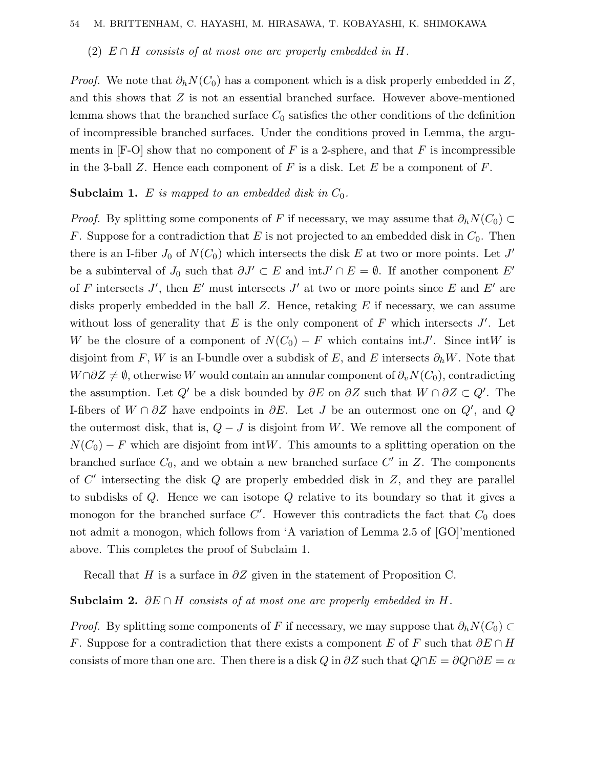### (2)  $E \cap H$  consists of at most one arc properly embedded in *H*.

*Proof.* We note that  $\partial_h N(C_0)$  has a component which is a disk properly embedded in Z, and this shows that *Z* is not an essential branched surface. However above-mentioned lemma shows that the branched surface  $C_0$  satisfies the other conditions of the definition of incompressible branched surfaces. Under the conditions proved in Lemma, the arguments in  $[F-O]$  show that no component of F is a 2-sphere, and that F is incompressible in the 3-ball *Z*. Hence each component of *F* is a disk. Let *E* be a component of *F*.

**Subclaim 1.** *E* is mapped to an embedded disk in *C*0.

*Proof.* By splitting some components of *F* if necessary, we may assume that  $\partial_h N(C_0) \subset$ *F*. Suppose for a contradiction that *E* is not projected to an embedded disk in  $C_0$ . Then there is an I-fiber  $J_0$  of  $N(C_0)$  which intersects the disk  $E$  at two or more points. Let  $J'$ be a subinterval of *J*<sub>0</sub> such that  $\partial J' \subset E$  and  $\int J' \cap E = \emptyset$ . If another component *E'* of *F* intersects *J'*, then *E'* must intersects *J'* at two or more points since *E* and *E'* are disks properly embedded in the ball *Z*. Hence, retaking *E* if necessary, we can assume without loss of generality that  $E$  is the only component of  $F$  which intersects  $J'$ . Let *W* be the closure of a component of  $N(C_0) - F$  which contains int*J*'. Since int*W* is disjoint from *F*, *W* is an I-bundle over a subdisk of *E*, and *E* intersects  $\partial_h W$ . Note that *W*∩ $\partial Z \neq \emptyset$ , otherwise *W* would contain an annular component of  $\partial_v N(C_0)$ , contradicting the assumption. Let  $Q'$  be a disk bounded by  $\partial E$  on  $\partial Z$  such that  $W \cap \partial Z \subset Q'$ . The I-fibers of *W* ∩ *∂Z* have endpoints in *∂E*. Let *J* be an outermost one on *Q* , and *Q* the outermost disk, that is,  $Q - J$  is disjoint from W. We remove all the component of  $N(C_0) - F$  which are disjoint from intW. This amounts to a splitting operation on the branched surface  $C_0$ , and we obtain a new branched surface  $C'$  in  $Z$ . The components of *C* intersecting the disk *Q* are properly embedded disk in *Z*, and they are parallel to subdisks of *Q*. Hence we can isotope *Q* relative to its boundary so that it gives a monogon for the branched surface  $C'$ . However this contradicts the fact that  $C_0$  does not admit a monogon, which follows from 'A variation of Lemma 2.5 of [GO]'mentioned above. This completes the proof of Subclaim 1.

Recall that *H* is a surface in *∂Z* given in the statement of Proposition C.

**Subclaim 2.** *∂E* ∩ *H* consists of at most one arc properly embedded in *H*.

*Proof.* By splitting some components of *F* if necessary, we may suppose that  $\partial_h N(C_0) \subset$ *F*. Suppose for a contradiction that there exists a component *E* of *F* such that *∂E* ∩ *H* consists of more than one arc. Then there is a disk *Q* in  $\partial Z$  such that  $Q \cap E = \partial Q \cap \partial E = \alpha$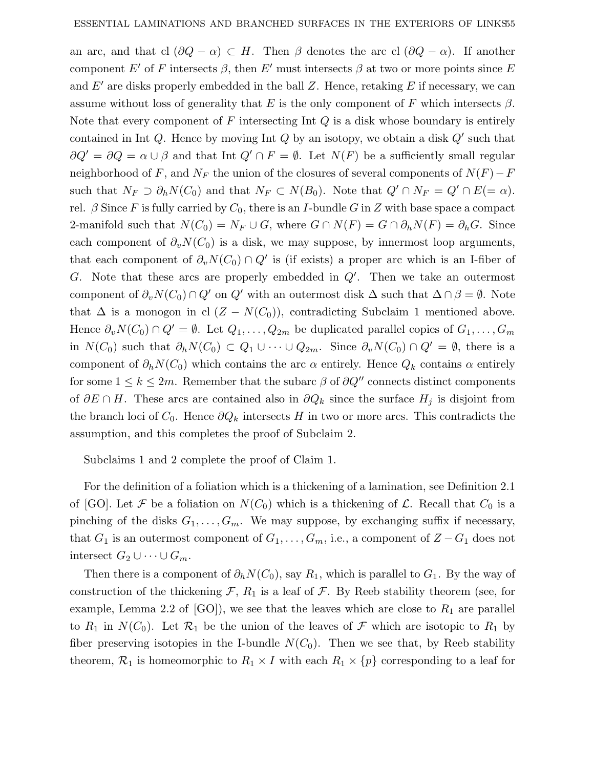an arc, and that cl  $(\partial Q - \alpha) \subset H$ . Then  $\beta$  denotes the arc cl  $(\partial Q - \alpha)$ . If another component *E'* of *F* intersects  $\beta$ , then *E'* must intersects  $\beta$  at two or more points since *E* and  $E'$  are disks properly embedded in the ball Z. Hence, retaking  $E$  if necessary, we can assume without loss of generality that *E* is the only component of *F* which intersects  $\beta$ . Note that every component of *F* intersecting Int *Q* is a disk whose boundary is entirely contained in Int  $Q$ . Hence by moving Int  $Q$  by an isotopy, we obtain a disk  $Q'$  such that  $\partial Q' = \partial Q = \alpha \cup \beta$  and that Int  $Q' \cap F = \emptyset$ . Let  $N(F)$  be a sufficiently small regular neighborhood of *F*, and  $N_F$  the union of the closures of several components of  $N(F) - F$ such that  $N_F \supset \partial_h N(C_0)$  and that  $N_F \subset N(B_0)$ . Note that  $Q' \cap N_F = Q' \cap E (= \alpha)$ . rel.  $\beta$  Since *F* is fully carried by  $C_0$ , there is an *I*-bundle *G* in *Z* with base space a compact 2-manifold such that  $N(C_0) = N_F \cup G$ , where  $G \cap N(F) = G \cap \partial_h N(F) = \partial_h G$ . Since each component of  $\partial_v N(C_0)$  is a disk, we may suppose, by innermost loop arguments, that each component of  $\partial_v N(C_0) \cap Q'$  is (if exists) a proper arc which is an I-fiber of *G*. Note that these arcs are properly embedded in *Q* . Then we take an outermost component of  $\partial_v N(C_0) \cap Q'$  on  $Q'$  with an outermost disk  $\Delta$  such that  $\Delta \cap \beta = \emptyset$ . Note that  $\Delta$  is a monogon in cl  $(Z - N(C_0))$ , contradicting Subclaim 1 mentioned above. Hence  $\partial_v N(C_0) \cap Q' = \emptyset$ . Let  $Q_1, \ldots, Q_{2m}$  be duplicated parallel copies of  $G_1, \ldots, G_m$ in *N*(*C*<sub>0</sub>) such that  $\partial_h N(C_0) \subset Q_1 \cup \cdots \cup Q_{2m}$ . Since  $\partial_v N(C_0) \cap Q' = \emptyset$ , there is a component of  $\partial_h N(C_0)$  which contains the arc  $\alpha$  entirely. Hence  $Q_k$  contains  $\alpha$  entirely for some  $1 \leq k \leq 2m$ . Remember that the subarc  $\beta$  of  $\partial Q''$  connects distinct components of  $\partial E \cap H$ . These arcs are contained also in  $\partial Q_k$  since the surface  $H_j$  is disjoint from the branch loci of  $C_0$ . Hence  $\partial Q_k$  intersects *H* in two or more arcs. This contradicts the assumption, and this completes the proof of Subclaim 2.

Subclaims 1 and 2 complete the proof of Claim 1.

For the definition of a foliation which is a thickening of a lamination, see Definition 2.1 of [GO]. Let F be a foliation on  $N(C_0)$  which is a thickening of L. Recall that  $C_0$  is a pinching of the disks  $G_1, \ldots, G_m$ . We may suppose, by exchanging suffix if necessary, that  $G_1$  is an outermost component of  $G_1, \ldots, G_m$ , i.e., a component of  $Z - G_1$  does not intersect  $G_2 \cup \cdots \cup G_m$ .

Then there is a component of  $\partial_h N(C_0)$ , say  $R_1$ , which is parallel to  $G_1$ . By the way of construction of the thickening  $\mathcal{F}, R_1$  is a leaf of  $\mathcal{F}$ . By Reeb stability theorem (see, for example, Lemma 2.2 of  $[GO]$ , we see that the leaves which are close to  $R_1$  are parallel to  $R_1$  in  $N(C_0)$ . Let  $\mathcal{R}_1$  be the union of the leaves of  $\mathcal F$  which are isotopic to  $R_1$  by fiber preserving isotopies in the I-bundle  $N(C_0)$ . Then we see that, by Reeb stability theorem,  $\mathcal{R}_1$  is homeomorphic to  $R_1 \times I$  with each  $R_1 \times \{p\}$  corresponding to a leaf for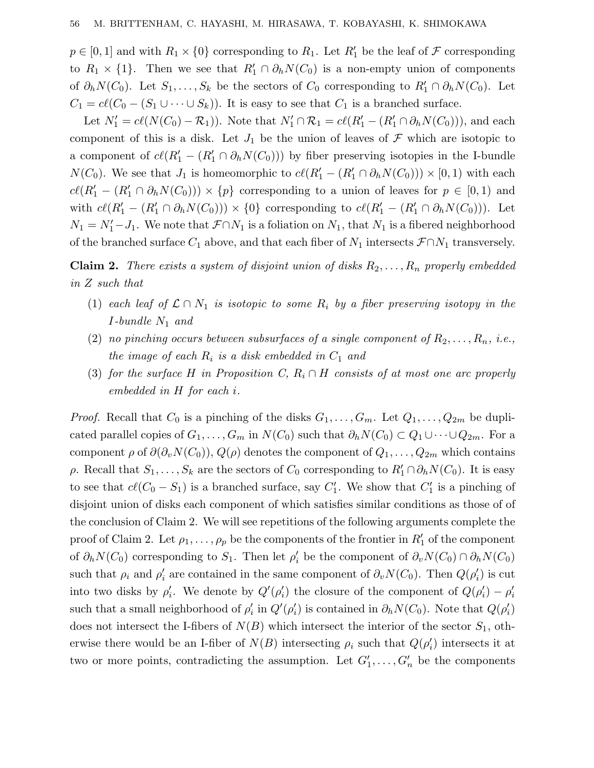$p \in [0,1]$  and with  $R_1 \times \{0\}$  corresponding to  $R_1$ . Let  $R'_1$  be the leaf of  $\mathcal F$  corresponding to  $R_1 \times \{1\}$ . Then we see that  $R'_1 \cap \partial_h N(C_0)$  is a non-empty union of components of  $\partial_h N(C_0)$ . Let  $S_1, \ldots, S_k$  be the sectors of  $C_0$  corresponding to  $R'_1 \cap \partial_h N(C_0)$ . Let  $C_1 = cl(C_0 - (S_1 \cup \cdots \cup S_k))$ . It is easy to see that  $C_1$  is a branched surface.

Let  $N'_1 = cl(N(C_0) - \mathcal{R}_1)$ . Note that  $N'_1 \cap \mathcal{R}_1 = cl(R'_1 \cap \partial_h N(C_0))$ , and each component of this is a disk. Let  $J_1$  be the union of leaves of  $\mathcal F$  which are isotopic to a component of  $c\ell(R'_1 - (R'_1 \cap \partial_h N(C_0)))$  by fiber preserving isotopies in the I-bundle *N*(*C*<sub>0</sub>). We see that *J*<sub>1</sub> is homeomorphic to  $c\ell(R'_1 - (R'_1 \cap \partial_h N(C_0))) \times [0,1)$  with each  $c\ell(R'_1 - (R'_1 \cap \partial_h N(C_0))) \times \{p\}$  corresponding to a union of leaves for  $p \in [0,1)$  and with  $c\ell(R'_1 - (R'_1 \cap \partial_h N(C_0))) \times \{0\}$  corresponding to  $c\ell(R'_1 - (R'_1 \cap \partial_h N(C_0)))$ . Let  $N_1 = N_1' - J_1$ . We note that  $\mathcal{F} \cap N_1$  is a foliation on  $N_1$ , that  $N_1$  is a fibered neighborhood of the branched surface  $C_1$  above, and that each fiber of  $N_1$  intersects  $\mathcal{F} \cap N_1$  transversely.

**Claim 2.** There exists a system of disjoint union of disks  $R_2, \ldots, R_n$  properly embedded in *Z* such that

- (1) each leaf of  $\mathcal{L} \cap N_1$  is isotopic to some  $R_i$  by a fiber preserving isotopy in the *I*-bundle *N*<sup>1</sup> and
- (2) no pinching occurs between subsurfaces of a single component of  $R_2, \ldots, R_n$ , i.e., the image of each  $R_i$  is a disk embedded in  $C_1$  and
- (3) for the surface *H* in Proposition *C*,  $R_i \cap H$  consists of at most one arc properly embedded in *H* for each *i*.

*Proof.* Recall that  $C_0$  is a pinching of the disks  $G_1, \ldots, G_m$ . Let  $Q_1, \ldots, Q_{2m}$  be duplicated parallel copies of  $G_1, \ldots, G_m$  in  $N(C_0)$  such that  $\partial_h N(C_0) \subset Q_1 \cup \cdots \cup Q_{2m}$ . For a component  $\rho$  of  $\partial(\partial_v N(C_0)), Q(\rho)$  denotes the component of  $Q_1, \ldots, Q_{2m}$  which contains *ρ*. Recall that  $S_1, \ldots, S_k$  are the sectors of  $C_0$  corresponding to  $R'_1 \cap \partial_h N(C_0)$ . It is easy to see that  $c\ell(C_0 - S_1)$  is a branched surface, say  $C'_1$ . We show that  $C'_1$  is a pinching of disjoint union of disks each component of which satisfies similar conditions as those of of the conclusion of Claim 2. We will see repetitions of the following arguments complete the proof of Claim 2. Let  $\rho_1, \ldots, \rho_p$  be the components of the frontier in  $R'_1$  of the component of  $\partial_h N(C_0)$  corresponding to  $S_1$ . Then let  $\rho'_i$  be the component of  $\partial_v N(C_0) \cap \partial_h N(C_0)$ such that  $\rho_i$  and  $\rho'_i$  are contained in the same component of  $\partial_v N(C_0)$ . Then  $Q(\rho'_i)$  is cut into two disks by  $\rho'_i$ . We denote by  $Q'(\rho'_i)$  the closure of the component of  $Q(\rho'_i) - \rho'_i$ such that a small neighborhood of  $\rho'_i$  in  $Q'(\rho'_i)$  is contained in  $\partial_h N(C_0)$ . Note that  $Q(\rho'_i)$ does not intersect the I-fibers of  $N(B)$  which intersect the interior of the sector  $S_1$ , otherwise there would be an I-fiber of  $N(B)$  intersecting  $\rho_i$  such that  $Q(\rho'_i)$  intersects it at two or more points, contradicting the assumption. Let  $G'_1, \ldots, G'_n$  be the components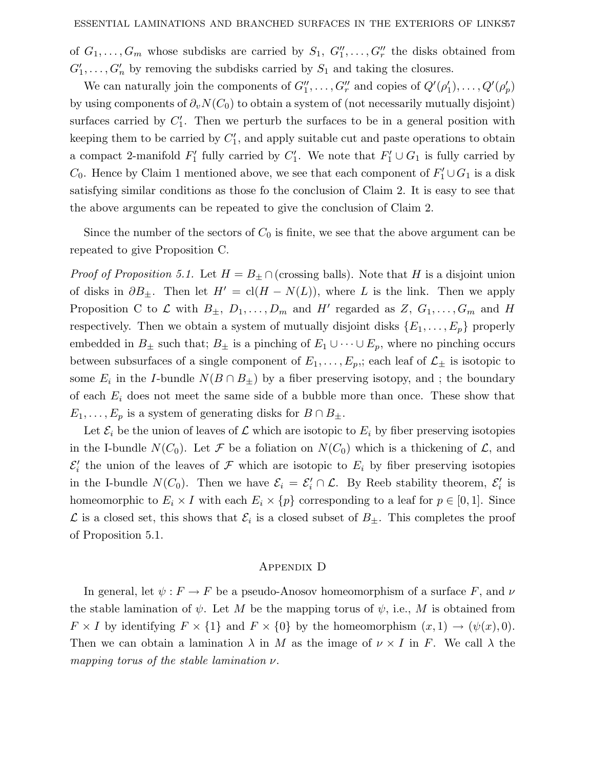of  $G_1, \ldots, G_m$  whose subdisks are carried by  $S_1, G''_1, \ldots, G''_r$  the disks obtained from  $G'_1, \ldots, G'_n$  by removing the subdisks carried by  $S_1$  and taking the closures.

We can naturally join the components of  $G_1'', \ldots, G_r''$  and copies of  $Q'(\rho_1'), \ldots, Q'(\rho_p')$ by using components of  $\partial_v N(C_0)$  to obtain a system of (not necessarily mutually disjoint) surfaces carried by  $C_1'$ . Then we perturb the surfaces to be in a general position with keeping them to be carried by  $C_1'$ , and apply suitable cut and paste operations to obtain a compact 2-manifold  $F'_1$  fully carried by  $C'_1$ . We note that  $F'_1 \cup G_1$  is fully carried by  $C_0$ . Hence by Claim 1 mentioned above, we see that each component of  $F'_1 \cup G_1$  is a disk satisfying similar conditions as those fo the conclusion of Claim 2. It is easy to see that the above arguments can be repeated to give the conclusion of Claim 2.

Since the number of the sectors of  $C_0$  is finite, we see that the above argument can be repeated to give Proposition C.

*Proof of Proposition 5.1.* Let  $H = B_{\pm} \cap$  (crossing balls). Note that *H* is a disjoint union of disks in  $\partial B_{\pm}$ . Then let  $H' = \text{cl}(H - N(L))$ , where *L* is the link. Then we apply Proposition C to  $\mathcal L$  with  $B_{\pm}$ ,  $D_1, \ldots, D_m$  and H' regarded as  $Z, G_1, \ldots, G_m$  and H respectively. Then we obtain a system of mutually disjoint disks  $\{E_1, \ldots, E_p\}$  properly embedded in  $B_{\pm}$  such that;  $B_{\pm}$  is a pinching of  $E_1 \cup \cdots \cup E_p$ , where no pinching occurs between subsurfaces of a single component of  $E_1, \ldots, E_p$ , each leaf of  $\mathcal{L}_\pm$  is isotopic to some  $E_i$  in the *I*-bundle  $N(B \cap B_{\pm})$  by a fiber preserving isotopy, and ; the boundary of each *E<sup>i</sup>* does not meet the same side of a bubble more than once. These show that  $E_1, \ldots, E_p$  is a system of generating disks for  $B \cap B_{\pm}$ .

Let  $\mathcal{E}_i$  be the union of leaves of  $\mathcal L$  which are isotopic to  $E_i$  by fiber preserving isotopies in the I-bundle  $N(C_0)$ . Let F be a foliation on  $N(C_0)$  which is a thickening of L, and  $\mathcal{E}'_i$  the union of the leaves of  $\mathcal F$  which are isotopic to  $E_i$  by fiber preserving isotopies in the I-bundle  $N(C_0)$ . Then we have  $\mathcal{E}_i = \mathcal{E}'_i \cap \mathcal{L}$ . By Reeb stability theorem,  $\mathcal{E}'_i$  is homeomorphic to  $E_i \times I$  with each  $E_i \times \{p\}$  corresponding to a leaf for  $p \in [0,1]$ . Since  $\mathcal L$  is a closed set, this shows that  $\mathcal E_i$  is a closed subset of  $B_{\pm}$ . This completes the proof of Proposition 5.1.

### Appendix D

In general, let  $\psi : F \to F$  be a pseudo-Anosov homeomorphism of a surface *F*, and *ν* the stable lamination of  $\psi$ . Let M be the mapping torus of  $\psi$ , i.e., M is obtained from  $F \times I$  by identifying  $F \times \{1\}$  and  $F \times \{0\}$  by the homeomorphism  $(x, 1) \rightarrow (\psi(x), 0)$ . Then we can obtain a lamination  $\lambda$  in *M* as the image of  $\nu \times I$  in *F*. We call  $\lambda$  the mapping torus of the stable lamination *ν*.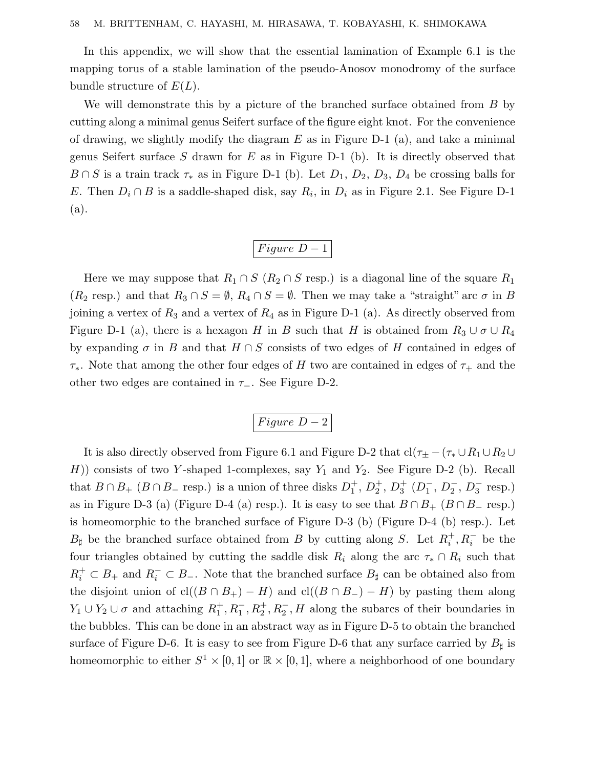In this appendix, we will show that the essential lamination of Example 6.1 is the mapping torus of a stable lamination of the pseudo-Anosov monodromy of the surface bundle structure of *E*(*L*).

We will demonstrate this by a picture of the branched surface obtained from *B* by cutting along a minimal genus Seifert surface of the figure eight knot. For the convenience of drawing, we slightly modify the diagram *E* as in Figure D-1 (a), and take a minimal genus Seifert surface *S* drawn for *E* as in Figure D-1 (b). It is directly observed that  $B \cap S$  is a train track  $\tau_*$  as in Figure D-1 (b). Let  $D_1$ ,  $D_2$ ,  $D_3$ ,  $D_4$  be crossing balls for *E*. Then  $D_i \cap B$  is a saddle-shaped disk, say  $R_i$ , in  $D_i$  as in Figure 2.1. See Figure D-1 (a).

$$
Figure\ D-1
$$

Here we may suppose that  $R_1 \cap S$  ( $R_2 \cap S$  resp.) is a diagonal line of the square  $R_1$  $(R_2 \text{ resp.})$  and that  $R_3 \cap S = \emptyset$ ,  $R_4 \cap S = \emptyset$ . Then we may take a "straight" arc  $\sigma$  in *B* joining a vertex of *R*<sup>3</sup> and a vertex of *R*<sup>4</sup> as in Figure D-1 (a). As directly observed from Figure D-1 (a), there is a hexagon *H* in *B* such that *H* is obtained from  $R_3 \cup \sigma \cup R_4$ by expanding  $\sigma$  in *B* and that  $H \cap S$  consists of two edges of *H* contained in edges of *τ*∗. Note that among the other four edges of *H* two are contained in edges of *τ*<sup>+</sup> and the other two edges are contained in *τ*−. See Figure D-2.

*F igure D* − 2

It is also directly observed from Figure 6.1 and Figure D-2 that  $cl(\tau_{\pm} - (\tau_{*} \cup R_1 \cup R_2 \cup R_2))$ *H*)) consists of two *Y*-shaped 1-complexes, say  $Y_1$  and  $Y_2$ . See Figure D-2 (b). Recall that  $B \cap B_+$  ( $B \cap B_-$  resp.) is a union of three disks  $D_1^+, D_2^+, D_3^+$  ( $D_1^-, D_2^-, D_3^-$  resp.) as in Figure D-3 (a) (Figure D-4 (a) resp.). It is easy to see that  $B \cap B_+$  ( $B \cap B_-$  resp.) is homeomorphic to the branched surface of Figure D-3 (b) (Figure D-4 (b) resp.). Let *B*<sup> $\sharp$ </sup> be the branched surface obtained from *B* by cutting along *S*. Let  $R_i^+, R_i^-$  be the four triangles obtained by cutting the saddle disk  $R_i$  along the arc  $\tau_* \cap R_i$  such that  $R_i^+ \subset B_+$  and  $R_i^- \subset B_-$ . Note that the branched surface  $B_{\sharp}$  can be obtained also from the disjoint union of  $cl((B \cap B_+) - H)$  and  $cl((B \cap B_-) - H)$  by pasting them along  $Y_1 \cup Y_2 \cup \sigma$  and attaching  $R_1^+, R_1^-, R_2^+, R_2^-, H$  along the subarcs of their boundaries in the bubbles. This can be done in an abstract way as in Figure D-5 to obtain the branched surface of Figure D-6. It is easy to see from Figure D-6 that any surface carried by  $B_{\sharp}$  is homeomorphic to either  $S^1 \times [0,1]$  or  $\mathbb{R} \times [0,1]$ , where a neighborhood of one boundary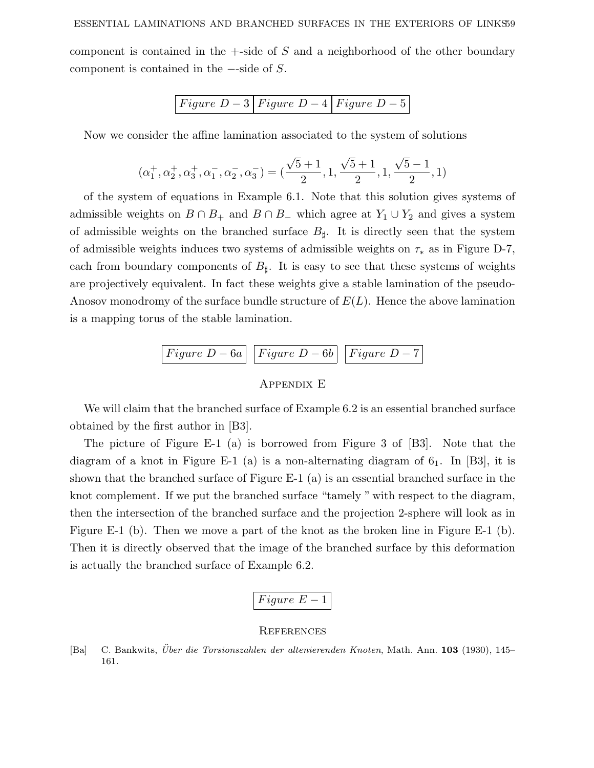component is contained in the +-side of *S* and a neighborhood of the other boundary component is contained in the −-side of *S*.

$$
Figure\ D-3\ \big|\ Figure\ D-4\ \big|\ Figure\ D-5
$$

Now we consider the affine lamination associated to the system of solutions

$$
(\alpha_1^+,\alpha_2^+,\alpha_3^+,\alpha_1^-,\alpha_2^-,\alpha_3^-)=(\frac{\sqrt{5}+1}{2},1,\frac{\sqrt{5}+1}{2},1,\frac{\sqrt{5}-1}{2},1)
$$

of the system of equations in Example 6.1. Note that this solution gives systems of admissible weights on  $B \cap B_+$  and  $B \cap B_-$  which agree at  $Y_1 \cup Y_2$  and gives a system of admissible weights on the branched surface  $B_{\sharp}$ . It is directly seen that the system of admissible weights induces two systems of admissible weights on *τ*<sup>∗</sup> as in Figure D-7, each from boundary components of  $B_{\sharp}$ . It is easy to see that these systems of weights are projectively equivalent. In fact these weights give a stable lamination of the pseudo-Anosov monodromy of the surface bundle structure of *E*(*L*). Hence the above lamination is a mapping torus of the stable lamination.

Figure 
$$
D-6a
$$
 | Figure  $D-6b$  | Figure  $D-7$ 



We will claim that the branched surface of Example 6.2 is an essential branched surface obtained by the first author in [B3].

The picture of Figure E-1 (a) is borrowed from Figure 3 of [B3]. Note that the diagram of a knot in Figure E-1 (a) is a non-alternating diagram of  $6<sub>1</sub>$ . In [B3], it is shown that the branched surface of Figure E-1 (a) is an essential branched surface in the knot complement. If we put the branched surface "tamely " with respect to the diagram, then the intersection of the branched surface and the projection 2-sphere will look as in Figure E-1 (b). Then we move a part of the knot as the broken line in Figure E-1 (b). Then it is directly observed that the image of the branched surface by this deformation is actually the branched surface of Example 6.2.

$$
Figure\ E-1
$$

### **REFERENCES**

[Ba] C. Bankwits, *Über die Torsionszahlen der altenierenden Knoten*, Math. Ann. **103** (1930), 145– 161.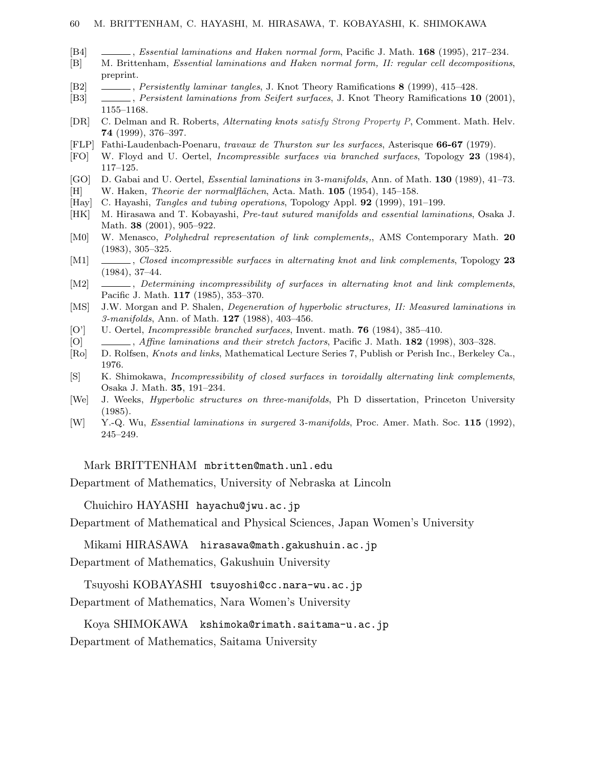- [B4] , *Essential laminations and Haken normal form*, Pacific J. Math. **168** (1995), 217–234.
- [B] M. Brittenham, *Essential laminations and Haken normal form, II: regular cell decompositions*, preprint.
- [B2] , *Persistently laminar tangles*, J. Knot Theory Ramifications **8** (1999), 415–428.
- [B3] , *Persistent laminations from Seifert surfaces*,J. Knot Theory Ramifications **10** (2001), 1155–1168.
- [DR] C. Delman and R. Roberts, *Alternating knots satisfy Strong Property P*, Comment. Math. Helv. **74** (1999),376–397.
- [FLP] Fathi-Laudenbach-Poenaru, *travaux de Thurston sur les surfaces*,Asterisque **66-67** (1979).
- [FO] W. Floyd and U. Oertel, *Incompressible surfaces via branched surfaces*,Topology **23** (1984), 117–125.
- [GO] D. Gabai and U. Oertel, *Essential laminations in* 3*-manifolds*,Ann. of Math. **130** (1989),41–73.
- [H] W. Haken, *Theorie der normalflächen*, Acta. Math. **105** (1954), 145–158.
- [Hay] C. Hayashi, *Tangles and tubing operations*,Topology Appl. **92** (1999),191–199.
- [HK] M. Hirasawa and T. Kobayashi, *Pre-taut sutured manifolds and essential laminations*,Osaka J. Math. **38** (2001), 905–922.
- [M0] W. Menasco, *Polyhedral representation of link complements,*,AMS Contemporary Math. **20**  $(1983), 305-325.$
- [M1] , *Closed incompressible surfaces in alternating knot and link complements*,Topology **23** (1984),37–44.
- [M2]  $\_\_\_\_\_\_\_\_\_\_\_\.\$  *Determining incompressibility of surfaces in alternating knot and link complements*, Pacific J. Math. **117** (1985),353–370.
- [MS] J.W. Morgan and P. Shalen, *Degeneration of hyperbolic structures, II: Measured laminations in 3-manifolds*,Ann. of Math. **127** (1988),403–456.
- [O'] U. Oertel, *Incompressible branched surfaces*, Invent. math. **76** (1984), 385–410.
- [O] , *Affine laminations and their stretch factors*, Pacific J. Math. **182** (1998), 303–328.
- [Ro] D. Rolfsen, *Knots and links*, Mathematical Lecture Series 7, Publish or Perish Inc., Berkeley Ca., 1976.
- [S] K. Shimokawa, *Incompressibilityof closed surfaces in toroidallyalternating link complements*, Osaka J. Math. **35**,191–234.
- [We] J. Weeks, *Hyperbolic structures on three-manifolds*, Ph D dissertation, Princeton University (1985).
- [W] Y.-Q. Wu, *Essential laminations in surgered* 3*-manifolds*,Proc. Amer. Math. Soc. **115** (1992), 245–249.

#### Mark BRITTENHAM mbritten@math.unl.edu

Department of Mathematics, University of Nebraska at Lincoln

Chuichiro HAYASHI hayachu@jwu.ac.jp

Department of Mathematical and Physical Sciences, Japan Women's University

Mikami HIRASAWA hirasawa@math.gakushuin.ac.jp

Department of Mathematics, Gakushuin University

Tsuyoshi KOBAYASHI tsuyoshi@cc.nara-wu.ac.jp

Department of Mathematics, Nara Women's University

Koya SHIMOKAWA kshimoka@rimath.saitama-u.ac.jp

Department of Mathematics, Saitama University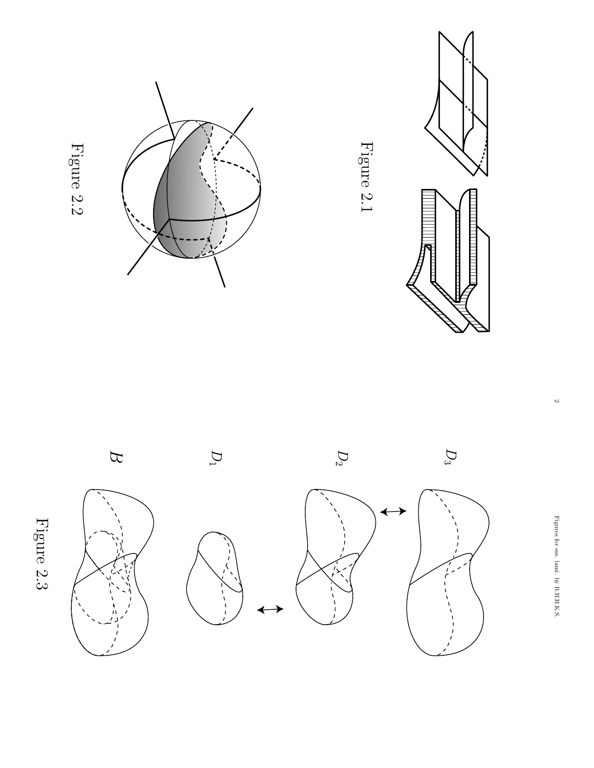



 $\mathcal{L}$ 





















Figure 2.1

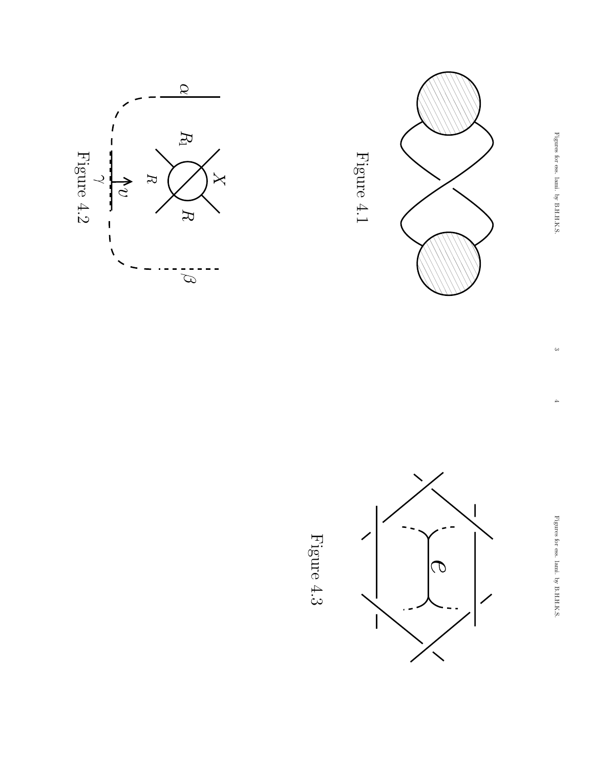







Figure 4.3  $\,$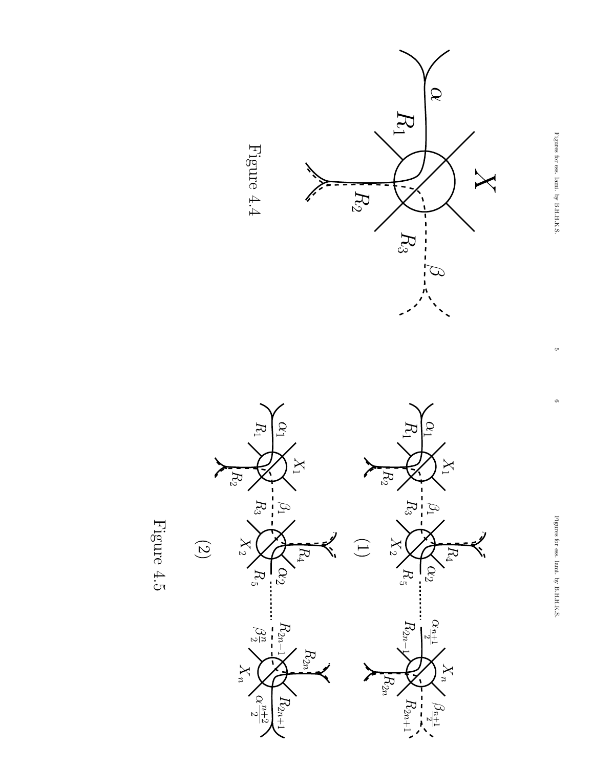







 $\circ$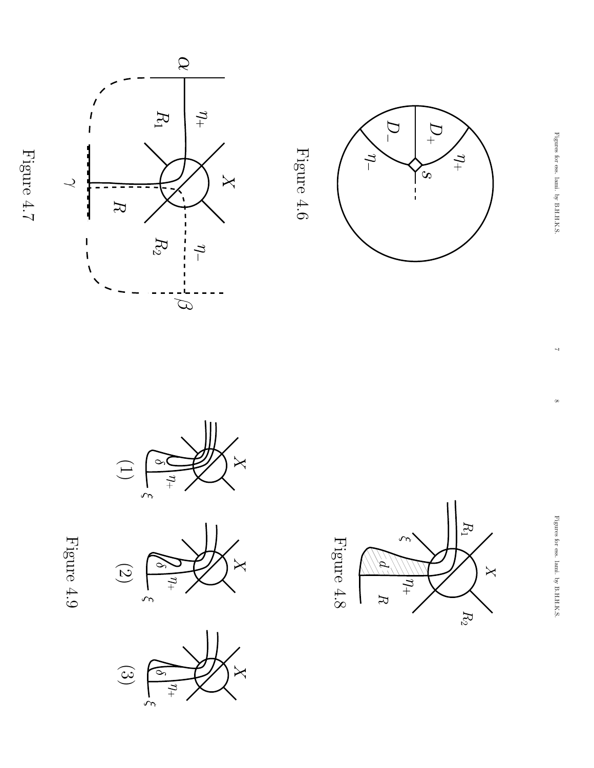





 $\begin{pmatrix} 1 \end{pmatrix}$  $\frac{1}{2}$ 

Figure 4.9  $\,$ 







 $\infty$ 

 $\overline{ }$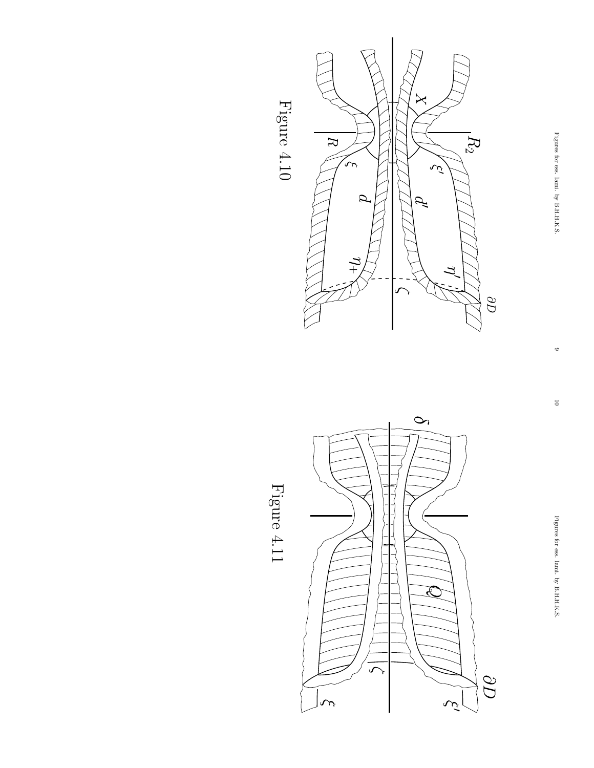





Figure 4.11 Figure 4.11

 $\circ$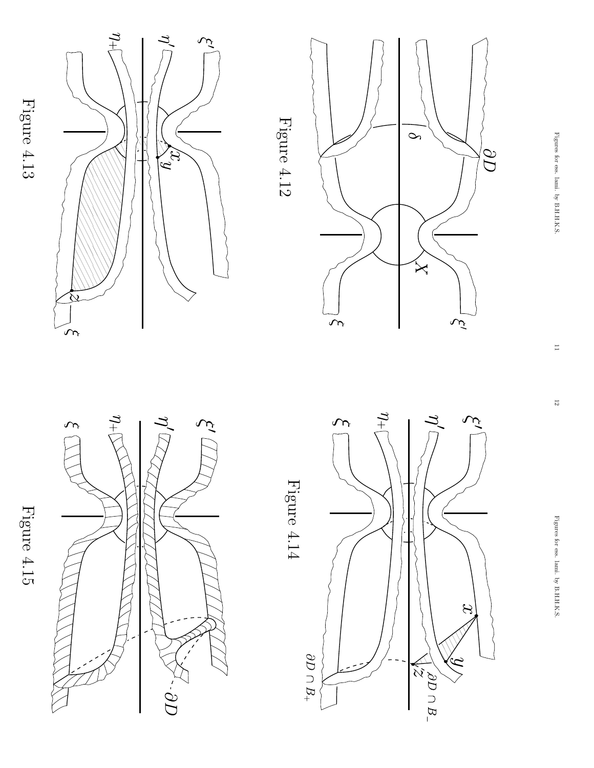Figure 4.13 Figure 4.13

Figure 4.15

Figure 4.15



 $\overline{C} \overline{C}$  .

 $\overline{t}$ 

Y,

تمد

Figure 4.14 Figure 4.14

Figure 4.12

Figure 4.12





Figures for ess. lami.হ B.H.H.K.S.

 $\overline{\mathrm{c}}$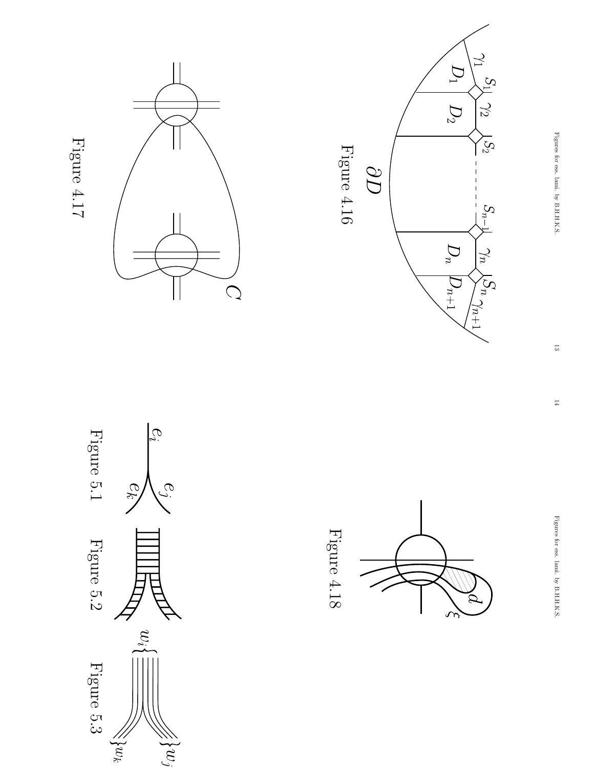

Figure 5.2 Figure 5.1

Figure 5.2

Figure 5.1

Figure 5.3

 $\gtrsim$ 



 $\widetilde{\mathcal{C}}_i$ 

 $e_j$ 

ek

 $w_i$ 

 $\H\cong\{w_j$ 



Figure 4.16

 $\overline{O}O$ 

Figure 4.16



 $D_1$ 

 $\mathcal{D}_2$ 

 $\boldsymbol{D}_n$ 

 $D_{n+1}$ 

 $S_1\sqrt{2}$ 

 $\bigwedge^{\bullet}S_2$ 

 $S_{n-}$ 

 $\gamma_n$ 

 $\sqrt{\sum_{n=1}^{n}n_{n+1}}$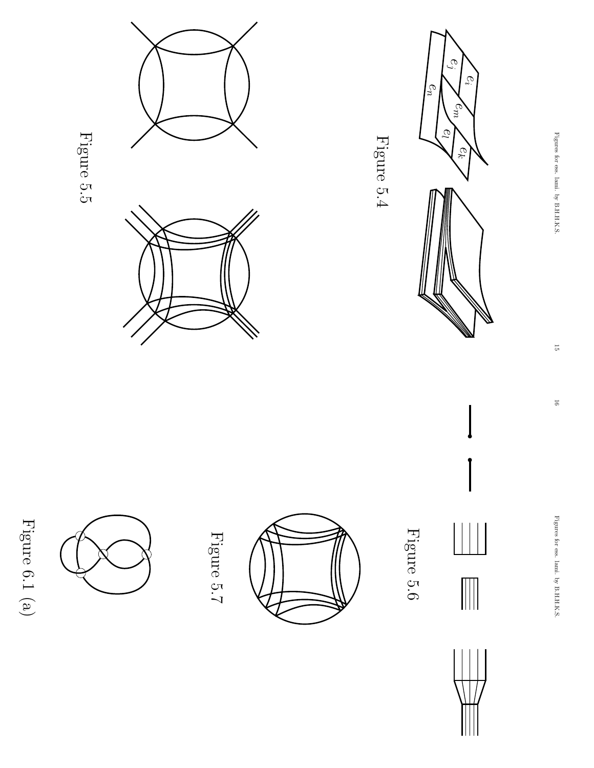



Figures for ess. lami.হ B.H.H.K.S.

15

16

 Figures for ess. lami. byB.H.H.K.S.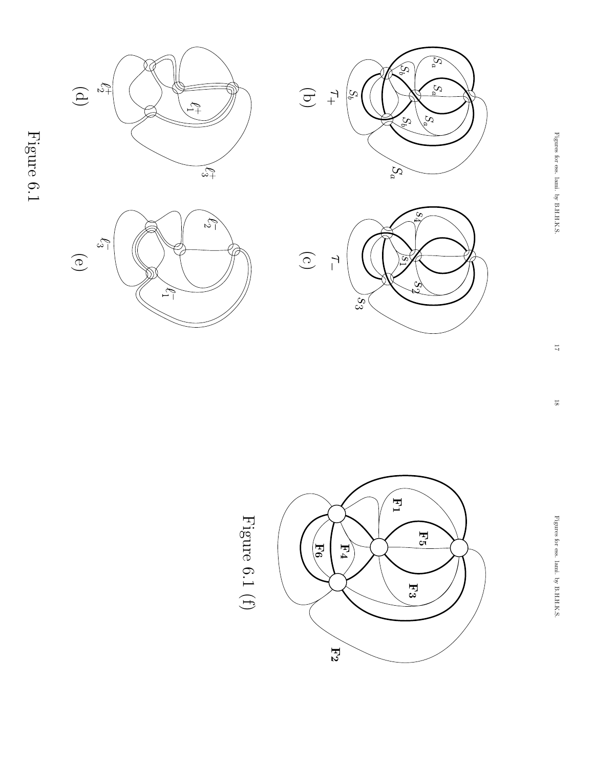

Figure 6.1









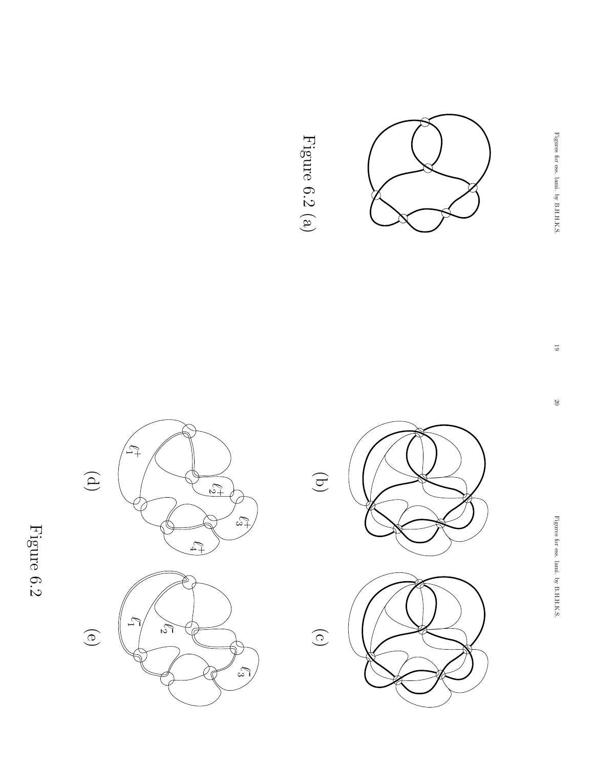

 $\mathbb{Z}^+$ 



Figure 6.2 (a) Figure 6.2 (a)

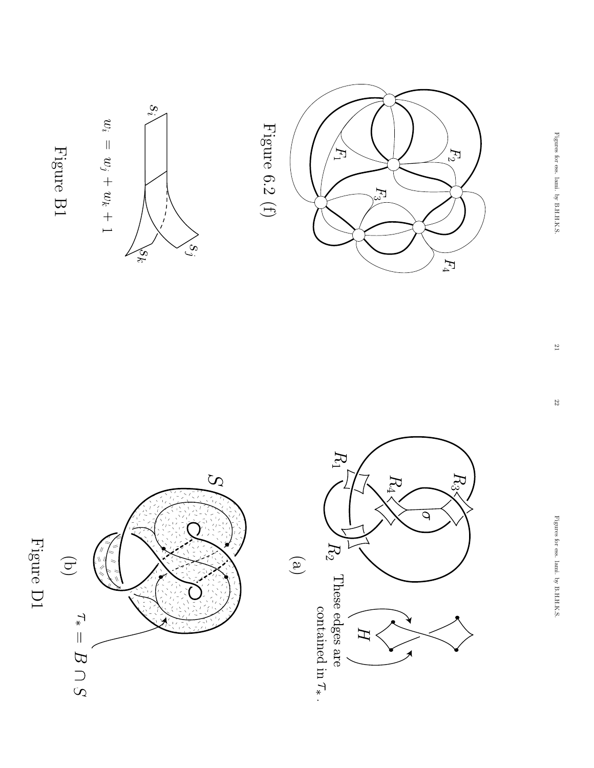





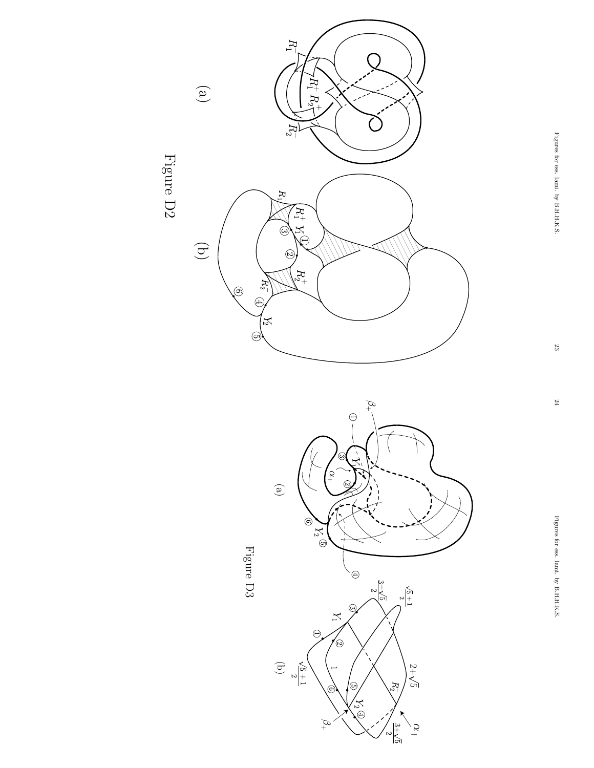





Figures for ess. lami.হ B.H.H.K.S.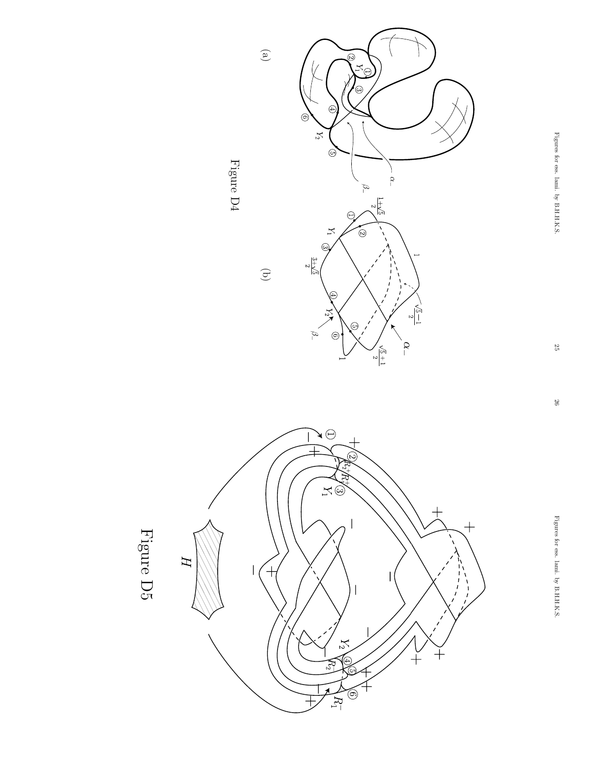



 $\widehat{\Xi}$ 



Figure D5

26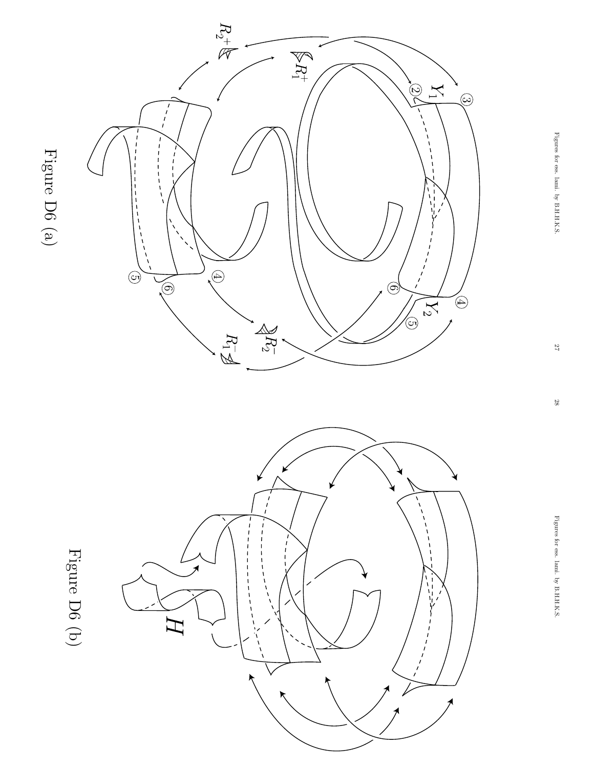

28